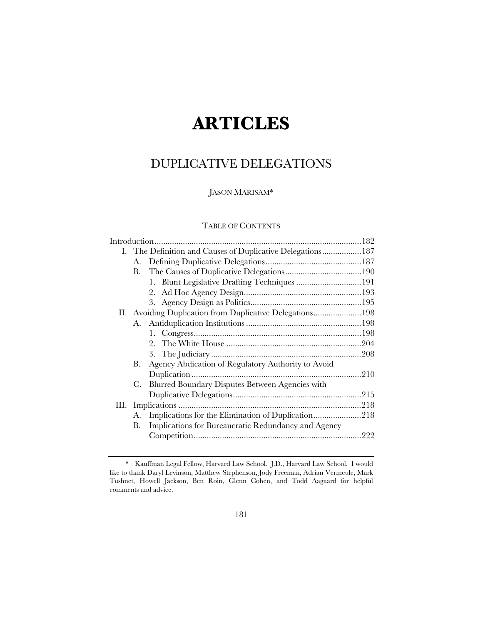# **ARTICLES**

# DUPLICATIVE DELEGATIONS

### JASON MARISAM\*

## TABLE OF CONTENTS

|    | I. The Definition and Causes of Duplicative Delegations 187 |  |
|----|-------------------------------------------------------------|--|
| А. |                                                             |  |
| В. |                                                             |  |
|    | 1. Blunt Legislative Drafting Techniques  191               |  |
|    |                                                             |  |
|    |                                                             |  |
|    | II. Avoiding Duplication from Duplicative Delegations198    |  |
| А. |                                                             |  |
|    |                                                             |  |
|    | 2.                                                          |  |
|    |                                                             |  |
| В. | Agency Abdication of Regulatory Authority to Avoid          |  |
|    |                                                             |  |
| C. | Blurred Boundary Disputes Between Agencies with             |  |
|    |                                                             |  |
|    |                                                             |  |
| А. | Implications for the Elimination of Duplication218          |  |
| В. | Implications for Bureaucratic Redundancy and Agency         |  |
|    |                                                             |  |
|    |                                                             |  |

<sup>\*</sup> Kauffman Legal Fellow, Harvard Law School. J.D., Harvard Law School. I would like to thank Daryl Levinson, Matthew Stephenson, Jody Freeman, Adrian Vermeule, Mark Tushnet, Howell Jackson, Ben Roin, Glenn Cohen, and Todd Aagaard for helpful comments and advice.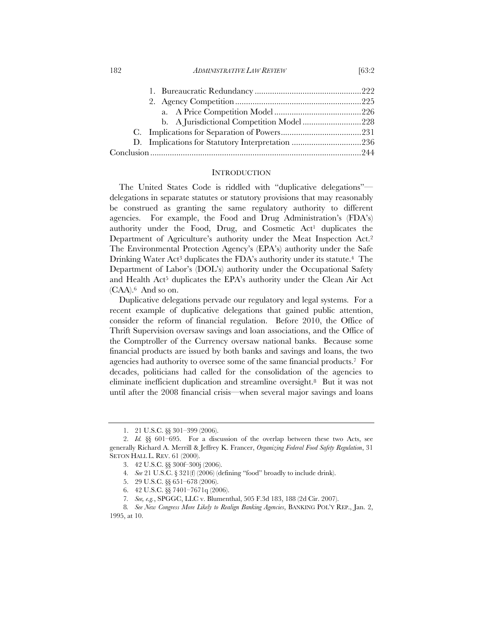182 *ADMINISTRATIVE LAW REVIEW* [63:2

| b. A Jurisdictional Competition Model 228 |  |
|-------------------------------------------|--|
|                                           |  |
|                                           |  |
|                                           |  |

#### **INTRODUCTION**

The United States Code is riddled with "duplicative delegations" delegations in separate statutes or statutory provisions that may reasonably be construed as granting the same regulatory authority to different agencies. For example, the Food and Drug Administration's (FDA's) authority under the Food, Drug, and Cosmetic Act<sup>1</sup> duplicates the Department of Agriculture's authority under the Meat Inspection Act.2 The Environmental Protection Agency's (EPA's) authority under the Safe Drinking Water Act<sup>3</sup> duplicates the FDA's authority under its statute.<sup>4</sup> The Department of Labor's (DOL's) authority under the Occupational Safety and Health Act<sup>5</sup> duplicates the EPA's authority under the Clean Air Act (CAA).6 And so on.

Duplicative delegations pervade our regulatory and legal systems. For a recent example of duplicative delegations that gained public attention, consider the reform of financial regulation. Before 2010, the Office of Thrift Supervision oversaw savings and loan associations, and the Office of the Comptroller of the Currency oversaw national banks. Because some financial products are issued by both banks and savings and loans, the two agencies had authority to oversee some of the same financial products.7 For decades, politicians had called for the consolidation of the agencies to eliminate inefficient duplication and streamline oversight.8 But it was not until after the 2008 financial crisis—when several major savings and loans

<sup>1. 21</sup> U.S.C. §§ 301–399 (2006).

<sup>2.</sup> *Id.* §§ 601–695. For a discussion of the overlap between these two Acts, see generally Richard A. Merrill & Jeffrey K. Francer, *Organizing Federal Food Safety Regulation*, 31 SETON HALL L. REV. 61 (2000).

<sup>3. 42</sup> U.S.C. §§ 300f–300j (2006).

<sup>4</sup>*. See* 21 U.S.C. § 321(f) (2006) (defining "food" broadly to include drink).

<sup>5. 29</sup> U.S.C. §§ 651–678 (2006).

<sup>6. 42</sup> U.S.C. §§ 7401–7671q (2006).

<sup>7</sup>*. See, e.g.*, SPGGC, LLC v. Blumenthal, 505 F.3d 183, 188 (2d Cir. 2007).

<sup>8</sup>*. See New Congress More Likely to Realign Banking Agencies*, BANKING POL'Y REP., Jan. 2, 1995, at 10.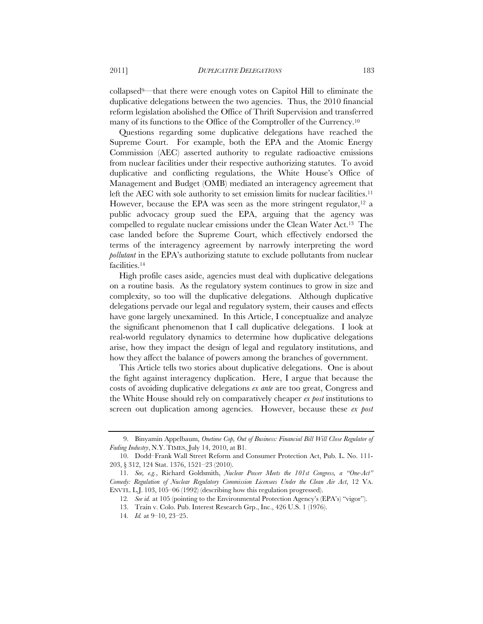collapsed9—that there were enough votes on Capitol Hill to eliminate the duplicative delegations between the two agencies. Thus, the 2010 financial reform legislation abolished the Office of Thrift Supervision and transferred many of its functions to the Office of the Comptroller of the Currency.10

Questions regarding some duplicative delegations have reached the Supreme Court. For example, both the EPA and the Atomic Energy Commission (AEC) asserted authority to regulate radioactive emissions from nuclear facilities under their respective authorizing statutes. To avoid duplicative and conflicting regulations, the White House's Office of Management and Budget (OMB) mediated an interagency agreement that left the AEC with sole authority to set emission limits for nuclear facilities.<sup>11</sup> However, because the EPA was seen as the more stringent regulator, $12$  a public advocacy group sued the EPA, arguing that the agency was compelled to regulate nuclear emissions under the Clean Water Act.13 The case landed before the Supreme Court, which effectively endorsed the terms of the interagency agreement by narrowly interpreting the word *pollutant* in the EPA's authorizing statute to exclude pollutants from nuclear facilities.14

High profile cases aside, agencies must deal with duplicative delegations on a routine basis. As the regulatory system continues to grow in size and complexity, so too will the duplicative delegations. Although duplicative delegations pervade our legal and regulatory system, their causes and effects have gone largely unexamined. In this Article, I conceptualize and analyze the significant phenomenon that I call duplicative delegations. I look at real-world regulatory dynamics to determine how duplicative delegations arise, how they impact the design of legal and regulatory institutions, and how they affect the balance of powers among the branches of government.

This Article tells two stories about duplicative delegations. One is about the fight against interagency duplication. Here, I argue that because the costs of avoiding duplicative delegations *ex ante* are too great, Congress and the White House should rely on comparatively cheaper *ex post* institutions to screen out duplication among agencies. However, because these *ex post*

<sup>9.</sup> Binyamin Appelbaum, *Onetime Cop, Out of Business: Financial Bill Will Close Regulator of Fading Industry*, N.Y. TIMES, July 14, 2010, at B1.

<sup>10.</sup> Dodd–Frank Wall Street Reform and Consumer Protection Act, Pub. L. No. 111- 203, § 312, 124 Stat. 1376, 1521–23 (2010).

<sup>11</sup>*. See, e.g.*, Richard Goldsmith, *Nuclear Power Meets the 101st Congress, a "One-Act" Comedy: Regulation of Nuclear Regulatory Commission Licensees Under the Clean Air Act*, 12 VA. ENVTL. L.J. 103, 105–06 (1992) (describing how this regulation progressed).

<sup>12</sup>*. See id.* at 105 (pointing to the Environmental Protection Agency's (EPA's) "vigor").

<sup>13.</sup> Train v. Colo. Pub. Interest Research Grp., Inc., 426 U.S. 1 (1976).

<sup>14</sup>*. Id.* at 9–10, 23–25.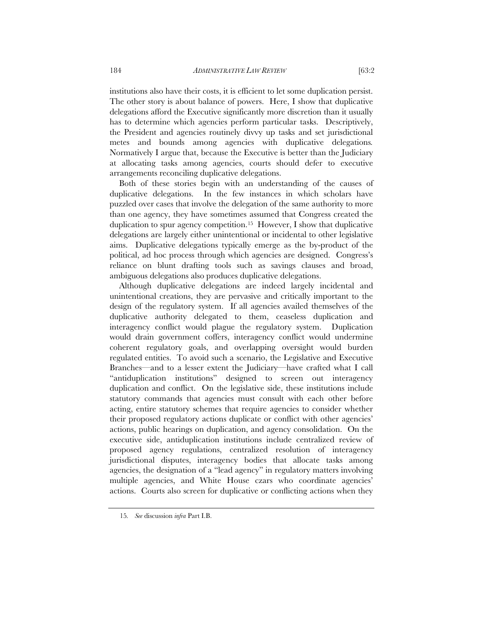institutions also have their costs, it is efficient to let some duplication persist. The other story is about balance of powers. Here, I show that duplicative delegations afford the Executive significantly more discretion than it usually has to determine which agencies perform particular tasks. Descriptively, the President and agencies routinely divvy up tasks and set jurisdictional metes and bounds among agencies with duplicative delegations*.*  Normatively I argue that, because the Executive is better than the Judiciary at allocating tasks among agencies, courts should defer to executive arrangements reconciling duplicative delegations.

Both of these stories begin with an understanding of the causes of duplicative delegations. In the few instances in which scholars have puzzled over cases that involve the delegation of the same authority to more than one agency, they have sometimes assumed that Congress created the duplication to spur agency competition.15 However, I show that duplicative delegations are largely either unintentional or incidental to other legislative aims. Duplicative delegations typically emerge as the by-product of the political, ad hoc process through which agencies are designed. Congress's reliance on blunt drafting tools such as savings clauses and broad, ambiguous delegations also produces duplicative delegations.

Although duplicative delegations are indeed largely incidental and unintentional creations, they are pervasive and critically important to the design of the regulatory system. If all agencies availed themselves of the duplicative authority delegated to them, ceaseless duplication and interagency conflict would plague the regulatory system. Duplication would drain government coffers, interagency conflict would undermine coherent regulatory goals, and overlapping oversight would burden regulated entities. To avoid such a scenario, the Legislative and Executive Branches—and to a lesser extent the Judiciary—have crafted what I call "antiduplication institutions" designed to screen out interagency duplication and conflict. On the legislative side, these institutions include statutory commands that agencies must consult with each other before acting, entire statutory schemes that require agencies to consider whether their proposed regulatory actions duplicate or conflict with other agencies' actions, public hearings on duplication, and agency consolidation. On the executive side, antiduplication institutions include centralized review of proposed agency regulations, centralized resolution of interagency jurisdictional disputes, interagency bodies that allocate tasks among agencies, the designation of a "lead agency" in regulatory matters involving multiple agencies, and White House czars who coordinate agencies' actions. Courts also screen for duplicative or conflicting actions when they

<sup>15</sup>*. See* discussion *infra* Part I.B.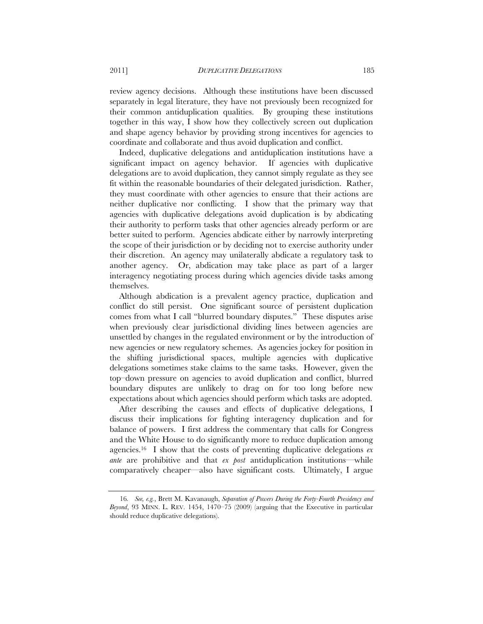review agency decisions. Although these institutions have been discussed separately in legal literature, they have not previously been recognized for their common antiduplication qualities. By grouping these institutions together in this way, I show how they collectively screen out duplication and shape agency behavior by providing strong incentives for agencies to coordinate and collaborate and thus avoid duplication and conflict.

Indeed, duplicative delegations and antiduplication institutions have a significant impact on agency behavior. If agencies with duplicative delegations are to avoid duplication, they cannot simply regulate as they see fit within the reasonable boundaries of their delegated jurisdiction. Rather, they must coordinate with other agencies to ensure that their actions are neither duplicative nor conflicting. I show that the primary way that agencies with duplicative delegations avoid duplication is by abdicating their authority to perform tasks that other agencies already perform or are better suited to perform. Agencies abdicate either by narrowly interpreting the scope of their jurisdiction or by deciding not to exercise authority under their discretion. An agency may unilaterally abdicate a regulatory task to another agency. Or, abdication may take place as part of a larger interagency negotiating process during which agencies divide tasks among themselves.

Although abdication is a prevalent agency practice, duplication and conflict do still persist. One significant source of persistent duplication comes from what I call "blurred boundary disputes." These disputes arise when previously clear jurisdictional dividing lines between agencies are unsettled by changes in the regulated environment or by the introduction of new agencies or new regulatory schemes. As agencies jockey for position in the shifting jurisdictional spaces, multiple agencies with duplicative delegations sometimes stake claims to the same tasks. However, given the top–down pressure on agencies to avoid duplication and conflict, blurred boundary disputes are unlikely to drag on for too long before new expectations about which agencies should perform which tasks are adopted.

After describing the causes and effects of duplicative delegations, I discuss their implications for fighting interagency duplication and for balance of powers. I first address the commentary that calls for Congress and the White House to do significantly more to reduce duplication among agencies.16 I show that the costs of preventing duplicative delegations *ex ante* are prohibitive and that *ex post* antiduplication institutions—while comparatively cheaper—also have significant costs. Ultimately, I argue

<sup>16</sup>*. See, e.g.*, Brett M. Kavanaugh, *Separation of Powers During the Forty-Fourth Presidency and Beyond*, 93 MINN. L. REV. 1454, 1470–75 (2009) (arguing that the Executive in particular should reduce duplicative delegations).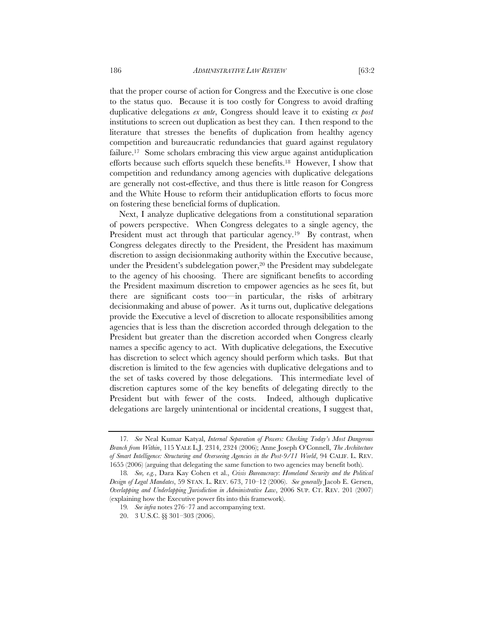that the proper course of action for Congress and the Executive is one close to the status quo. Because it is too costly for Congress to avoid drafting duplicative delegations *ex ante*, Congress should leave it to existing *ex post*

institutions to screen out duplication as best they can. I then respond to the literature that stresses the benefits of duplication from healthy agency competition and bureaucratic redundancies that guard against regulatory failure.<sup>17</sup> Some scholars embracing this view argue against antiduplication efforts because such efforts squelch these benefits.18 However, I show that competition and redundancy among agencies with duplicative delegations are generally not cost-effective, and thus there is little reason for Congress and the White House to reform their antiduplication efforts to focus more on fostering these beneficial forms of duplication.

Next, I analyze duplicative delegations from a constitutional separation of powers perspective. When Congress delegates to a single agency, the President must act through that particular agency.<sup>19</sup> By contrast, when Congress delegates directly to the President, the President has maximum discretion to assign decisionmaking authority within the Executive because, under the President's subdelegation power,<sup>20</sup> the President may subdelegate to the agency of his choosing. There are significant benefits to according the President maximum discretion to empower agencies as he sees fit, but there are significant costs too—in particular, the risks of arbitrary decisionmaking and abuse of power. As it turns out, duplicative delegations provide the Executive a level of discretion to allocate responsibilities among agencies that is less than the discretion accorded through delegation to the President but greater than the discretion accorded when Congress clearly names a specific agency to act. With duplicative delegations, the Executive has discretion to select which agency should perform which tasks. But that discretion is limited to the few agencies with duplicative delegations and to the set of tasks covered by those delegations. This intermediate level of discretion captures some of the key benefits of delegating directly to the President but with fewer of the costs. Indeed, although duplicative delegations are largely unintentional or incidental creations, I suggest that,

<sup>17</sup>*. See* Neal Kumar Katyal, *Internal Separation of Powers: Checking Today's Most Dangerous Branch from Within*, 115 YALE L.J. 2314, 2324 (2006); Anne Joseph O'Connell, *The Architecture of Smart Intelligence: Structuring and Overseeing Agencies in the Post-9/11 World*, 94 CALIF. L. REV. 1655 (2006) (arguing that delegating the same function to two agencies may benefit both).

<sup>18</sup>*. See, e.g.*, Dara Kay Cohen et al., *Crisis Bureaucracy*: *Homeland Security and the Political Design of Legal Mandates*, 59 STAN. L. REV. 673, 710–12 (2006). *See generally* Jacob E. Gersen, *Overlapping and Underlapping Jurisdiction in Administrative Law*, 2006 SUP. CT. REV. 201 (2007) (explaining how the Executive power fits into this framework).

<sup>19</sup>*. See infra* notes 276–77 and accompanying text.

<sup>20. 3</sup> U.S.C. §§ 301–303 (2006).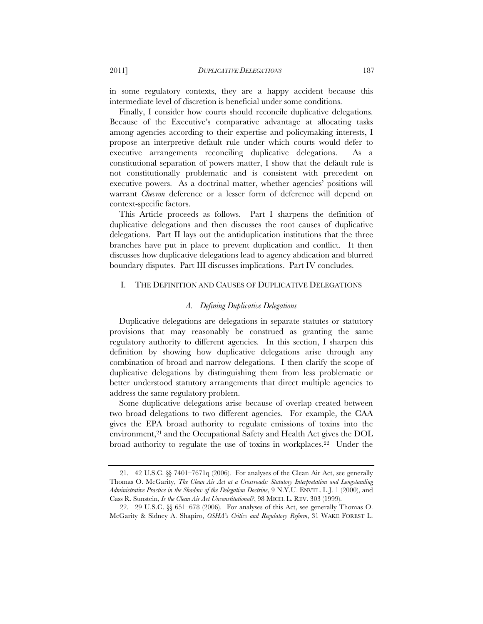in some regulatory contexts, they are a happy accident because this intermediate level of discretion is beneficial under some conditions.

Finally, I consider how courts should reconcile duplicative delegations. Because of the Executive's comparative advantage at allocating tasks among agencies according to their expertise and policymaking interests, I propose an interpretive default rule under which courts would defer to executive arrangements reconciling duplicative delegations. As a constitutional separation of powers matter, I show that the default rule is not constitutionally problematic and is consistent with precedent on executive powers. As a doctrinal matter, whether agencies' positions will warrant *Chevron* deference or a lesser form of deference will depend on context-specific factors.

This Article proceeds as follows. Part I sharpens the definition of duplicative delegations and then discusses the root causes of duplicative delegations. Part II lays out the antiduplication institutions that the three branches have put in place to prevent duplication and conflict. It then discusses how duplicative delegations lead to agency abdication and blurred boundary disputes. Part III discusses implications. Part IV concludes.

#### I. THE DEFINITION AND CAUSES OF DUPLICATIVE DELEGATIONS

#### *A. Defining Duplicative Delegations*

Duplicative delegations are delegations in separate statutes or statutory provisions that may reasonably be construed as granting the same regulatory authority to different agencies. In this section, I sharpen this definition by showing how duplicative delegations arise through any combination of broad and narrow delegations. I then clarify the scope of duplicative delegations by distinguishing them from less problematic or better understood statutory arrangements that direct multiple agencies to address the same regulatory problem.

Some duplicative delegations arise because of overlap created between two broad delegations to two different agencies. For example, the CAA gives the EPA broad authority to regulate emissions of toxins into the environment, $2<sup>1</sup>$  and the Occupational Safety and Health Act gives the DOL broad authority to regulate the use of toxins in workplaces.22 Under the

<sup>21. 42</sup> U.S.C. §§ 7401–7671q (2006). For analyses of the Clean Air Act, see generally Thomas O. McGarity, *The Clean Air Act at a Crossroads: Statutory Interpretation and Longstanding Administrative Practice in the Shadow of the Delegation Doctrine*, 9 N.Y.U. ENVTL. L.J. 1 (2000), and Cass R. Sunstein, *Is the Clean Air Act Unconstitutional?*, 98 MICH. L. REV. 303 (1999).

<sup>22. 29</sup> U.S.C. §§ 651–678 (2006). For analyses of this Act, see generally Thomas O. McGarity & Sidney A. Shapiro, *OSHA's Critics and Regulatory Reform*, 31 WAKE FOREST L.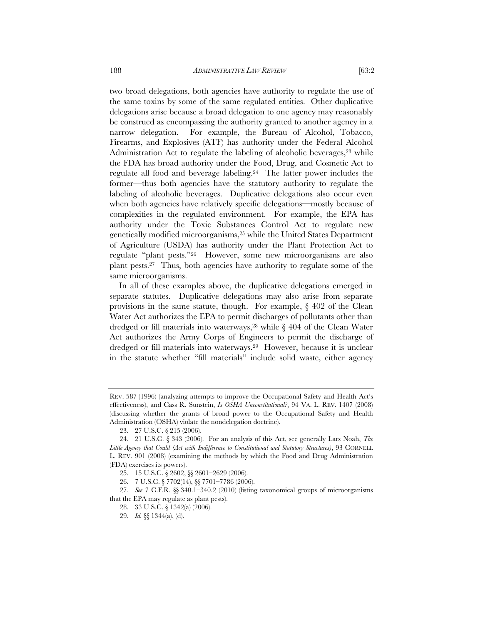the same toxins by some of the same regulated entities. Other duplicative delegations arise because a broad delegation to one agency may reasonably be construed as encompassing the authority granted to another agency in a narrow delegation. For example, the Bureau of Alcohol, Tobacco, Firearms, and Explosives (ATF) has authority under the Federal Alcohol Administration Act to regulate the labeling of alcoholic beverages,<sup>23</sup> while the FDA has broad authority under the Food, Drug, and Cosmetic Act to regulate all food and beverage labeling.24 The latter power includes the former—thus both agencies have the statutory authority to regulate the labeling of alcoholic beverages. Duplicative delegations also occur even when both agencies have relatively specific delegations—mostly because of complexities in the regulated environment. For example, the EPA has authority under the Toxic Substances Control Act to regulate new genetically modified microorganisms,25 while the United States Department of Agriculture (USDA) has authority under the Plant Protection Act to regulate "plant pests."26 However, some new microorganisms are also plant pests.27 Thus, both agencies have authority to regulate some of the same microorganisms.

In all of these examples above, the duplicative delegations emerged in separate statutes. Duplicative delegations may also arise from separate provisions in the same statute, though. For example,  $\S$  402 of the Clean Water Act authorizes the EPA to permit discharges of pollutants other than dredged or fill materials into waterways,  $28$  while § 404 of the Clean Water Act authorizes the Army Corps of Engineers to permit the discharge of dredged or fill materials into waterways.29 However, because it is unclear in the statute whether "fill materials" include solid waste, either agency

REV. 587 (1996) (analyzing attempts to improve the Occupational Safety and Health Act's effectiveness), and Cass R. Sunstein, *Is OSHA Unconstitutional?*, 94 VA. L. REV. 1407 (2008) (discussing whether the grants of broad power to the Occupational Safety and Health Administration (OSHA) violate the nondelegation doctrine).

<sup>23. 27</sup> U.S.C. § 215 (2006).

<sup>24. 21</sup> U.S.C. § 343 (2006). For an analysis of this Act, see generally Lars Noah, *The Little Agency that Could (Act with Indifference to Constitutional and Statutory Structures)*, 93 CORNELL L. REV. 901 (2008) (examining the methods by which the Food and Drug Administration (FDA) exercises its powers).

<sup>25. 15</sup> U.S.C. § 2602, §§ 2601–2629 (2006).

<sup>26. 7</sup> U.S.C. § 7702(14), §§ 7701–7786 (2006).

<sup>27</sup>*. See* 7 C.F.R. §§ 340.1–340.2 (2010) (listing taxonomical groups of microorganisms that the EPA may regulate as plant pests).

<sup>28. 33</sup> U.S.C. § 1342(a) (2006).

<sup>29.</sup> *Id.* §§ 1344(a), (d).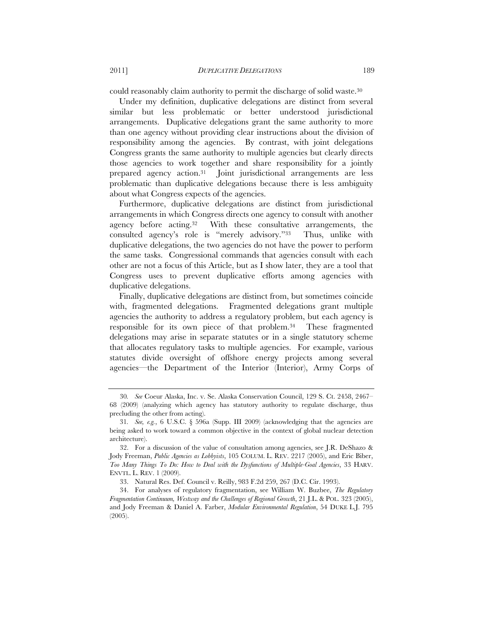could reasonably claim authority to permit the discharge of solid waste.30

Under my definition, duplicative delegations are distinct from several similar but less problematic or better understood jurisdictional arrangements. Duplicative delegations grant the same authority to more than one agency without providing clear instructions about the division of responsibility among the agencies. By contrast, with joint delegations Congress grants the same authority to multiple agencies but clearly directs those agencies to work together and share responsibility for a jointly prepared agency action.31 Joint jurisdictional arrangements are less problematic than duplicative delegations because there is less ambiguity about what Congress expects of the agencies.

Furthermore, duplicative delegations are distinct from jurisdictional arrangements in which Congress directs one agency to consult with another agency before acting.32 With these consultative arrangements, the consulted agency's role is "merely advisory."33 Thus, unlike with duplicative delegations, the two agencies do not have the power to perform the same tasks. Congressional commands that agencies consult with each other are not a focus of this Article, but as I show later, they are a tool that Congress uses to prevent duplicative efforts among agencies with duplicative delegations.

Finally, duplicative delegations are distinct from, but sometimes coincide with, fragmented delegations. Fragmented delegations grant multiple agencies the authority to address a regulatory problem, but each agency is responsible for its own piece of that problem.34 These fragmented delegations may arise in separate statutes or in a single statutory scheme that allocates regulatory tasks to multiple agencies. For example, various statutes divide oversight of offshore energy projects among several agencies—the Department of the Interior (Interior), Army Corps of

<sup>30</sup>*. See* Coeur Alaska, Inc. v. Se. Alaska Conservation Council, 129 S. Ct. 2458, 2467– 68 (2009) (analyzing which agency has statutory authority to regulate discharge, thus precluding the other from acting).

<sup>31</sup>*. See, e.g.*, 6 U.S.C. § 596a (Supp. III 2009) (acknowledging that the agencies are being asked to work toward a common objective in the context of global nuclear detection architecture).

<sup>32.</sup> For a discussion of the value of consultation among agencies, see J.R. DeShazo & Jody Freeman, *Public Agencies as Lobbyists*, 105 COLUM. L. REV. 2217 (2005), and Eric Biber, *Too Many Things To Do: How to Deal with the Dysfunctions of Multiple-Goal Agencies*, 33 HARV. ENVTL. L. REV. 1 (2009).

<sup>33.</sup> Natural Res. Def. Council v. Reilly, 983 F.2d 259, 267 (D.C. Cir. 1993).

<sup>34.</sup> For analyses of regulatory fragmentation, see William W. Buzbee, *The Regulatory Fragmentation Continuum, Westway and the Challenges of Regional Growth*, 21 J.L. & POL. 323 (2005), and Jody Freeman & Daniel A. Farber, *Modular Environmental Regulation*, 54 DUKE L.J. 795 (2005).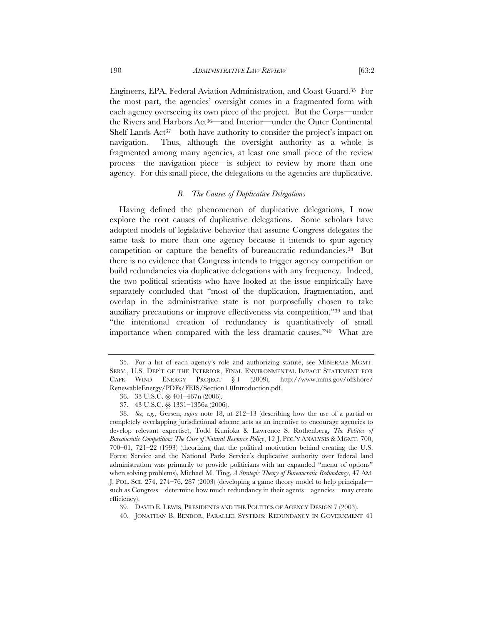Engineers, EPA, Federal Aviation Administration, and Coast Guard.35 For the most part, the agencies' oversight comes in a fragmented form with each agency overseeing its own piece of the project. But the Corps—under the Rivers and Harbors Act36—and Interior—under the Outer Continental Shelf Lands Act37—both have authority to consider the project's impact on navigation. Thus, although the oversight authority as a whole is fragmented among many agencies, at least one small piece of the review process—the navigation piece—is subject to review by more than one agency. For this small piece, the delegations to the agencies are duplicative.

#### *B. The Causes of Duplicative Delegations*

Having defined the phenomenon of duplicative delegations, I now explore the root causes of duplicative delegations. Some scholars have adopted models of legislative behavior that assume Congress delegates the same task to more than one agency because it intends to spur agency competition or capture the benefits of bureaucratic redundancies.38 But there is no evidence that Congress intends to trigger agency competition or build redundancies via duplicative delegations with any frequency. Indeed, the two political scientists who have looked at the issue empirically have separately concluded that "most of the duplication, fragmentation, and overlap in the administrative state is not purposefully chosen to take auxiliary precautions or improve effectiveness via competition,"39 and that "the intentional creation of redundancy is quantitatively of small importance when compared with the less dramatic causes."40 What are

<sup>35.</sup> For a list of each agency's role and authorizing statute, see MINERALS MGMT. SERV., U.S. DEP'T OF THE INTERIOR, FINAL ENVIRONMENTAL IMPACT STATEMENT FOR CAPE WIND ENERGY PROJECT § 1 (2009), http://www.mms.gov/offshore/ RenewableEnergy/PDFs/FEIS/Section1.0Introduction.pdf.

<sup>36. 33</sup> U.S.C. §§ 401–467n (2006).

<sup>37. 43</sup> U.S.C. §§ 1331–1356a (2006).

<sup>38</sup>*. See, e.g.*, Gersen, *supra* note 18, at 212–13 (describing how the use of a partial or completely overlapping jurisdictional scheme acts as an incentive to encourage agencies to develop relevant expertise), Todd Kunioka & Lawrence S. Rothenberg, *The Politics of Bureaucratic Competition: The Case of Natural Resource Policy*, 12 J. POL'Y ANALYSIS & MGMT. 700, 700–01, 721–22 (1993) (theorizing that the political motivation behind creating the U.S. Forest Service and the National Parks Service's duplicative authority over federal land administration was primarily to provide politicians with an expanded "menu of options" when solving problems), Michael M. Ting, *A Strategic Theory of Bureaucratic Redundancy*, 47 AM. J. POL. SCI. 274, 274–76, 287 (2003) (developing a game theory model to help principals such as Congress—determine how much redundancy in their agents—agencies—may create efficiency).

<sup>39.</sup> DAVID E. LEWIS, PRESIDENTS AND THE POLITICS OF AGENCY DESIGN 7 (2003).

<sup>40.</sup> JONATHAN B. BENDOR, PARALLEL SYSTEMS: REDUNDANCY IN GOVERNMENT 41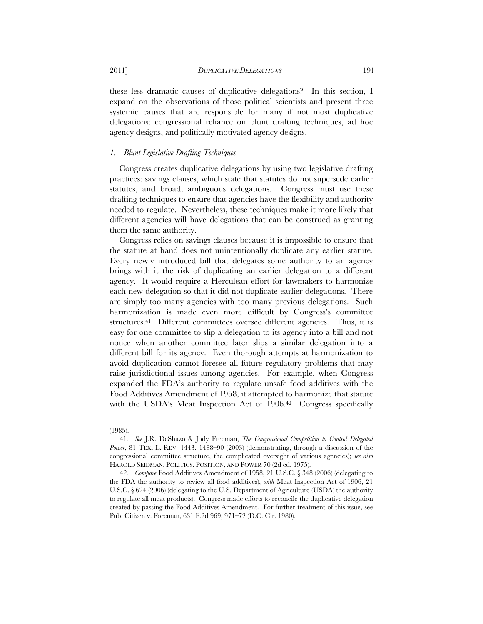these less dramatic causes of duplicative delegations? In this section, I expand on the observations of those political scientists and present three systemic causes that are responsible for many if not most duplicative delegations: congressional reliance on blunt drafting techniques, ad hoc agency designs, and politically motivated agency designs.

#### *1. Blunt Legislative Drafting Techniques*

Congress creates duplicative delegations by using two legislative drafting practices: savings clauses, which state that statutes do not supersede earlier statutes, and broad, ambiguous delegations. Congress must use these drafting techniques to ensure that agencies have the flexibility and authority needed to regulate. Nevertheless, these techniques make it more likely that different agencies will have delegations that can be construed as granting them the same authority.

Congress relies on savings clauses because it is impossible to ensure that the statute at hand does not unintentionally duplicate any earlier statute. Every newly introduced bill that delegates some authority to an agency brings with it the risk of duplicating an earlier delegation to a different agency. It would require a Herculean effort for lawmakers to harmonize each new delegation so that it did not duplicate earlier delegations. There are simply too many agencies with too many previous delegations. Such harmonization is made even more difficult by Congress's committee structures.<sup>41</sup> Different committees oversee different agencies. Thus, it is easy for one committee to slip a delegation to its agency into a bill and not notice when another committee later slips a similar delegation into a different bill for its agency. Even thorough attempts at harmonization to avoid duplication cannot foresee all future regulatory problems that may raise jurisdictional issues among agencies. For example, when Congress expanded the FDA's authority to regulate unsafe food additives with the Food Additives Amendment of 1958, it attempted to harmonize that statute with the USDA's Meat Inspection Act of 1906.<sup>42</sup> Congress specifically

<sup>(1985).</sup> 

<sup>41</sup>*. See* J.R. DeShazo & Jody Freeman, *The Congressional Competition to Control Delegated Power*, 81 TEX. L. REV. 1443, 1488–90 (2003) (demonstrating, through a discussion of the congressional committee structure, the complicated oversight of various agencies); *see also*  HAROLD SEIDMAN, POLITICS, POSITION, AND POWER 70 (2d ed. 1975).

<sup>42</sup>*. Compare* Food Additives Amendment of 1958, 21 U.S.C. § 348 (2006) (delegating to the FDA the authority to review all food additives), *with* Meat Inspection Act of 1906, 21 U.S.C. § 624 (2006) (delegating to the U.S. Department of Agriculture (USDA) the authority to regulate all meat products). Congress made efforts to reconcile the duplicative delegation created by passing the Food Additives Amendment. For further treatment of this issue, see Pub. Citizen v. Foreman, 631 F.2d 969, 971–72 (D.C. Cir. 1980).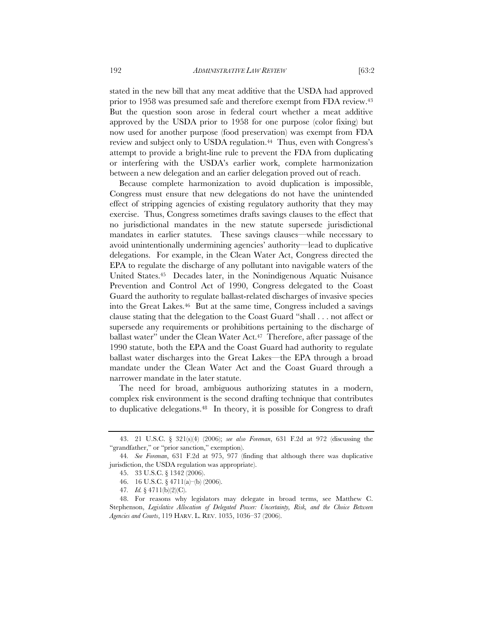stated in the new bill that any meat additive that the USDA had approved prior to 1958 was presumed safe and therefore exempt from FDA review.<sup>43</sup> But the question soon arose in federal court whether a meat additive approved by the USDA prior to 1958 for one purpose (color fixing) but now used for another purpose (food preservation) was exempt from FDA review and subject only to USDA regulation.<sup>44</sup> Thus, even with Congress's attempt to provide a bright-line rule to prevent the FDA from duplicating or interfering with the USDA's earlier work, complete harmonization between a new delegation and an earlier delegation proved out of reach.

Because complete harmonization to avoid duplication is impossible, Congress must ensure that new delegations do not have the unintended effect of stripping agencies of existing regulatory authority that they may exercise. Thus, Congress sometimes drafts savings clauses to the effect that no jurisdictional mandates in the new statute supersede jurisdictional mandates in earlier statutes. These savings clauses—while necessary to avoid unintentionally undermining agencies' authority—lead to duplicative delegations. For example, in the Clean Water Act, Congress directed the EPA to regulate the discharge of any pollutant into navigable waters of the United States.45 Decades later, in the Nonindigenous Aquatic Nuisance Prevention and Control Act of 1990, Congress delegated to the Coast Guard the authority to regulate ballast-related discharges of invasive species into the Great Lakes.46 But at the same time, Congress included a savings clause stating that the delegation to the Coast Guard "shall . . . not affect or supersede any requirements or prohibitions pertaining to the discharge of ballast water" under the Clean Water Act.<sup>47</sup> Therefore, after passage of the 1990 statute, both the EPA and the Coast Guard had authority to regulate ballast water discharges into the Great Lakes—the EPA through a broad mandate under the Clean Water Act and the Coast Guard through a narrower mandate in the later statute.

The need for broad, ambiguous authorizing statutes in a modern, complex risk environment is the second drafting technique that contributes to duplicative delegations.48 In theory, it is possible for Congress to draft

<sup>43. 21</sup> U.S.C. § 321(s)(4) (2006); *see also Foreman*, 631 F.2d at 972 (discussing the "grandfather," or "prior sanction," exemption).

<sup>44</sup>*. See Foreman*, 631 F.2d at 975, 977 (finding that although there was duplicative jurisdiction, the USDA regulation was appropriate).

<sup>45. 33</sup> U.S.C. § 1342 (2006).

<sup>46. 16</sup> U.S.C. § 4711(a)–(b) (2006).

<sup>47</sup>*. Id.* § 4711(b)(2)(C).

<sup>48.</sup> For reasons why legislators may delegate in broad terms, see Matthew C. Stephenson, *Legislative Allocation of Delegated Power: Uncertainty, Risk, and the Choice Between Agencies and Courts*, 119 HARV. L. REV. 1035, 1036–37 (2006).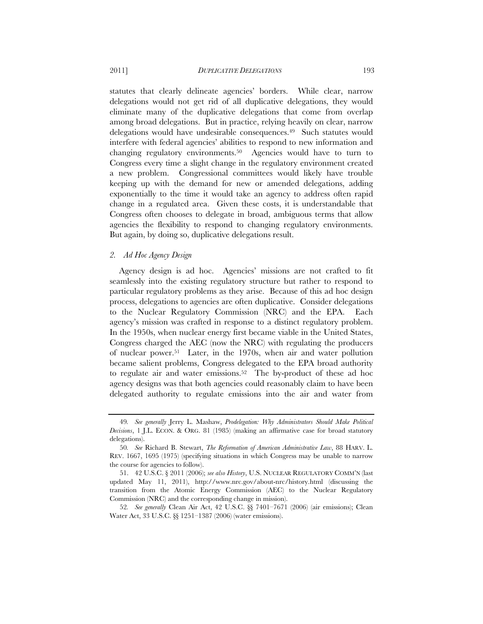statutes that clearly delineate agencies' borders. While clear, narrow delegations would not get rid of all duplicative delegations, they would eliminate many of the duplicative delegations that come from overlap among broad delegations. But in practice, relying heavily on clear, narrow delegations would have undesirable consequences.49 Such statutes would interfere with federal agencies' abilities to respond to new information and changing regulatory environments.50 Agencies would have to turn to Congress every time a slight change in the regulatory environment created a new problem. Congressional committees would likely have trouble keeping up with the demand for new or amended delegations, adding exponentially to the time it would take an agency to address often rapid change in a regulated area. Given these costs, it is understandable that Congress often chooses to delegate in broad, ambiguous terms that allow agencies the flexibility to respond to changing regulatory environments. But again, by doing so, duplicative delegations result.

#### *2. Ad Hoc Agency Design*

Agency design is ad hoc. Agencies' missions are not crafted to fit seamlessly into the existing regulatory structure but rather to respond to particular regulatory problems as they arise. Because of this ad hoc design process, delegations to agencies are often duplicative. Consider delegations to the Nuclear Regulatory Commission (NRC) and the EPA. Each agency's mission was crafted in response to a distinct regulatory problem. In the 1950s, when nuclear energy first became viable in the United States, Congress charged the AEC (now the NRC) with regulating the producers of nuclear power.51 Later, in the 1970s, when air and water pollution became salient problems, Congress delegated to the EPA broad authority to regulate air and water emissions.52 The by-product of these ad hoc agency designs was that both agencies could reasonably claim to have been delegated authority to regulate emissions into the air and water from

52*. See generally* Clean Air Act, 42 U.S.C. §§ 7401–7671 (2006) (air emissions); Clean Water Act, 33 U.S.C. §§ 1251–1387 (2006) (water emissions).

<sup>49</sup>*. See generally* Jerry L. Mashaw, *Prodelegation: Why Administrators Should Make Political Decisions*, 1 J.L. ECON. & ORG. 81 (1985) (making an affirmative case for broad statutory delegations).

<sup>50</sup>*. See* Richard B. Stewart, *The Reformation of American Administrative Law*, 88 HARV. L. REV. 1667, 1695 (1975) (specifying situations in which Congress may be unable to narrow the course for agencies to follow).

<sup>51. 42</sup> U.S.C. § 2011 (2006); *see also History*, U.S. NUCLEAR REGULATORY COMM'N (last updated May 11, 2011), http://www.nrc.gov/about-nrc/history.html (discussing the transition from the Atomic Energy Commission (AEC) to the Nuclear Regulatory Commission (NRC) and the corresponding change in mission).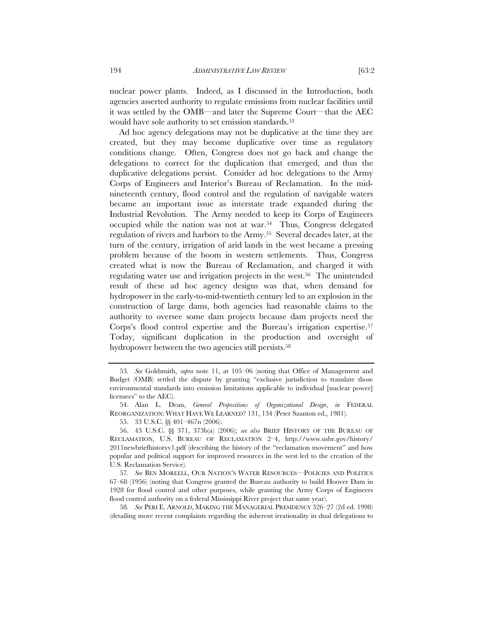nuclear power plants. Indeed, as I discussed in the Introduction, both agencies asserted authority to regulate emissions from nuclear facilities until it was settled by the OMB—and later the Supreme Court—that the AEC would have sole authority to set emission standards.<sup>53</sup>

Ad hoc agency delegations may not be duplicative at the time they are created, but they may become duplicative over time as regulatory conditions change. Often, Congress does not go back and change the delegations to correct for the duplication that emerged, and thus the duplicative delegations persist. Consider ad hoc delegations to the Army Corps of Engineers and Interior's Bureau of Reclamation. In the midnineteenth century, flood control and the regulation of navigable waters became an important issue as interstate trade expanded during the Industrial Revolution. The Army needed to keep its Corps of Engineers occupied while the nation was not at war.54 Thus, Congress delegated regulation of rivers and harbors to the Army.55 Several decades later, at the turn of the century, irrigation of arid lands in the west became a pressing problem because of the boom in western settlements. Thus, Congress created what is now the Bureau of Reclamation, and charged it with regulating water use and irrigation projects in the west.56 The unintended result of these ad hoc agency designs was that, when demand for hydropower in the early-to-mid-twentieth century led to an explosion in the construction of large dams, both agencies had reasonable claims to the authority to oversee some dam projects because dam projects need the Corps's flood control expertise and the Bureau's irrigation expertise.57 Today, significant duplication in the production and oversight of hydropower between the two agencies still persists.<sup>58</sup>

58*. See* PERI E. ARNOLD, MAKING THE MANAGERIAL PRESIDENCY 326–27 (2d ed. 1998) (detailing more recent complaints regarding the inherent irrationality in dual delegations to

<sup>53</sup>*. See* Goldsmith, *supra* note 11, at 105–06 (noting that Office of Management and Budget (OMB) settled the dispute by granting "exclusive jurisdiction to translate those environmental standards into emission limitations applicable to individual [nuclear power] licensees" to the AEC).

<sup>54.</sup> Alan L. Dean, *General Propositions of Organizational Design*, *in* FEDERAL REORGANIZATION: WHAT HAVE WE LEARNED? 131, 134 (Peter Szanton ed., 1981).

<sup>55. 33</sup> U.S.C. §§ 401–467n (2006).

<sup>56. 43</sup> U.S.C. §§ 371, 373b(a) (2006); *see also* BRIEF HISTORY OF THE BUREAU OF RECLAMATION, U.S. BUREAU OF RECLAMATION 2–4, http://www.usbr.gov/history/ 2011newbriefhistoryv1.pdf (describing the history of the "reclamation movement" and how popular and political support for improved resources in the west led to the creation of the U.S. Reclamation Service).

<sup>57</sup>*. See* BEN MOREELL, OUR NATION'S WATER RESOURCES—POLICIES AND POLITICS 67–68 (1956) (noting that Congress granted the Bureau authority to build Hoover Dam in 1928 for flood control and other purposes, while granting the Army Corps of Engineers flood control authority on a federal Mississippi River project that same year).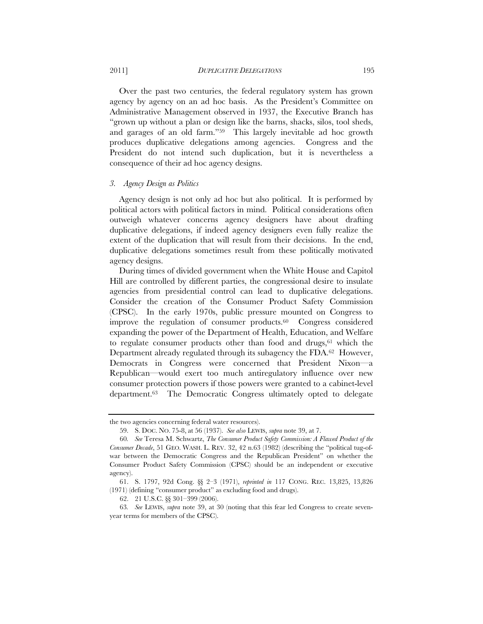2011] *DUPLICATIVE DELEGATIONS* 195

Over the past two centuries, the federal regulatory system has grown agency by agency on an ad hoc basis. As the President's Committee on Administrative Management observed in 1937, the Executive Branch has "grown up without a plan or design like the barns, shacks, silos, tool sheds, and garages of an old farm."59 This largely inevitable ad hoc growth produces duplicative delegations among agencies. Congress and the President do not intend such duplication, but it is nevertheless a consequence of their ad hoc agency designs.

#### *3. Agency Design as Politics*

Agency design is not only ad hoc but also political. It is performed by political actors with political factors in mind. Political considerations often outweigh whatever concerns agency designers have about drafting duplicative delegations, if indeed agency designers even fully realize the extent of the duplication that will result from their decisions. In the end, duplicative delegations sometimes result from these politically motivated agency designs.

During times of divided government when the White House and Capitol Hill are controlled by different parties, the congressional desire to insulate agencies from presidential control can lead to duplicative delegations. Consider the creation of the Consumer Product Safety Commission (CPSC). In the early 1970s, public pressure mounted on Congress to improve the regulation of consumer products.60 Congress considered expanding the power of the Department of Health, Education, and Welfare to regulate consumer products other than food and drugs, $61$  which the Department already regulated through its subagency the FDA.62 However, Democrats in Congress were concerned that President Nixon—a Republican—would exert too much antiregulatory influence over new consumer protection powers if those powers were granted to a cabinet-level department.63 The Democratic Congress ultimately opted to delegate

the two agencies concerning federal water resources).

<sup>59.</sup> S. DOC. NO. 75-8, at 56 (1937). *See also* LEWIS, *supra* note 39, at 7.

<sup>60</sup>*. See* Teresa M. Schwartz, *The Consumer Product Safety Commission: A Flawed Product of the Consumer Decade*, 51 GEO. WASH. L. REV. 32, 42 n.63 (1982) (describing the "political tug-ofwar between the Democratic Congress and the Republican President" on whether the Consumer Product Safety Commission (CPSC) should be an independent or executive agency).

<sup>61.</sup> S. 1797, 92d Cong. §§ 2–3 (1971), *reprinted in* 117 CONG. REC. 13,825, 13,826 (1971) (defining "consumer product" as excluding food and drugs).

<sup>62. 21</sup> U.S.C. §§ 301–399 (2006).

<sup>63</sup>*. See* LEWIS, *supra* note 39, at 30 (noting that this fear led Congress to create sevenyear terms for members of the CPSC).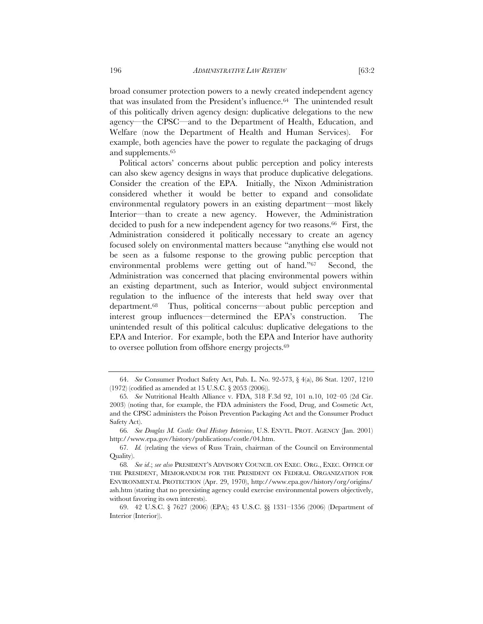broad consumer protection powers to a newly created independent agency that was insulated from the President's influence.64 The unintended result of this politically driven agency design: duplicative delegations to the new agency—the CPSC—and to the Department of Health, Education, and Welfare (now the Department of Health and Human Services). For example, both agencies have the power to regulate the packaging of drugs and supplements.65

Political actors' concerns about public perception and policy interests can also skew agency designs in ways that produce duplicative delegations. Consider the creation of the EPA. Initially, the Nixon Administration considered whether it would be better to expand and consolidate environmental regulatory powers in an existing department—most likely Interior—than to create a new agency. However, the Administration decided to push for a new independent agency for two reasons.<sup>66</sup> First, the Administration considered it politically necessary to create an agency focused solely on environmental matters because "anything else would not be seen as a fulsome response to the growing public perception that environmental problems were getting out of hand."67 Second, the Administration was concerned that placing environmental powers within an existing department, such as Interior, would subject environmental regulation to the influence of the interests that held sway over that department.68 Thus, political concerns—about public perception and interest group influences—determined the EPA's construction. The unintended result of this political calculus: duplicative delegations to the EPA and Interior. For example, both the EPA and Interior have authority to oversee pollution from offshore energy projects.69

<sup>64.</sup> *See* Consumer Product Safety Act, Pub. L. No. 92-573, § 4(a), 86 Stat. 1207, 1210 (1972) (codified as amended at 15 U.S.C. § 2053 (2006)).

<sup>65</sup>*. See* Nutritional Health Alliance v. FDA, 318 F.3d 92, 101 n.10, 102–05 (2d Cir. 2003) (noting that, for example, the FDA administers the Food, Drug, and Cosmetic Act, and the CPSC administers the Poison Prevention Packaging Act and the Consumer Product Safety Act).

<sup>66</sup>*. See Douglas M. Costle: Oral History Interview*, U.S. ENVTL. PROT. AGENCY (Jan. 2001) http://www.epa.gov/history/publications/costle/04.htm.

<sup>67</sup>*. Id.* (relating the views of Russ Train, chairman of the Council on Environmental Quality).

<sup>68</sup>*. See id*.; *see also* PRESIDENT'S ADVISORY COUNCIL ON EXEC. ORG., EXEC. OFFICE OF THE PRESIDENT, MEMORANDUM FOR THE PRESIDENT ON FEDERAL ORGANIZATION FOR ENVIRONMENTAL PROTECTION (Apr. 29, 1970), http://www.epa.gov/history/org/origins/ ash.htm (stating that no preexisting agency could exercise environmental powers objectively, without favoring its own interests).

<sup>69. 42</sup> U.S.C. § 7627 (2006) (EPA); 43 U.S.C. §§ 1331–1356 (2006) (Department of Interior (Interior)).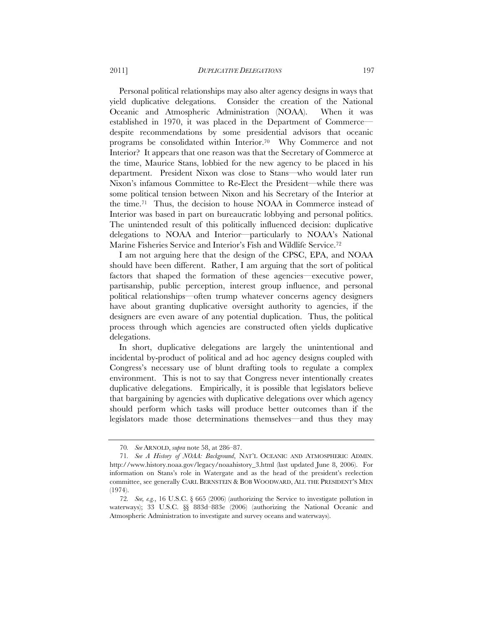Personal political relationships may also alter agency designs in ways that yield duplicative delegations. Consider the creation of the National Oceanic and Atmospheric Administration (NOAA). When it was established in 1970, it was placed in the Department of Commerce despite recommendations by some presidential advisors that oceanic programs be consolidated within Interior.70 Why Commerce and not Interior? It appears that one reason was that the Secretary of Commerce at the time, Maurice Stans, lobbied for the new agency to be placed in his department. President Nixon was close to Stans—who would later run Nixon's infamous Committee to Re-Elect the President—while there was some political tension between Nixon and his Secretary of the Interior at the time.71 Thus, the decision to house NOAA in Commerce instead of Interior was based in part on bureaucratic lobbying and personal politics. The unintended result of this politically influenced decision: duplicative delegations to NOAA and Interior—particularly to NOAA's National Marine Fisheries Service and Interior's Fish and Wildlife Service.72

I am not arguing here that the design of the CPSC, EPA, and NOAA should have been different. Rather, I am arguing that the sort of political factors that shaped the formation of these agencies—executive power, partisanship, public perception, interest group influence, and personal political relationships—often trump whatever concerns agency designers have about granting duplicative oversight authority to agencies, if the designers are even aware of any potential duplication. Thus, the political process through which agencies are constructed often yields duplicative delegations.

In short, duplicative delegations are largely the unintentional and incidental by-product of political and ad hoc agency designs coupled with Congress's necessary use of blunt drafting tools to regulate a complex environment. This is not to say that Congress never intentionally creates duplicative delegations. Empirically, it is possible that legislators believe that bargaining by agencies with duplicative delegations over which agency should perform which tasks will produce better outcomes than if the legislators made those determinations themselves—and thus they may

<sup>70</sup>*. See* ARNOLD, *supra* note 58, at 286–87.

<sup>71</sup>*. See A History of NOAA: Background*, NAT'L OCEANIC AND ATMOSPHERIC ADMIN. http://www.history.noaa.gov/legacy/noaahistory\_3.html (last updated June 8, 2006). For information on Stans's role in Watergate and as the head of the president's reelection committee, see generally CARL BERNSTEIN & BOB WOODWARD, ALL THE PRESIDENT'S MEN (1974).

<sup>72</sup>*. See, e.g.*, 16 U.S.C. § 665 (2006) (authorizing the Service to investigate pollution in waterways); 33 U.S.C. §§ 883d–883e (2006) (authorizing the National Oceanic and Atmospheric Administration to investigate and survey oceans and waterways).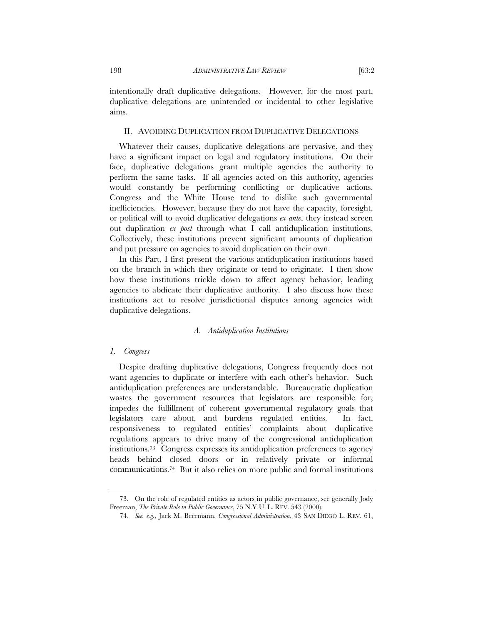intentionally draft duplicative delegations. However, for the most part, duplicative delegations are unintended or incidental to other legislative aims.

#### II. AVOIDING DUPLICATION FROM DUPLICATIVE DELEGATIONS

Whatever their causes, duplicative delegations are pervasive, and they have a significant impact on legal and regulatory institutions. On their face, duplicative delegations grant multiple agencies the authority to perform the same tasks. If all agencies acted on this authority, agencies would constantly be performing conflicting or duplicative actions. Congress and the White House tend to dislike such governmental inefficiencies. However, because they do not have the capacity, foresight, or political will to avoid duplicative delegations *ex ante*, they instead screen out duplication *ex post* through what I call antiduplication institutions. Collectively, these institutions prevent significant amounts of duplication and put pressure on agencies to avoid duplication on their own.

In this Part, I first present the various antiduplication institutions based on the branch in which they originate or tend to originate. I then show how these institutions trickle down to affect agency behavior, leading agencies to abdicate their duplicative authority. I also discuss how these institutions act to resolve jurisdictional disputes among agencies with duplicative delegations.

#### *A. Antiduplication Institutions*

#### *1. Congress*

Despite drafting duplicative delegations, Congress frequently does not want agencies to duplicate or interfere with each other's behavior. Such antiduplication preferences are understandable. Bureaucratic duplication wastes the government resources that legislators are responsible for, impedes the fulfillment of coherent governmental regulatory goals that legislators care about, and burdens regulated entities. In fact, responsiveness to regulated entities' complaints about duplicative regulations appears to drive many of the congressional antiduplication institutions.73 Congress expresses its antiduplication preferences to agency heads behind closed doors or in relatively private or informal communications.74 But it also relies on more public and formal institutions

<sup>73.</sup> On the role of regulated entities as actors in public governance, see generally Jody Freeman, *The Private Role in Public Governance*, 75 N.Y.U. L. REV. 543 (2000).

<sup>74</sup>*. See, e.g.*, Jack M. Beermann, *Congressional Administration*, 43 SAN DIEGO L. REV. 61,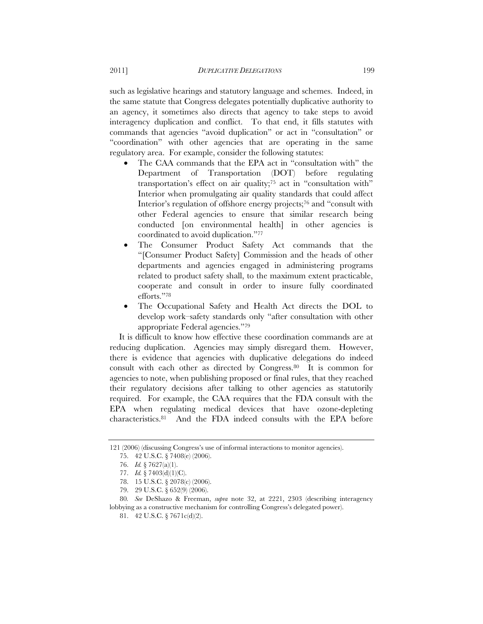such as legislative hearings and statutory language and schemes. Indeed, in the same statute that Congress delegates potentially duplicative authority to an agency, it sometimes also directs that agency to take steps to avoid interagency duplication and conflict. To that end, it fills statutes with commands that agencies "avoid duplication" or act in "consultation" or "coordination" with other agencies that are operating in the same regulatory area. For example, consider the following statutes:

- The CAA commands that the EPA act in "consultation with" the Department of Transportation (DOT) before regulating transportation's effect on air quality;75 act in "consultation with" Interior when promulgating air quality standards that could affect Interior's regulation of offshore energy projects;76 and "consult with other Federal agencies to ensure that similar research being conducted [on environmental health] in other agencies is coordinated to avoid duplication."77
- The Consumer Product Safety Act commands that the "[Consumer Product Safety] Commission and the heads of other departments and agencies engaged in administering programs related to product safety shall, to the maximum extent practicable, cooperate and consult in order to insure fully coordinated efforts."78
- The Occupational Safety and Health Act directs the DOL to develop work–safety standards only "after consultation with other appropriate Federal agencies."79

It is difficult to know how effective these coordination commands are at reducing duplication. Agencies may simply disregard them. However, there is evidence that agencies with duplicative delegations do indeed consult with each other as directed by Congress.80 It is common for agencies to note, when publishing proposed or final rules, that they reached their regulatory decisions after talking to other agencies as statutorily required. For example, the CAA requires that the FDA consult with the EPA when regulating medical devices that have ozone-depleting characteristics.81 And the FDA indeed consults with the EPA before

<sup>121 (2006) (</sup>discussing Congress's use of informal interactions to monitor agencies).

<sup>75. 42</sup> U.S.C. § 7408(e) (2006).

<sup>76.</sup> *Id.* § 7627(a)(1).

<sup>77.</sup> *Id.* § 7403(d)(1)(C).

<sup>78. 15</sup> U.S.C. § 2078(c) (2006).

<sup>79. 29</sup> U.S.C. § 652(9) (2006).

<sup>80</sup>*. See* DeShazo & Freeman, *supra* note 32, at 2221, 2303 (describing interagency lobbying as a constructive mechanism for controlling Congress's delegated power).

<sup>81. 42</sup> U.S.C. § 7671c(d)(2).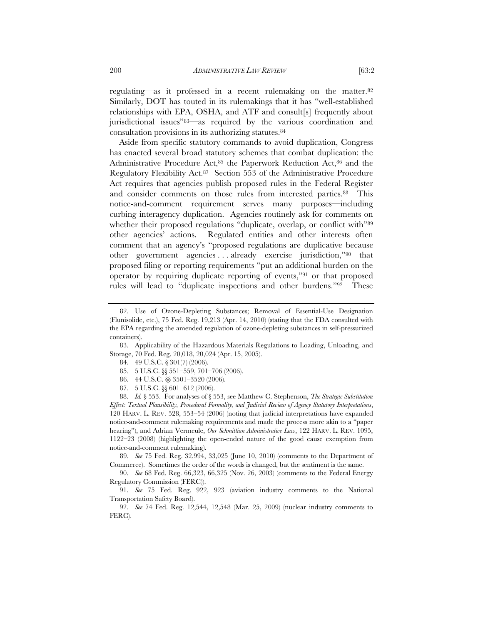regulating—as it professed in a recent rulemaking on the matter.82 Similarly, DOT has touted in its rulemakings that it has "well-established relationships with EPA, OSHA, and ATF and consult[s] frequently about jurisdictional issues"83—as required by the various coordination and consultation provisions in its authorizing statutes.84

Aside from specific statutory commands to avoid duplication, Congress has enacted several broad statutory schemes that combat duplication: the Administrative Procedure Act,<sup>85</sup> the Paperwork Reduction Act,<sup>86</sup> and the Regulatory Flexibility Act.87 Section 553 of the Administrative Procedure Act requires that agencies publish proposed rules in the Federal Register and consider comments on those rules from interested parties.<sup>88</sup> This notice-and-comment requirement serves many purposes—including curbing interagency duplication. Agencies routinely ask for comments on whether their proposed regulations "duplicate, overlap, or conflict with"89 other agencies' actions. Regulated entities and other interests often comment that an agency's "proposed regulations are duplicative because other government agencies . . . already exercise jurisdiction,"90 that proposed filing or reporting requirements "put an additional burden on the operator by requiring duplicate reporting of events,"91 or that proposed rules will lead to "duplicate inspections and other burdens."92 These

83. Applicability of the Hazardous Materials Regulations to Loading, Unloading, and Storage, 70 Fed. Reg. 20,018, 20,024 (Apr. 15, 2005).

- 86. 44 U.S.C. §§ 3501–3520 (2006).
- 87. 5 U.S.C. §§ 601–612 (2006).

88. *Id.* § 553. For analyses of § 553, see Matthew C. Stephenson, *The Strategic Substitution Effect: Textual Plausibility, Procedural Formality, and Judicial Review of Agency Statutory Interpretations*, 120 HARV. L. REV. 528, 553–54 (2006) (noting that judicial interpretations have expanded notice-and-comment rulemaking requirements and made the process more akin to a "paper hearing"), and Adrian Vermeule, *Our Schmittian Administrative Law*, 122 HARV. L. REV. 1095, 1122–23 (2008) (highlighting the open-ended nature of the good cause exemption from notice-and-comment rulemaking).

89. *See* 75 Fed. Reg. 32,994, 33,025 (June 10, 2010) (comments to the Department of Commerce). Sometimes the order of the words is changed, but the sentiment is the same.

90. *See* 68 Fed. Reg. 66,323, 66,325 (Nov. 26, 2003) (comments to the Federal Energy Regulatory Commission (FERC)).

92. *See* 74 Fed. Reg. 12,544, 12,548 (Mar. 25, 2009) (nuclear industry comments to FERC).

<sup>82.</sup> Use of Ozone-Depleting Substances; Removal of Essential-Use Designation (Flunisolide, etc.), 75 Fed. Reg. 19,213 (Apr. 14, 2010) (stating that the FDA consulted with the EPA regarding the amended regulation of ozone-depleting substances in self-pressurized containers).

<sup>84. 49</sup> U.S.C. § 301(7) (2006).

<sup>85. 5</sup> U.S.C. §§ 551–559, 701–706 (2006).

<sup>91.</sup> *See* 75 Fed. Reg. 922, 923 (aviation industry comments to the National Transportation Safety Board).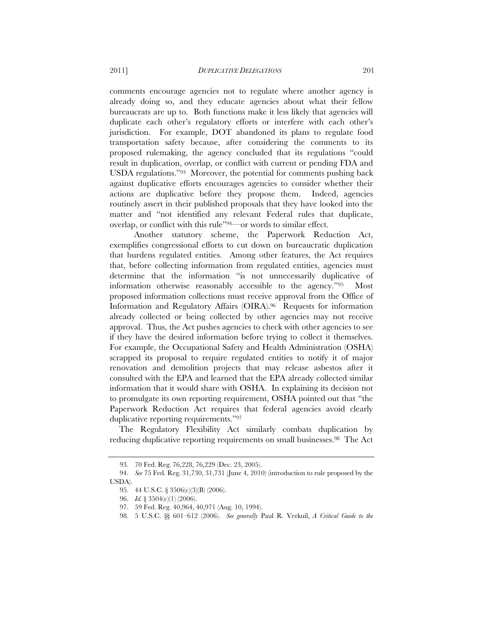comments encourage agencies not to regulate where another agency is already doing so, and they educate agencies about what their fellow bureaucrats are up to. Both functions make it less likely that agencies will duplicate each other's regulatory efforts or interfere with each other's jurisdiction. For example, DOT abandoned its plans to regulate food transportation safety because, after considering the comments to its proposed rulemaking, the agency concluded that its regulations "could result in duplication, overlap, or conflict with current or pending FDA and USDA regulations."93 Moreover, the potential for comments pushing back against duplicative efforts encourages agencies to consider whether their actions are duplicative before they propose them. Indeed, agencies routinely assert in their published proposals that they have looked into the matter and "not identified any relevant Federal rules that duplicate, overlap, or conflict with this rule"94—or words to similar effect.

 Another statutory scheme, the Paperwork Reduction Act, exemplifies congressional efforts to cut down on bureaucratic duplication that burdens regulated entities. Among other features, the Act requires that, before collecting information from regulated entities, agencies must determine that the information "is not unnecessarily duplicative of information otherwise reasonably accessible to the agency."95 Most proposed information collections must receive approval from the Office of Information and Regulatory Affairs (OIRA).96 Requests for information already collected or being collected by other agencies may not receive approval. Thus, the Act pushes agencies to check with other agencies to see if they have the desired information before trying to collect it themselves. For example, the Occupational Safety and Health Administration (OSHA) scrapped its proposal to require regulated entities to notify it of major renovation and demolition projects that may release asbestos after it consulted with the EPA and learned that the EPA already collected similar information that it would share with OSHA. In explaining its decision not to promulgate its own reporting requirement, OSHA pointed out that "the Paperwork Reduction Act requires that federal agencies avoid clearly duplicative reporting requirements."97

The Regulatory Flexibility Act similarly combats duplication by reducing duplicative reporting requirements on small businesses.98 The Act

<sup>93. 70</sup> Fed. Reg. 76,228, 76,229 (Dec. 23, 2005).

<sup>94.</sup> *See* 75 Fed. Reg. 31,730, 31,731 (June 4, 2010) (introduction to rule proposed by the USDA).

<sup>95. 44</sup> U.S.C. § 3506(c)(3)(B) (2006).

<sup>96.</sup> *Id.* § 3504(c)(1) (2006).

<sup>97. 59</sup> Fed. Reg. 40,964, 40,971 (Aug. 10, 1994).

<sup>98. 5</sup> U.S.C. §§ 601–612 (2006). *See generally* Paul R. Verkuil, *A Critical Guide to the*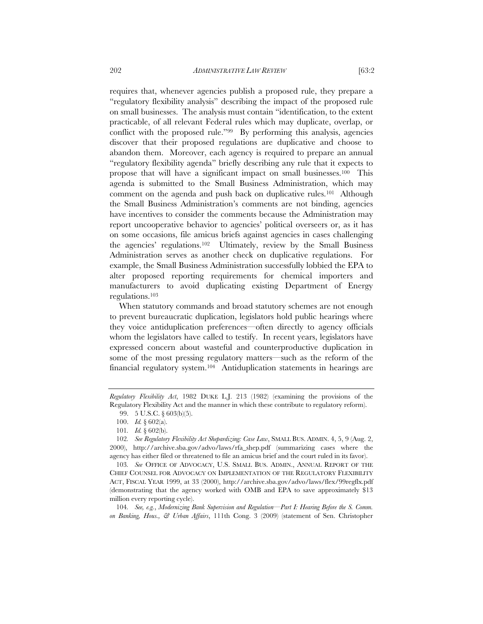requires that, whenever agencies publish a proposed rule, they prepare a "regulatory flexibility analysis" describing the impact of the proposed rule on small businesses. The analysis must contain "identification, to the extent practicable, of all relevant Federal rules which may duplicate, overlap, or conflict with the proposed rule."99 By performing this analysis, agencies discover that their proposed regulations are duplicative and choose to abandon them. Moreover, each agency is required to prepare an annual "regulatory flexibility agenda" briefly describing any rule that it expects to propose that will have a significant impact on small businesses.100 This agenda is submitted to the Small Business Administration, which may

comment on the agenda and push back on duplicative rules.<sup>101</sup> Although the Small Business Administration's comments are not binding, agencies have incentives to consider the comments because the Administration may report uncooperative behavior to agencies' political overseers or, as it has on some occasions, file amicus briefs against agencies in cases challenging the agencies' regulations.102 Ultimately, review by the Small Business Administration serves as another check on duplicative regulations. For example, the Small Business Administration successfully lobbied the EPA to alter proposed reporting requirements for chemical importers and manufacturers to avoid duplicating existing Department of Energy regulations.103

When statutory commands and broad statutory schemes are not enough to prevent bureaucratic duplication, legislators hold public hearings where they voice antiduplication preferences—often directly to agency officials whom the legislators have called to testify. In recent years, legislators have expressed concern about wasteful and counterproductive duplication in some of the most pressing regulatory matters—such as the reform of the financial regulatory system.104 Antiduplication statements in hearings are

104*. See, e.g.*, *Modernizing Bank Supervision and Regulation—Part I: Hearing Before the S. Comm. on Banking, Hous., & Urban Affairs*, 111th Cong. 3 (2009) (statement of Sen. Christopher

*Regulatory Flexibility Act*, 1982 DUKE L.J. 213 (1982) (examining the provisions of the Regulatory Flexibility Act and the manner in which these contribute to regulatory reform).

<sup>99. 5</sup> U.S.C. § 603(b)(5).

 <sup>100.</sup> *Id.* § 602(a).

<sup>101</sup>*. Id.* § 602(b).

<sup>102</sup>*. See Regulatory Flexibility Act Shepardizing: Case Law*, SMALL BUS. ADMIN. 4, 5, 9 (Aug. 2, 2000), http://archive.sba.gov/advo/laws/rfa\_shep.pdf (summarizing cases where the agency has either filed or threatened to file an amicus brief and the court ruled in its favor).

<sup>103</sup>*. See* OFFICE OF ADVOCACY, U.S. SMALL BUS. ADMIN., ANNUAL REPORT OF THE CHIEF COUNSEL FOR ADVOCACY ON IMPLEMENTATION OF THE REGULATORY FLEXIBILITY ACT, FISCAL YEAR 1999, at 33 (2000), http://archive.sba.gov/advo/laws/flex/99regflx.pdf (demonstrating that the agency worked with OMB and EPA to save approximately \$13 million every reporting cycle).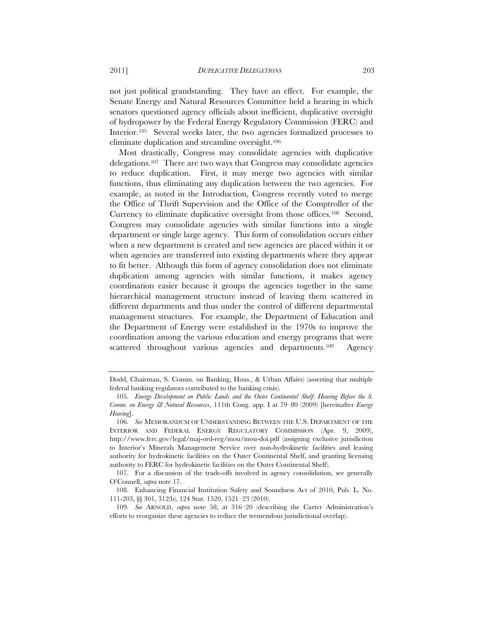not just political grandstanding. They have an effect. For example, the Senate Energy and Natural Resources Committee held a hearing in which senators questioned agency officials about inefficient, duplicative oversight of hydropower by the Federal Energy Regulatory Commission (FERC) and Interior.<sup>105</sup> Several weeks later, the two agencies formalized processes to eliminate duplication and streamline oversight.106

Most drastically, Congress may consolidate agencies with duplicative delegations.107 There are two ways that Congress may consolidate agencies to reduce duplication. First, it may merge two agencies with similar functions, thus eliminating any duplication between the two agencies. For example, as noted in the Introduction, Congress recently voted to merge the Office of Thrift Supervision and the Office of the Comptroller of the Currency to eliminate duplicative oversight from those offices.108 Second, Congress may consolidate agencies with similar functions into a single department or single large agency. This form of consolidation occurs either when a new department is created and new agencies are placed within it or when agencies are transferred into existing departments where they appear to fit better. Although this form of agency consolidation does not eliminate duplication among agencies with similar functions, it makes agency coordination easier because it groups the agencies together in the same hierarchical management structure instead of leaving them scattered in different departments and thus under the control of different departmental management structures. For example, the Department of Education and the Department of Energy were established in the 1970s to improve the coordination among the various education and energy programs that were scattered throughout various agencies and departments.<sup>109</sup> Agency

Dodd, Chairman, S. Comm. on Banking, Hous., & Urban Affairs) (asserting that multiple federal banking regulators contributed to the banking crisis).

<sup>105</sup>*. Energy Development on Public Lands and the Outer Continental Shelf: Hearing Before the S. Comm. on Energy & Natural Resources*, 111th Cong. app. I at 79–80 (2009) [hereinafter *Energy Hearing*].

<sup>106</sup>*. See* MEMORANDUM OF UNDERSTANDING BETWEEN THE U.S. DEPARTMENT OF THE INTERIOR AND FEDERAL ENERGY REGULATORY COMMISSION (Apr. 9, 2009), http://www.ferc.gov/legal/maj-ord-reg/mou/mou-doi.pdf (assigning exclusive jurisdiction to Interior's Minerals Management Service over non-hydrokinetic facilities and leasing authority for hydrokinetic facilities on the Outer Continental Shelf, and granting licensing authority to FERC for hydrokinetic facilities on the Outer Continental Shelf).

 <sup>107.</sup> For a discussion of the trade-offs involved in agency consolidation, see generally O'Connell, *supra* note 17.

 <sup>108.</sup> Enhancing Financial Institution Safety and Soundness Act of 2010, Pub. L. No. 111-203, §§ 301, 312(b), 124 Stat. 1520, 1521–23 (2010).

<sup>109</sup>*. See* ARNOLD, *supra* note 58, at 316–20 (describing the Carter Administration's efforts to reorganize these agencies to reduce the tremendous jurisdictional overlap).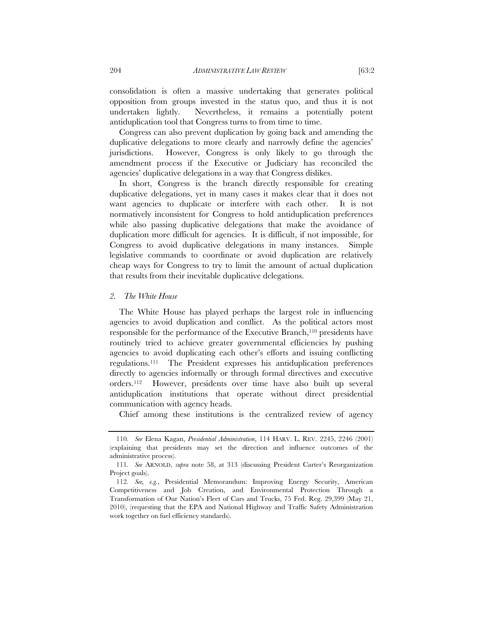consolidation is often a massive undertaking that generates political opposition from groups invested in the status quo, and thus it is not undertaken lightly. Nevertheless, it remains a potentially potent antiduplication tool that Congress turns to from time to time.

Congress can also prevent duplication by going back and amending the duplicative delegations to more clearly and narrowly define the agencies' jurisdictions. However, Congress is only likely to go through the amendment process if the Executive or Judiciary has reconciled the agencies' duplicative delegations in a way that Congress dislikes.

In short, Congress is the branch directly responsible for creating duplicative delegations, yet in many cases it makes clear that it does not want agencies to duplicate or interfere with each other. It is not normatively inconsistent for Congress to hold antiduplication preferences while also passing duplicative delegations that make the avoidance of duplication more difficult for agencies. It is difficult, if not impossible, for Congress to avoid duplicative delegations in many instances. Simple legislative commands to coordinate or avoid duplication are relatively cheap ways for Congress to try to limit the amount of actual duplication that results from their inevitable duplicative delegations.

#### *2. The White House*

The White House has played perhaps the largest role in influencing agencies to avoid duplication and conflict. As the political actors most responsible for the performance of the Executive Branch,<sup>110</sup> presidents have routinely tried to achieve greater governmental efficiencies by pushing agencies to avoid duplicating each other's efforts and issuing conflicting regulations.111 The President expresses his antiduplication preferences directly to agencies informally or through formal directives and executive orders.112 However, presidents over time have also built up several antiduplication institutions that operate without direct presidential communication with agency heads.

Chief among these institutions is the centralized review of agency

<sup>110</sup>*. See* Elena Kagan, *Presidential Administration*, 114 HARV. L. REV. 2245, 2246 (2001) (explaining that presidents may set the direction and influence outcomes of the administrative process).

<sup>111</sup>*. See* ARNOLD, *supra* note 58, at 313 (discussing President Carter's Reorganization Project goals).

<sup>112</sup>*. See, e.g.*, Presidential Memorandum: Improving Energy Security, American Competitiveness and Job Creation, and Environmental Protection Through a Transformation of Our Nation's Fleet of Cars and Trucks, 75 Fed. Reg. 29,399 (May 21, 2010), (requesting that the EPA and National Highway and Traffic Safety Administration work together on fuel efficiency standards).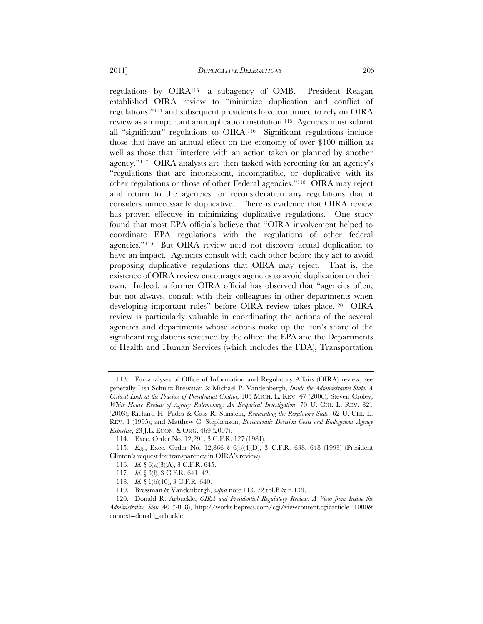regulations by OIRA113—a subagency of OMB. President Reagan established OIRA review to "minimize duplication and conflict of regulations,"114 and subsequent presidents have continued to rely on OIRA review as an important antiduplication institution.115 Agencies must submit all "significant" regulations to OIRA.116 Significant regulations include those that have an annual effect on the economy of over \$100 million as well as those that "interfere with an action taken or planned by another agency."117 OIRA analysts are then tasked with screening for an agency's "regulations that are inconsistent, incompatible, or duplicative with its other regulations or those of other Federal agencies."118 OIRA may reject and return to the agencies for reconsideration any regulations that it considers unnecessarily duplicative. There is evidence that OIRA review has proven effective in minimizing duplicative regulations. One study found that most EPA officials believe that "OIRA involvement helped to coordinate EPA regulations with the regulations of other federal agencies."119 But OIRA review need not discover actual duplication to have an impact. Agencies consult with each other before they act to avoid proposing duplicative regulations that OIRA may reject. That is, the existence of OIRA review encourages agencies to avoid duplication on their own. Indeed, a former OIRA official has observed that "agencies often, but not always, consult with their colleagues in other departments when developing important rules" before OIRA review takes place.120 OIRA review is particularly valuable in coordinating the actions of the several agencies and departments whose actions make up the lion's share of the significant regulations screened by the office: the EPA and the Departments of Health and Human Services (which includes the FDA), Transportation

 <sup>113.</sup> For analyses of Office of Information and Regulatory Affairs (OIRA) review, see generally Lisa Schultz Bressman & Michael P. Vandenbergh, *Inside the Administrative State: A Critical Look at the Practice of Presidential Control*, 105 MICH. L. REV. 47 (2006); Steven Croley, *White House Review of Agency Rulemaking: An Empirical Investigation*, 70 U. CHI. L. REV. 821 (2003); Richard H. Pildes & Cass R. Sunstein, *Reinventing the Regulatory State*, 62 U. CHI. L. REV. 1 (1995); and Matthew C. Stephenson, *Bureaucratic Decision Costs and Endogenous Agency Expertise*, 23 J.L. ECON. & ORG. 469 (2007).

<sup>114.</sup> Exec. Order No. 12,291, 3 C.F.R. 127 (1981).

<sup>115</sup>*. E.g.*, Exec. Order No. 12,866 § 6(b)(4)(D), 3 C.F.R. 638, 648 (1993) (President Clinton's request for transparency in OIRA's review).

<sup>116</sup>*. Id.* § 6(a)(3)(A), 3 C.F.R. 645.

<sup>117</sup>*. Id.* § 3(f), 3 C.F.R. 641–42.

<sup>118</sup>*. Id.* § 1(b)(10), 3 C.F.R. 640.

<sup>119.</sup> Bressman & Vandenbergh, *supra* note 113, 72 tbl.B & n.139.

<sup>120.</sup> Donald R. Arbuckle, *OIRA and Presidential Regulatory Review: A View from Inside the Administrative State* 40 (2008), http://works.bepress.com/cgi/viewcontent.cgi?article=1000& context=donald\_arbuckle.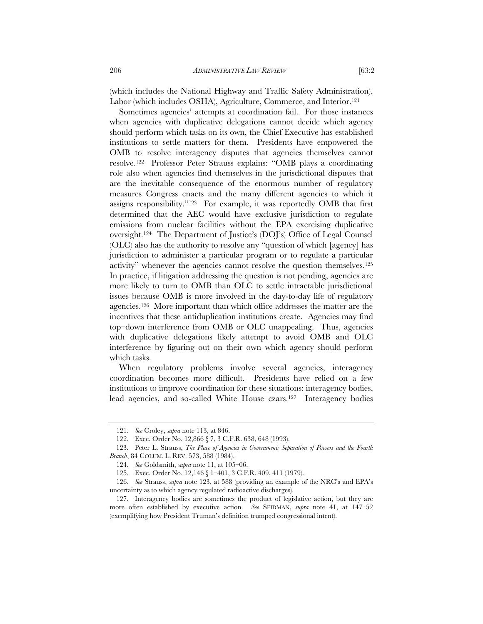(which includes the National Highway and Traffic Safety Administration), Labor (which includes OSHA), Agriculture, Commerce, and Interior.<sup>121</sup>

Sometimes agencies' attempts at coordination fail. For those instances when agencies with duplicative delegations cannot decide which agency should perform which tasks on its own, the Chief Executive has established institutions to settle matters for them. Presidents have empowered the OMB to resolve interagency disputes that agencies themselves cannot resolve.122 Professor Peter Strauss explains: "OMB plays a coordinating role also when agencies find themselves in the jurisdictional disputes that are the inevitable consequence of the enormous number of regulatory measures Congress enacts and the many different agencies to which it assigns responsibility."123 For example, it was reportedly OMB that first determined that the AEC would have exclusive jurisdiction to regulate emissions from nuclear facilities without the EPA exercising duplicative oversight.124 The Department of Justice's (DOJ's) Office of Legal Counsel (OLC) also has the authority to resolve any "question of which [agency] has jurisdiction to administer a particular program or to regulate a particular activity" whenever the agencies cannot resolve the question themselves.125 In practice, if litigation addressing the question is not pending, agencies are more likely to turn to OMB than OLC to settle intractable jurisdictional issues because OMB is more involved in the day-to-day life of regulatory agencies.126 More important than which office addresses the matter are the incentives that these antiduplication institutions create. Agencies may find top–down interference from OMB or OLC unappealing. Thus, agencies with duplicative delegations likely attempt to avoid OMB and OLC interference by figuring out on their own which agency should perform which tasks.

When regulatory problems involve several agencies, interagency coordination becomes more difficult. Presidents have relied on a few institutions to improve coordination for these situations: interagency bodies, lead agencies, and so-called White House czars.127 Interagency bodies

<sup>121</sup>*. See* Croley, *supra* note 113, at 846.

<sup>122.</sup> Exec. Order No. 12,866 § 7, 3 C.F.R. 638, 648 (1993).

 <sup>123.</sup> Peter L. Strauss, *The Place of Agencies in Government: Separation of Powers and the Fourth Branch*, 84 COLUM. L. REV. 573, 588 (1984).

<sup>124</sup>*. See* Goldsmith, *supra* note 11, at 105–06.

<sup>125.</sup> Exec. Order No. 12,146 § 1–401, 3 C.F.R. 409, 411 (1979).

<sup>126</sup>*. See* Strauss, *supra* note 123, at 588 (providing an example of the NRC's and EPA's uncertainty as to which agency regulated radioactive discharges).

 <sup>127.</sup> Interagency bodies are sometimes the product of legislative action, but they are more often established by executive action. *See* SEIDMAN, *supra* note 41, at 147–52 (exemplifying how President Truman's definition trumped congressional intent).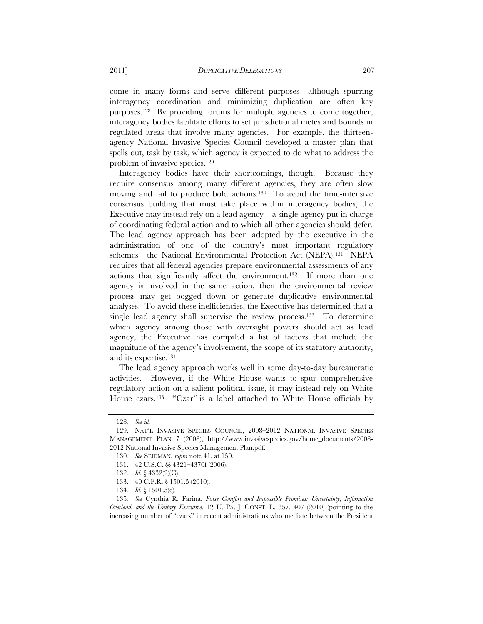come in many forms and serve different purposes—although spurring interagency coordination and minimizing duplication are often key purposes.128 By providing forums for multiple agencies to come together, interagency bodies facilitate efforts to set jurisdictional metes and bounds in regulated areas that involve many agencies. For example, the thirteenagency National Invasive Species Council developed a master plan that spells out, task by task, which agency is expected to do what to address the problem of invasive species.129

Interagency bodies have their shortcomings, though. Because they require consensus among many different agencies, they are often slow moving and fail to produce bold actions.130 To avoid the time-intensive consensus building that must take place within interagency bodies, the Executive may instead rely on a lead agency—a single agency put in charge of coordinating federal action and to which all other agencies should defer. The lead agency approach has been adopted by the executive in the administration of one of the country's most important regulatory schemes—the National Environmental Protection Act (NEPA).131 NEPA requires that all federal agencies prepare environmental assessments of any actions that significantly affect the environment.132 If more than one agency is involved in the same action, then the environmental review process may get bogged down or generate duplicative environmental analyses. To avoid these inefficiencies, the Executive has determined that a single lead agency shall supervise the review process.<sup>133</sup> To determine which agency among those with oversight powers should act as lead agency, the Executive has compiled a list of factors that include the magnitude of the agency's involvement, the scope of its statutory authority, and its expertise.134

The lead agency approach works well in some day-to-day bureaucratic activities. However, if the White House wants to spur comprehensive regulatory action on a salient political issue, it may instead rely on White House czars.135 "Czar" is a label attached to White House officials by

<sup>128</sup>*. See id.*

 <sup>129.</sup> NAT'L INVASIVE SPECIES COUNCIL, 2008–2012 NATIONAL INVASIVE SPECIES MANAGEMENT PLAN 7 (2008), http://www.invasivespecies.gov/home\_documents/2008- 2012 National Invasive Species Management Plan.pdf.

<sup>130</sup>*. See* SEIDMAN, *supra* note 41, at 150.

<sup>131. 42</sup> U.S.C. §§ 4321–4370f (2006).

<sup>132</sup>*. Id.* § 4332(2)(C).

<sup>133. 40</sup> C.F.R. § 1501.5 (2010).

<sup>134</sup>*. Id.* § 1501.5(c).

<sup>135</sup>*. See* Cynthia R. Farina, *False Comfort and Impossible Promises: Uncertainty, Information Overload, and the Unitary Executive*, 12 U. PA. J. CONST. L. 357, 407 (2010) (pointing to the increasing number of "czars" in recent administrations who mediate between the President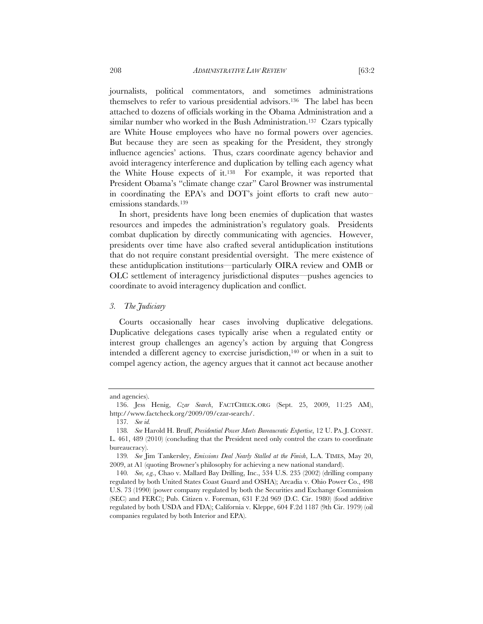journalists, political commentators, and sometimes administrations themselves to refer to various presidential advisors.136 The label has been attached to dozens of officials working in the Obama Administration and a similar number who worked in the Bush Administration.<sup>137</sup> Czars typically are White House employees who have no formal powers over agencies. But because they are seen as speaking for the President, they strongly influence agencies' actions. Thus, czars coordinate agency behavior and avoid interagency interference and duplication by telling each agency what the White House expects of it.138 For example, it was reported that President Obama's "climate change czar" Carol Browner was instrumental in coordinating the EPA's and DOT's joint efforts to craft new auto– emissions standards.139

In short, presidents have long been enemies of duplication that wastes resources and impedes the administration's regulatory goals. Presidents combat duplication by directly communicating with agencies. However, presidents over time have also crafted several antiduplication institutions that do not require constant presidential oversight. The mere existence of these antiduplication institutions—particularly OIRA review and OMB or OLC settlement of interagency jurisdictional disputes—pushes agencies to coordinate to avoid interagency duplication and conflict.

#### *3. The Judiciary*

Courts occasionally hear cases involving duplicative delegations. Duplicative delegations cases typically arise when a regulated entity or interest group challenges an agency's action by arguing that Congress intended a different agency to exercise jurisdiction,140 or when in a suit to compel agency action, the agency argues that it cannot act because another

and agencies).

 <sup>136.</sup> Jess Henig, *Czar Search*, FACTCHECK.ORG (Sept. 25, 2009, 11:25 AM), http://www.factcheck.org/2009/09/czar-search/.

<sup>137</sup>*. See id.*

<sup>138</sup>*. See* Harold H. Bruff, *Presidential Power Meets Bureaucratic Expertise*, 12 U. PA. J. CONST. L. 461, 489 (2010) (concluding that the President need only control the czars to coordinate bureaucracy).

<sup>139</sup>*. See* Jim Tankersley, *Emissions Deal Nearly Stalled at the Finish*, L.A. TIMES, May 20, 2009, at A1 (quoting Browner's philosophy for achieving a new national standard).

<sup>140</sup>*. See, e.g.*, Chao v. Mallard Bay Drilling, Inc., 534 U.S. 235 (2002) (drilling company regulated by both United States Coast Guard and OSHA); Arcadia v. Ohio Power Co., 498 U.S. 73 (1990) (power company regulated by both the Securities and Exchange Commission (SEC) and FERC); Pub. Citizen v. Foreman, 631 F.2d 969 (D.C. Cir. 1980) (food additive regulated by both USDA and FDA); California v. Kleppe, 604 F.2d 1187 (9th Cir. 1979) (oil companies regulated by both Interior and EPA).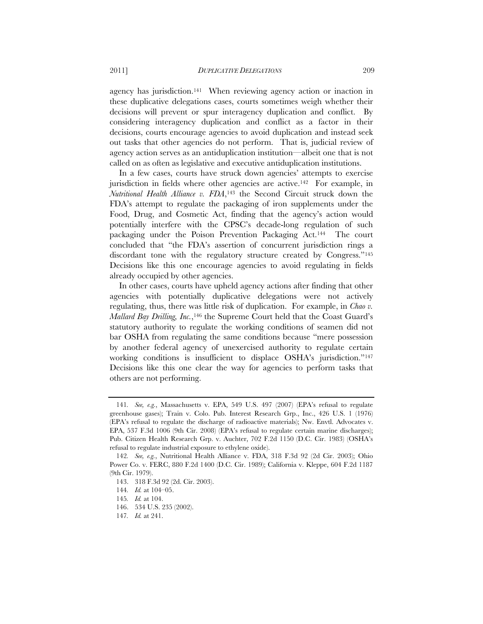agency has jurisdiction.141 When reviewing agency action or inaction in these duplicative delegations cases, courts sometimes weigh whether their decisions will prevent or spur interagency duplication and conflict. By considering interagency duplication and conflict as a factor in their decisions, courts encourage agencies to avoid duplication and instead seek out tasks that other agencies do not perform. That is, judicial review of agency action serves as an antiduplication institution—albeit one that is not called on as often as legislative and executive antiduplication institutions.

In a few cases, courts have struck down agencies' attempts to exercise jurisdiction in fields where other agencies are active.<sup>142</sup> For example, in *Nutritional Health Alliance v. FDA*,143 the Second Circuit struck down the FDA's attempt to regulate the packaging of iron supplements under the Food, Drug, and Cosmetic Act, finding that the agency's action would potentially interfere with the CPSC's decade-long regulation of such packaging under the Poison Prevention Packaging Act.144 The court concluded that "the FDA's assertion of concurrent jurisdiction rings a discordant tone with the regulatory structure created by Congress."145 Decisions like this one encourage agencies to avoid regulating in fields already occupied by other agencies.

In other cases, courts have upheld agency actions after finding that other agencies with potentially duplicative delegations were not actively regulating, thus, there was little risk of duplication. For example, in *Chao v. Mallard Bay Drilling, Inc.*,146 the Supreme Court held that the Coast Guard's statutory authority to regulate the working conditions of seamen did not bar OSHA from regulating the same conditions because "mere possession by another federal agency of unexercised authority to regulate certain working conditions is insufficient to displace OSHA's jurisdiction."147 Decisions like this one clear the way for agencies to perform tasks that others are not performing.

<sup>141</sup>*. See, e.g.*, Massachusetts v. EPA, 549 U.S. 497 (2007) (EPA's refusal to regulate greenhouse gases); Train v. Colo. Pub. Interest Research Grp., Inc., 426 U.S. 1 (1976) (EPA's refusal to regulate the discharge of radioactive materials); Nw. Envtl. Advocates v. EPA, 537 F.3d 1006 (9th Cir. 2008) (EPA's refusal to regulate certain marine discharges); Pub. Citizen Health Research Grp. v. Auchter, 702 F.2d 1150 (D.C. Cir. 1983) (OSHA's refusal to regulate industrial exposure to ethylene oxide).

<sup>142</sup>*. See, e.g.*, Nutritional Health Alliance v. FDA, 318 F.3d 92 (2d Cir. 2003); Ohio Power Co. v. FERC, 880 F.2d 1400 (D.C. Cir. 1989); California v. Kleppe, 604 F.2d 1187 (9th Cir. 1979).

<sup>143. 318</sup> F.3d 92 (2d. Cir. 2003).

<sup>144</sup>*. Id.* at 104–05.

<sup>145</sup>*. Id.* at 104.

<sup>146. 534</sup> U.S. 235 (2002).

<sup>147</sup>*. Id.* at 241.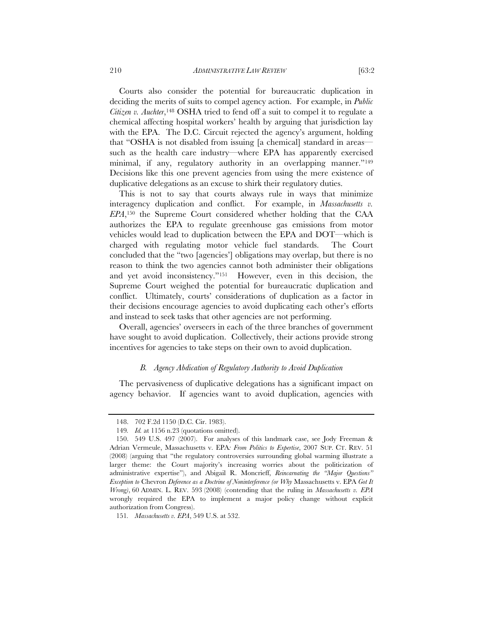Courts also consider the potential for bureaucratic duplication in deciding the merits of suits to compel agency action. For example, in *Public Citizen v. Auchter*,148 OSHA tried to fend off a suit to compel it to regulate a chemical affecting hospital workers' health by arguing that jurisdiction lay with the EPA. The D.C. Circuit rejected the agency's argument, holding that "OSHA is not disabled from issuing [a chemical] standard in areas such as the health care industry—where EPA has apparently exercised minimal, if any, regulatory authority in an overlapping manner."<sup>149</sup> Decisions like this one prevent agencies from using the mere existence of duplicative delegations as an excuse to shirk their regulatory duties.

This is not to say that courts always rule in ways that minimize interagency duplication and conflict. For example, in *Massachusetts v. EPA*,150 the Supreme Court considered whether holding that the CAA authorizes the EPA to regulate greenhouse gas emissions from motor vehicles would lead to duplication between the EPA and DOT—which is charged with regulating motor vehicle fuel standards. The Court concluded that the "two [agencies'] obligations may overlap, but there is no reason to think the two agencies cannot both administer their obligations and yet avoid inconsistency."151 However, even in this decision, the Supreme Court weighed the potential for bureaucratic duplication and conflict. Ultimately, courts' considerations of duplication as a factor in their decisions encourage agencies to avoid duplicating each other's efforts and instead to seek tasks that other agencies are not performing.

Overall, agencies' overseers in each of the three branches of government have sought to avoid duplication. Collectively, their actions provide strong incentives for agencies to take steps on their own to avoid duplication.

#### *B. Agency Abdication of Regulatory Authority to Avoid Duplication*

The pervasiveness of duplicative delegations has a significant impact on agency behavior. If agencies want to avoid duplication, agencies with

<sup>148. 702</sup> F.2d 1150 (D.C. Cir. 1983).

<sup>149</sup>*. Id.* at 1156 n.23 (quotations omitted).

<sup>150. 549</sup> U.S. 497 (2007). For analyses of this landmark case, see Jody Freeman & Adrian Vermeule, Massachusetts v. EPA*: From Politics to Expertise*, 2007 SUP. CT. REV. 51 (2008) (arguing that "the regulatory controversies surrounding global warming illustrate a larger theme: the Court majority's increasing worries about the politicization of administrative expertise"), and Abigail R. Moncrieff, *Reincarnating the "Major Questions" Exception to* Chevron *Deference as a Doctrine of Noninterference (or Why* Massachusetts v. EPA *Got It Wrong)*, 60 ADMIN. L. REV. 593 (2008) (contending that the ruling in *Massachusetts v. EPA*  wrongly required the EPA to implement a major policy change without explicit authorization from Congress).

<sup>151</sup>*. Massachusetts v. EPA*, 549 U.S. at 532.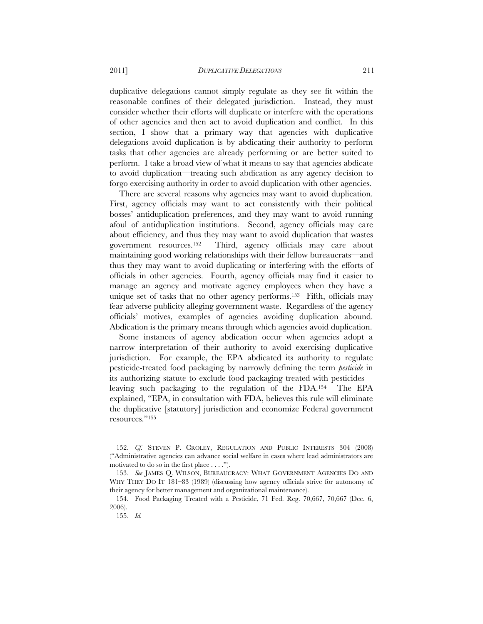duplicative delegations cannot simply regulate as they see fit within the reasonable confines of their delegated jurisdiction. Instead, they must consider whether their efforts will duplicate or interfere with the operations of other agencies and then act to avoid duplication and conflict. In this section, I show that a primary way that agencies with duplicative delegations avoid duplication is by abdicating their authority to perform tasks that other agencies are already performing or are better suited to perform. I take a broad view of what it means to say that agencies abdicate to avoid duplication—treating such abdication as any agency decision to forgo exercising authority in order to avoid duplication with other agencies.

There are several reasons why agencies may want to avoid duplication. First, agency officials may want to act consistently with their political bosses' antiduplication preferences, and they may want to avoid running afoul of antiduplication institutions. Second, agency officials may care about efficiency, and thus they may want to avoid duplication that wastes government resources.152 Third, agency officials may care about maintaining good working relationships with their fellow bureaucrats—and thus they may want to avoid duplicating or interfering with the efforts of officials in other agencies. Fourth, agency officials may find it easier to manage an agency and motivate agency employees when they have a unique set of tasks that no other agency performs.153 Fifth, officials may fear adverse publicity alleging government waste. Regardless of the agency officials' motives, examples of agencies avoiding duplication abound. Abdication is the primary means through which agencies avoid duplication.

Some instances of agency abdication occur when agencies adopt a narrow interpretation of their authority to avoid exercising duplicative jurisdiction. For example, the EPA abdicated its authority to regulate pesticide-treated food packaging by narrowly defining the term *pesticide* in its authorizing statute to exclude food packaging treated with pesticides leaving such packaging to the regulation of the FDA.154 The EPA explained, "EPA, in consultation with FDA, believes this rule will eliminate the duplicative [statutory] jurisdiction and economize Federal government resources."155

<sup>152</sup>*. Cf.* STEVEN P. CROLEY, REGULATION AND PUBLIC INTERESTS 304 (2008) ("Administrative agencies can advance social welfare in cases where lead administrators are motivated to do so in the first place . . . .").

<sup>153</sup>*. See* JAMES Q. WILSON, BUREAUCRACY: WHAT GOVERNMENT AGENCIES DO AND WHY THEY DO IT 181–83 (1989) (discussing how agency officials strive for autonomy of their agency for better management and organizational maintenance).

<sup>154.</sup> Food Packaging Treated with a Pesticide, 71 Fed. Reg. 70,667, 70,667 (Dec. 6, 2006).

<sup>155</sup>*. Id.*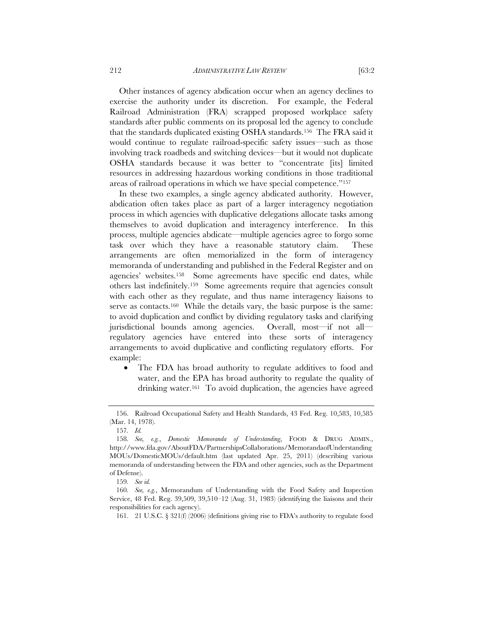Other instances of agency abdication occur when an agency declines to exercise the authority under its discretion. For example, the Federal Railroad Administration (FRA) scrapped proposed workplace safety standards after public comments on its proposal led the agency to conclude that the standards duplicated existing OSHA standards.156 The FRA said it would continue to regulate railroad-specific safety issues—such as those involving track roadbeds and switching devices—but it would not duplicate OSHA standards because it was better to "concentrate [its] limited resources in addressing hazardous working conditions in those traditional areas of railroad operations in which we have special competence."157

In these two examples, a single agency abdicated authority. However, abdication often takes place as part of a larger interagency negotiation process in which agencies with duplicative delegations allocate tasks among themselves to avoid duplication and interagency interference. In this process, multiple agencies abdicate—multiple agencies agree to forgo some task over which they have a reasonable statutory claim. These arrangements are often memorialized in the form of interagency memoranda of understanding and published in the Federal Register and on agencies' websites.158 Some agreements have specific end dates, while others last indefinitely.159 Some agreements require that agencies consult with each other as they regulate, and thus name interagency liaisons to serve as contacts.<sup>160</sup> While the details vary, the basic purpose is the same: to avoid duplication and conflict by dividing regulatory tasks and clarifying jurisdictional bounds among agencies. Overall, most—if not all regulatory agencies have entered into these sorts of interagency arrangements to avoid duplicative and conflicting regulatory efforts. For example:

• The FDA has broad authority to regulate additives to food and water, and the EPA has broad authority to regulate the quality of drinking water.<sup>161</sup> To avoid duplication, the agencies have agreed

 <sup>156.</sup> Railroad Occupational Safety and Health Standards, 43 Fed. Reg. 10,583, 10,585 (Mar. 14, 1978).

<sup>157</sup>*. Id.* 

<sup>158</sup>*. See, e.g.*, *Domestic Memoranda of Understanding*, FOOD & DRUG ADMIN., http://www.fda.gov/AboutFDA/PartnershipsCollaborations/MemorandaofUnderstanding MOUs/DomesticMOUs/default.htm (last updated Apr. 25, 2011) (describing various memoranda of understanding between the FDA and other agencies, such as the Department of Defense).

<sup>159</sup>*. See id.*

<sup>160</sup>*. See, e.g.*, Memorandum of Understanding with the Food Safety and Inspection Service, 48 Fed. Reg. 39,509, 39,510–12 (Aug. 31, 1983) (identifying the liaisons and their responsibilities for each agency).

<sup>161. 21</sup> U.S.C. § 321(f) (2006) (definitions giving rise to FDA's authority to regulate food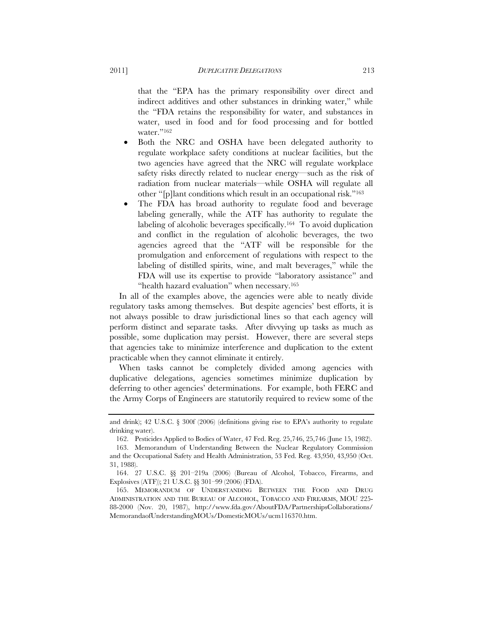that the "EPA has the primary responsibility over direct and indirect additives and other substances in drinking water," while the "FDA retains the responsibility for water, and substances in water, used in food and for food processing and for bottled water."<sup>162</sup>

- Both the NRC and OSHA have been delegated authority to regulate workplace safety conditions at nuclear facilities, but the two agencies have agreed that the NRC will regulate workplace safety risks directly related to nuclear energy—such as the risk of radiation from nuclear materials—while OSHA will regulate all other "[p]lant conditions which result in an occupational risk."163
- The FDA has broad authority to regulate food and beverage labeling generally, while the ATF has authority to regulate the labeling of alcoholic beverages specifically.164 To avoid duplication and conflict in the regulation of alcoholic beverages, the two agencies agreed that the "ATF will be responsible for the promulgation and enforcement of regulations with respect to the labeling of distilled spirits, wine, and malt beverages," while the FDA will use its expertise to provide "laboratory assistance" and "health hazard evaluation" when necessary.165

In all of the examples above, the agencies were able to neatly divide regulatory tasks among themselves. But despite agencies' best efforts, it is not always possible to draw jurisdictional lines so that each agency will perform distinct and separate tasks. After divvying up tasks as much as possible, some duplication may persist. However, there are several steps that agencies take to minimize interference and duplication to the extent practicable when they cannot eliminate it entirely.

When tasks cannot be completely divided among agencies with duplicative delegations, agencies sometimes minimize duplication by deferring to other agencies' determinations. For example, both FERC and the Army Corps of Engineers are statutorily required to review some of the

and drink);  $42 \text{ U.S.C. }$   $\frac{1}{2}$  300f (2006) (definitions giving rise to EPA's authority to regulate drinking water).

<sup>162.</sup> Pesticides Applied to Bodies of Water, 47 Fed. Reg. 25,746, 25,746 (June 15, 1982).

 <sup>163.</sup> Memorandum of Understanding Between the Nuclear Regulatory Commission and the Occupational Safety and Health Administration, 53 Fed. Reg. 43,950, 43,950 (Oct. 31, 1988).

<sup>164. 27</sup> U.S.C. §§ 201–219a (2006) (Bureau of Alcohol, Tobacco, Firearms, and Explosives (ATF)); 21 U.S.C. §§ 301–99 (2006) (FDA).

 <sup>165.</sup> MEMORANDUM OF UNDERSTANDING BETWEEN THE FOOD AND DRUG ADMINISTRATION AND THE BUREAU OF ALCOHOL, TOBACCO AND FIREARMS, MOU 225- 88-2000 (Nov. 20, 1987), http://www.fda.gov/AboutFDA/PartnershipsCollaborations/ MemorandaofUnderstandingMOUs/DomesticMOUs/ucm116370.htm.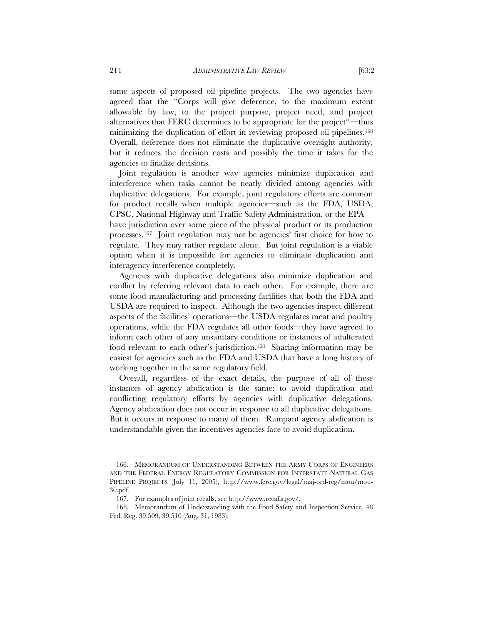same aspects of proposed oil pipeline projects. The two agencies have agreed that the "Corps will give deference, to the maximum extent allowable by law, to the project purpose, project need, and project alternatives that FERC determines to be appropriate for the project"—thus minimizing the duplication of effort in reviewing proposed oil pipelines.<sup>166</sup> Overall, deference does not eliminate the duplicative oversight authority, but it reduces the decision costs and possibly the time it takes for the agencies to finalize decisions.

Joint regulation is another way agencies minimize duplication and interference when tasks cannot be neatly divided among agencies with duplicative delegations. For example, joint regulatory efforts are common for product recalls when multiple agencies—such as the FDA, USDA, CPSC, National Highway and Traffic Safety Administration, or the EPA have jurisdiction over some piece of the physical product or its production processes.167 Joint regulation may not be agencies' first choice for how to regulate. They may rather regulate alone. But joint regulation is a viable option when it is impossible for agencies to eliminate duplication and interagency interference completely.

Agencies with duplicative delegations also minimize duplication and conflict by referring relevant data to each other. For example, there are some food manufacturing and processing facilities that both the FDA and USDA are required to inspect. Although the two agencies inspect different aspects of the facilities' operations—the USDA regulates meat and poultry operations, while the FDA regulates all other foods—they have agreed to inform each other of any unsanitary conditions or instances of adulterated food relevant to each other's jurisdiction.168 Sharing information may be easiest for agencies such as the FDA and USDA that have a long history of working together in the same regulatory field.

Overall, regardless of the exact details, the purpose of all of these instances of agency abdication is the same: to avoid duplication and conflicting regulatory efforts by agencies with duplicative delegations. Agency abdication does not occur in response to all duplicative delegations. But it occurs in response to many of them. Rampant agency abdication is understandable given the incentives agencies face to avoid duplication.

 <sup>166.</sup> MEMORANDUM OF UNDERSTANDING BETWEEN THE ARMY CORPS OF ENGINEERS AND THE FEDERAL ENERGY REGULATORY COMMISSION FOR INTERSTATE NATURAL GAS PIPELINE PROJECTS (July 11, 2005), http://www.ferc.gov/legal/maj-ord-reg/mou/mou-30.pdf.

<sup>167.</sup> For examples of joint recalls, see http://www.recalls.gov/.

 <sup>168.</sup> Memorandum of Understanding with the Food Safety and Inspection Service, 48 Fed. Reg. 39,509, 39,510 (Aug. 31, 1983).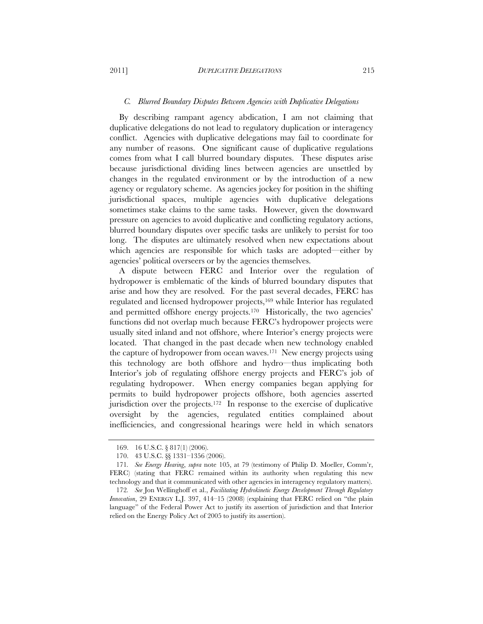#### *C. Blurred Boundary Disputes Between Agencies with Duplicative Delegations*

By describing rampant agency abdication, I am not claiming that duplicative delegations do not lead to regulatory duplication or interagency conflict. Agencies with duplicative delegations may fail to coordinate for any number of reasons. One significant cause of duplicative regulations comes from what I call blurred boundary disputes. These disputes arise because jurisdictional dividing lines between agencies are unsettled by changes in the regulated environment or by the introduction of a new agency or regulatory scheme. As agencies jockey for position in the shifting jurisdictional spaces, multiple agencies with duplicative delegations sometimes stake claims to the same tasks. However, given the downward pressure on agencies to avoid duplicative and conflicting regulatory actions, blurred boundary disputes over specific tasks are unlikely to persist for too long. The disputes are ultimately resolved when new expectations about which agencies are responsible for which tasks are adopted—either by agencies' political overseers or by the agencies themselves.

A dispute between FERC and Interior over the regulation of hydropower is emblematic of the kinds of blurred boundary disputes that arise and how they are resolved. For the past several decades, FERC has regulated and licensed hydropower projects,169 while Interior has regulated and permitted offshore energy projects.<sup>170</sup> Historically, the two agencies' functions did not overlap much because FERC's hydropower projects were usually sited inland and not offshore, where Interior's energy projects were located. That changed in the past decade when new technology enabled the capture of hydropower from ocean waves.171 New energy projects using this technology are both offshore and hydro—thus implicating both Interior's job of regulating offshore energy projects and FERC's job of regulating hydropower. When energy companies began applying for permits to build hydropower projects offshore, both agencies asserted jurisdiction over the projects.172 In response to the exercise of duplicative oversight by the agencies, regulated entities complained about inefficiencies, and congressional hearings were held in which senators

<sup>169. 16</sup> U.S.C. § 817(1) (2006).

<sup>170. 43</sup> U.S.C. §§ 1331–1356 (2006).

<sup>171</sup>*. See Energy Hearing*, *supra* note 105, at 79 (testimony of Philip D. Moeller, Comm'r, FERC) (stating that FERC remained within its authority when regulating this new technology and that it communicated with other agencies in interagency regulatory matters).

<sup>172</sup>*. See* Jon Wellinghoff et al., *Facilitating Hydrokinetic Energy Development Through Regulatory Innovation*, 29 ENERGY L.J. 397, 414–15 (2008) (explaining that FERC relied on "the plain language" of the Federal Power Act to justify its assertion of jurisdiction and that Interior relied on the Energy Policy Act of 2005 to justify its assertion).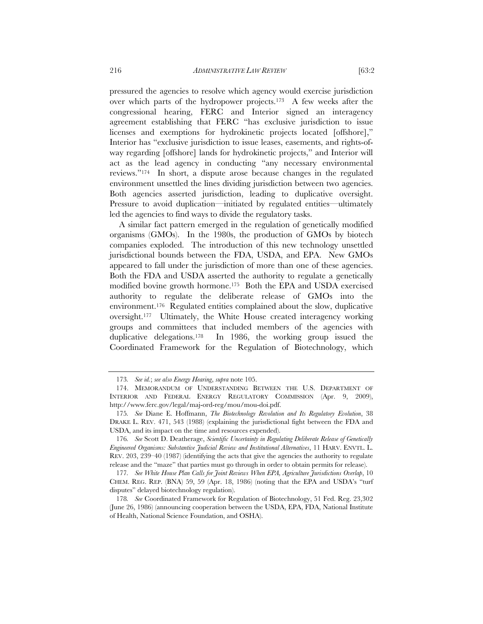pressured the agencies to resolve which agency would exercise jurisdiction over which parts of the hydropower projects.173 A few weeks after the congressional hearing, FERC and Interior signed an interagency agreement establishing that FERC "has exclusive jurisdiction to issue licenses and exemptions for hydrokinetic projects located [offshore]," Interior has "exclusive jurisdiction to issue leases, easements, and rights-ofway regarding [offshore] lands for hydrokinetic projects," and Interior will act as the lead agency in conducting "any necessary environmental reviews."174 In short, a dispute arose because changes in the regulated environment unsettled the lines dividing jurisdiction between two agencies. Both agencies asserted jurisdiction, leading to duplicative oversight. Pressure to avoid duplication—initiated by regulated entities—ultimately

led the agencies to find ways to divide the regulatory tasks.

A similar fact pattern emerged in the regulation of genetically modified organisms (GMOs). In the 1980s, the production of GMOs by biotech companies exploded. The introduction of this new technology unsettled jurisdictional bounds between the FDA, USDA, and EPA. New GMOs appeared to fall under the jurisdiction of more than one of these agencies. Both the FDA and USDA asserted the authority to regulate a genetically modified bovine growth hormone.175 Both the EPA and USDA exercised authority to regulate the deliberate release of GMOs into the environment.176 Regulated entities complained about the slow, duplicative oversight.177 Ultimately, the White House created interagency working groups and committees that included members of the agencies with duplicative delegations.178 In 1986, the working group issued the Coordinated Framework for the Regulation of Biotechnology, which

<sup>173</sup>*. See id.*; *see also Energy Hearing*, *supra* note 105.

 <sup>174.</sup> MEMORANDUM OF UNDERSTANDING BETWEEN THE U.S. DEPARTMENT OF INTERIOR AND FEDERAL ENERGY REGULATORY COMMISSION (Apr. 9, 2009), http://www.ferc.gov/legal/maj-ord-reg/mou/mou-doi.pdf.

<sup>175</sup>*. See* Diane E. Hoffmann, *The Biotechnology Revolution and Its Regulatory Evolution*, 38 DRAKE L. REV. 471, 543 (1988) (explaining the jurisdictional fight between the FDA and USDA, and its impact on the time and resources expended).

<sup>176</sup>*. See* Scott D. Deatherage, *Scientific Uncertainty in Regulating Deliberate Release of Genetically Engineered Organisms: Substantive Judicial Review and Institutional Alternatives*, 11 HARV. ENVTL. L. REV. 203, 239–40 (1987) (identifying the acts that give the agencies the authority to regulate release and the "maze" that parties must go through in order to obtain permits for release).

<sup>177</sup>*. See White House Plan Calls for Joint Reviews When EPA, Agriculture Jurisdictions Overlap*, 10 CHEM. REG. REP. (BNA) 59, 59 (Apr. 18, 1986) (noting that the EPA and USDA's "turf disputes" delayed biotechnology regulation).

<sup>178</sup>*. See* Coordinated Framework for Regulation of Biotechnology, 51 Fed. Reg. 23,302 (June 26, 1986) (announcing cooperation between the USDA, EPA, FDA, National Institute of Health, National Science Foundation, and OSHA).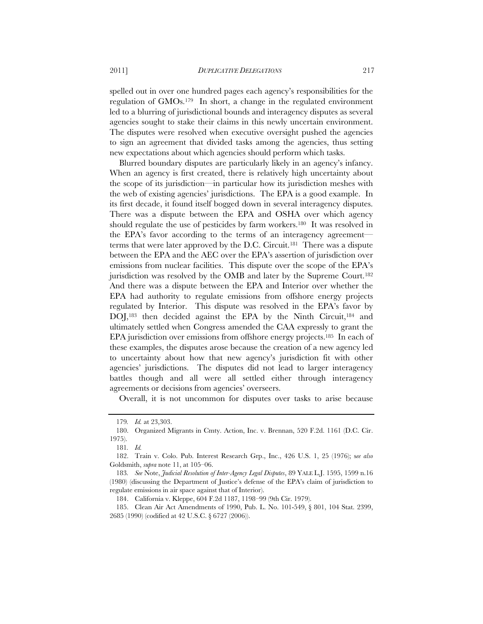spelled out in over one hundred pages each agency's responsibilities for the regulation of GMOs.179 In short, a change in the regulated environment led to a blurring of jurisdictional bounds and interagency disputes as several agencies sought to stake their claims in this newly uncertain environment. The disputes were resolved when executive oversight pushed the agencies to sign an agreement that divided tasks among the agencies, thus setting new expectations about which agencies should perform which tasks.

Blurred boundary disputes are particularly likely in an agency's infancy. When an agency is first created, there is relatively high uncertainty about the scope of its jurisdiction—in particular how its jurisdiction meshes with the web of existing agencies' jurisdictions. The EPA is a good example. In its first decade, it found itself bogged down in several interagency disputes. There was a dispute between the EPA and OSHA over which agency should regulate the use of pesticides by farm workers.<sup>180</sup> It was resolved in the EPA's favor according to the terms of an interagency agreement terms that were later approved by the D.C. Circuit.181 There was a dispute between the EPA and the AEC over the EPA's assertion of jurisdiction over emissions from nuclear facilities. This dispute over the scope of the EPA's jurisdiction was resolved by the OMB and later by the Supreme Court.<sup>182</sup> And there was a dispute between the EPA and Interior over whether the EPA had authority to regulate emissions from offshore energy projects regulated by Interior. This dispute was resolved in the EPA's favor by DOJ,<sup>183</sup> then decided against the EPA by the Ninth Circuit,<sup>184</sup> and ultimately settled when Congress amended the CAA expressly to grant the EPA jurisdiction over emissions from offshore energy projects.185 In each of these examples, the disputes arose because the creation of a new agency led to uncertainty about how that new agency's jurisdiction fit with other agencies' jurisdictions. The disputes did not lead to larger interagency battles though and all were all settled either through interagency agreements or decisions from agencies' overseers.

Overall, it is not uncommon for disputes over tasks to arise because

<sup>179</sup>*. Id.* at 23,303.

<sup>180.</sup> Organized Migrants in Cmty. Action, Inc. v. Brennan, 520 F.2d. 1161 (D.C. Cir. 1975).

<sup>181</sup>*. Id.*

 <sup>182.</sup> Train v. Colo. Pub. Interest Research Grp., Inc., 426 U.S. 1, 25 (1976); s*ee also*  Goldsmith, *supra* note 11, at 105–06.

<sup>183</sup>*. See* Note, *Judicial Resolution of Inter-Agency Legal Disputes*, 89 YALE L.J. 1595, 1599 n.16 (1980) (discussing the Department of Justice's defense of the EPA's claim of jurisdiction to regulate emissions in air space against that of Interior).

<sup>184.</sup> California v. Kleppe, 604 F.2d 1187, 1198–99 (9th Cir. 1979).

 <sup>185.</sup> Clean Air Act Amendments of 1990, Pub. L. No. 101-549, § 801, 104 Stat. 2399, 2685 (1990) (codified at 42 U.S.C. § 6727 (2006)).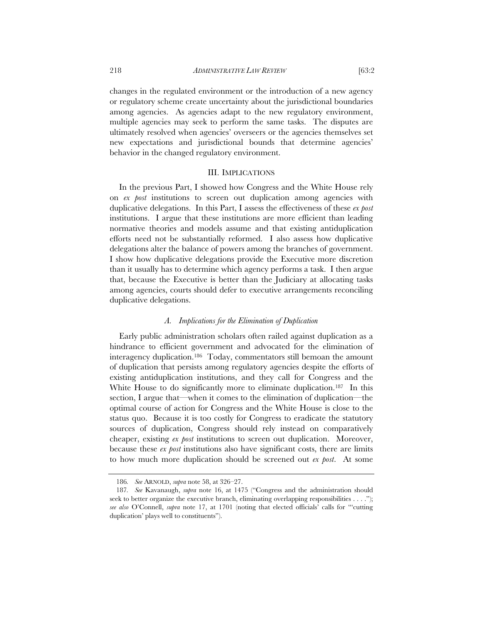changes in the regulated environment or the introduction of a new agency or regulatory scheme create uncertainty about the jurisdictional boundaries among agencies. As agencies adapt to the new regulatory environment, multiple agencies may seek to perform the same tasks. The disputes are ultimately resolved when agencies' overseers or the agencies themselves set new expectations and jurisdictional bounds that determine agencies' behavior in the changed regulatory environment.

#### III. IMPLICATIONS

In the previous Part, I showed how Congress and the White House rely on *ex post* institutions to screen out duplication among agencies with duplicative delegations. In this Part, I assess the effectiveness of these *ex post* institutions. I argue that these institutions are more efficient than leading normative theories and models assume and that existing antiduplication efforts need not be substantially reformed. I also assess how duplicative delegations alter the balance of powers among the branches of government. I show how duplicative delegations provide the Executive more discretion than it usually has to determine which agency performs a task. I then argue that, because the Executive is better than the Judiciary at allocating tasks among agencies, courts should defer to executive arrangements reconciling duplicative delegations.

#### *A. Implications for the Elimination of Duplication*

Early public administration scholars often railed against duplication as a hindrance to efficient government and advocated for the elimination of interagency duplication.186 Today, commentators still bemoan the amount of duplication that persists among regulatory agencies despite the efforts of existing antiduplication institutions, and they call for Congress and the White House to do significantly more to eliminate duplication.<sup>187</sup> In this section, I argue that—when it comes to the elimination of duplication—the optimal course of action for Congress and the White House is close to the status quo. Because it is too costly for Congress to eradicate the statutory sources of duplication, Congress should rely instead on comparatively cheaper, existing *ex post* institutions to screen out duplication. Moreover, because these *ex post* institutions also have significant costs, there are limits to how much more duplication should be screened out *ex post*. At some

<sup>186</sup>*. See* ARNOLD, *supra* note 58, at 326–27.

<sup>187</sup>*. See* Kavanaugh, *supra* note 16, at 1475 ("Congress and the administration should seek to better organize the executive branch, eliminating overlapping responsibilities . . . ."); *see also* O'Connell, *supra* note 17, at 1701 (noting that elected officials' calls for "'cutting duplication' plays well to constituents").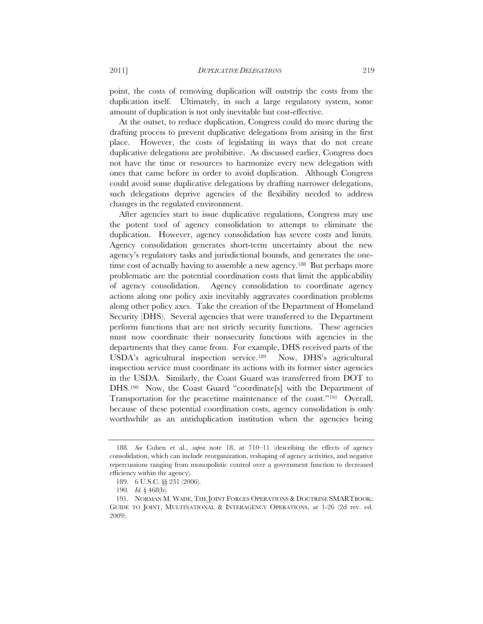point, the costs of removing duplication will outstrip the costs from the duplication itself. Ultimately, in such a large regulatory system, some amount of duplication is not only inevitable but cost-effective.

At the outset, to reduce duplication, Congress could do more during the drafting process to prevent duplicative delegations from arising in the first place. However, the costs of legislating in ways that do not create duplicative delegations are prohibitive. As discussed earlier, Congress does not have the time or resources to harmonize every new delegation with ones that came before in order to avoid duplication. Although Congress could avoid some duplicative delegations by drafting narrower delegations, such delegations deprive agencies of the flexibility needed to address changes in the regulated environment.

After agencies start to issue duplicative regulations, Congress may use the potent tool of agency consolidation to attempt to eliminate the duplication. However, agency consolidation has severe costs and limits. Agency consolidation generates short-term uncertainty about the new agency's regulatory tasks and jurisdictional bounds, and generates the onetime cost of actually having to assemble a new agency.<sup>188</sup> But perhaps more problematic are the potential coordination costs that limit the applicability of agency consolidation. Agency consolidation to coordinate agency actions along one policy axis inevitably aggravates coordination problems along other policy axes. Take the creation of the Department of Homeland Security (DHS). Several agencies that were transferred to the Department perform functions that are not strictly security functions. These agencies must now coordinate their nonsecurity functions with agencies in the departments that they came from. For example, DHS received parts of the USDA's agricultural inspection service.189 Now, DHS's agricultural inspection service must coordinate its actions with its former sister agencies in the USDA. Similarly, the Coast Guard was transferred from DOT to DHS.190 Now, the Coast Guard "coordinate[s] with the Department of Transportation for the peacetime maintenance of the coast."191 Overall, because of these potential coordination costs, agency consolidation is only worthwhile as an antiduplication institution when the agencies being

<sup>188</sup>*. See* Cohen et al., *supra* note 18, at 710–11 (describing the effects of agency consolidation, which can include reorganization, reshaping of agency activities, and negative repercussions ranging from monopolistic control over a government function to decreased efficiency within the agency).

<sup>189. 6</sup> U.S.C. §§ 231 (2006).

<sup>190</sup>*. Id.* § 468(b).

 <sup>191.</sup> NORMAN M. WADE, THE JOINT FORCES OPERATIONS & DOCTRINE SMARTBOOK: GUIDE TO JOINT, MULTINATIONAL & INTERAGENCY OPERATIONS, at 1-26 (2d rev. ed. 2009).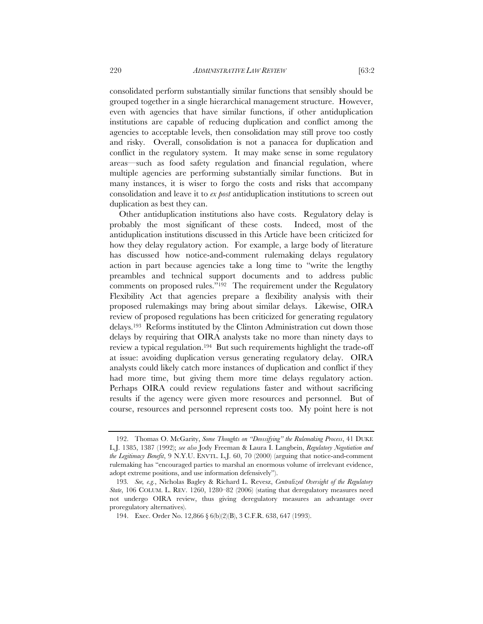consolidated perform substantially similar functions that sensibly should be grouped together in a single hierarchical management structure. However, even with agencies that have similar functions, if other antiduplication institutions are capable of reducing duplication and conflict among the agencies to acceptable levels, then consolidation may still prove too costly and risky. Overall, consolidation is not a panacea for duplication and conflict in the regulatory system. It may make sense in some regulatory areas—such as food safety regulation and financial regulation, where multiple agencies are performing substantially similar functions. But in many instances, it is wiser to forgo the costs and risks that accompany consolidation and leave it to *ex post* antiduplication institutions to screen out duplication as best they can.

Other antiduplication institutions also have costs. Regulatory delay is probably the most significant of these costs. Indeed, most of the antiduplication institutions discussed in this Article have been criticized for how they delay regulatory action. For example, a large body of literature has discussed how notice-and-comment rulemaking delays regulatory action in part because agencies take a long time to "write the lengthy preambles and technical support documents and to address public comments on proposed rules."192 The requirement under the Regulatory Flexibility Act that agencies prepare a flexibility analysis with their proposed rulemakings may bring about similar delays. Likewise, OIRA review of proposed regulations has been criticized for generating regulatory delays.193 Reforms instituted by the Clinton Administration cut down those delays by requiring that OIRA analysts take no more than ninety days to review a typical regulation.194 But such requirements highlight the trade-off at issue: avoiding duplication versus generating regulatory delay. OIRA analysts could likely catch more instances of duplication and conflict if they had more time, but giving them more time delays regulatory action. Perhaps OIRA could review regulations faster and without sacrificing results if the agency were given more resources and personnel. But of course, resources and personnel represent costs too. My point here is not

 <sup>192.</sup> Thomas O. McGarity, *Some Thoughts on "Deossifying" the Rulemaking Process*, 41 DUKE L.J. 1385, 1387 (1992); *see also* Jody Freeman & Laura I. Langbein, *Regulatory Negotiation and the Legitimacy Benefit*, 9 N.Y.U. ENVTL. L.J. 60, 70 (2000) (arguing that notice-and-comment rulemaking has "encouraged parties to marshal an enormous volume of irrelevant evidence, adopt extreme positions, and use information defensively").

<sup>193</sup>*. See, e.g.*, Nicholas Bagley & Richard L. Revesz, *Centralized Oversight of the Regulatory State*, 106 COLUM. L. REV. 1260, 1280–82 (2006) (stating that deregulatory measures need not undergo OIRA review, thus giving deregulatory measures an advantage over proregulatory alternatives).

<sup>194.</sup> Exec. Order No. 12,866 § 6(b)(2)(B), 3 C.F.R. 638, 647 (1993).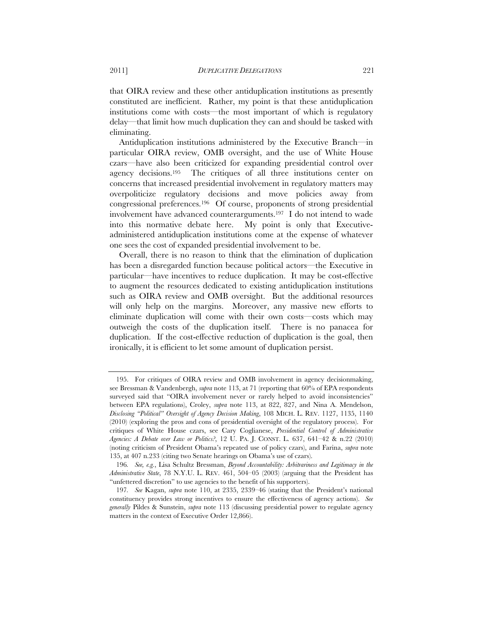that OIRA review and these other antiduplication institutions as presently constituted are inefficient. Rather, my point is that these antiduplication institutions come with costs—the most important of which is regulatory delay—that limit how much duplication they can and should be tasked with eliminating.

Antiduplication institutions administered by the Executive Branch—in particular OIRA review, OMB oversight, and the use of White House czars—have also been criticized for expanding presidential control over agency decisions.195 The critiques of all three institutions center on concerns that increased presidential involvement in regulatory matters may overpoliticize regulatory decisions and move policies away from congressional preferences.196 Of course, proponents of strong presidential involvement have advanced counterarguments.197 I do not intend to wade into this normative debate here. My point is only that Executiveadministered antiduplication institutions come at the expense of whatever one sees the cost of expanded presidential involvement to be.

Overall, there is no reason to think that the elimination of duplication has been a disregarded function because political actors—the Executive in particular—have incentives to reduce duplication. It may be cost-effective to augment the resources dedicated to existing antiduplication institutions such as OIRA review and OMB oversight. But the additional resources will only help on the margins. Moreover, any massive new efforts to eliminate duplication will come with their own costs—costs which may outweigh the costs of the duplication itself. There is no panacea for duplication. If the cost-effective reduction of duplication is the goal, then ironically, it is efficient to let some amount of duplication persist.

 <sup>195.</sup> For critiques of OIRA review and OMB involvement in agency decisionmaking, see Bressman & Vandenbergh, *supra* note 113, at 71 (reporting that 60% of EPA respondents surveyed said that "OIRA involvement never or rarely helped to avoid inconsistencies" between EPA regulations), Croley, *supra* note 113, at 822, 827, and Nina A. Mendelson, *Disclosing "Political" Oversight of Agency Decision Making*, 108 MICH. L. REV. 1127, 1135, 1140 (2010) (exploring the pros and cons of presidential oversight of the regulatory process). For critiques of White House czars, see Cary Coglianese, *Presidential Control of Administrative Agencies: A Debate over Law or Politics?*, 12 U. PA. J. CONST. L. 637, 641–42 & n.22 (2010) (noting criticism of President Obama's repeated use of policy czars), and Farina, *supra* note 135, at 407 n.233 (citing two Senate hearings on Obama's use of czars).

<sup>196</sup>*. See, e.g.*, Lisa Schultz Bressman, *Beyond Accountability: Arbitrariness and Legitimacy in the Administrative State*, 78 N.Y.U. L. REV. 461, 504–05 (2003) (arguing that the President has "unfettered discretion" to use agencies to the benefit of his supporters).

<sup>197</sup>*. See* Kagan, *supra* note 110, at 2335, 2339–46 (stating that the President's national constituency provides strong incentives to ensure the effectiveness of agency actions). *See generally* Pildes & Sunstein, *supra* note 113 (discussing presidential power to regulate agency matters in the context of Executive Order 12,866).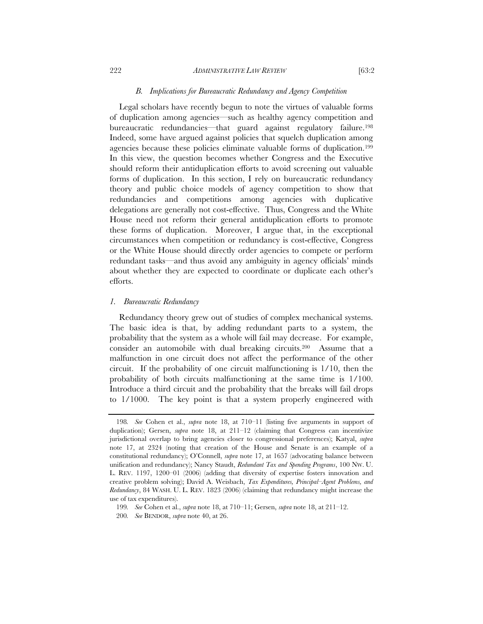#### *B. Implications for Bureaucratic Redundancy and Agency Competition*

Legal scholars have recently begun to note the virtues of valuable forms of duplication among agencies—such as healthy agency competition and bureaucratic redundancies—that guard against regulatory failure.198 Indeed, some have argued against policies that squelch duplication among agencies because these policies eliminate valuable forms of duplication.199 In this view, the question becomes whether Congress and the Executive should reform their antiduplication efforts to avoid screening out valuable forms of duplication. In this section, I rely on bureaucratic redundancy theory and public choice models of agency competition to show that redundancies and competitions among agencies with duplicative delegations are generally not cost-effective. Thus, Congress and the White House need not reform their general antiduplication efforts to promote these forms of duplication. Moreover, I argue that, in the exceptional circumstances when competition or redundancy is cost-effective, Congress or the White House should directly order agencies to compete or perform redundant tasks—and thus avoid any ambiguity in agency officials' minds about whether they are expected to coordinate or duplicate each other's efforts.

#### *1. Bureaucratic Redundancy*

Redundancy theory grew out of studies of complex mechanical systems. The basic idea is that, by adding redundant parts to a system, the probability that the system as a whole will fail may decrease. For example, consider an automobile with dual breaking circuits.200 Assume that a malfunction in one circuit does not affect the performance of the other circuit. If the probability of one circuit malfunctioning is 1/10, then the probability of both circuits malfunctioning at the same time is 1/100. Introduce a third circuit and the probability that the breaks will fail drops to 1/1000. The key point is that a system properly engineered with

<sup>198</sup>*. See* Cohen et al., *supra* note 18, at 710–11 (listing five arguments in support of duplication); Gersen, *supra* note 18, at 211–12 (claiming that Congress can incentivize jurisdictional overlap to bring agencies closer to congressional preferences); Katyal, *supra*  note 17, at 2324 (noting that creation of the House and Senate is an example of a constitutional redundancy); O'Connell, *supra* note 17, at 1657 (advocating balance between unification and redundancy); Nancy Staudt, *Redundant Tax and Spending Programs*, 100 NW. U. L. REV. 1197, 1200–01 (2006) (adding that diversity of expertise fosters innovation and creative problem solving); David A. Weisbach, *Tax Expenditures, Principal–Agent Problems, and Redundancy*, 84 WASH. U. L. REV. 1823 (2006) (claiming that redundancy might increase the use of tax expenditures).

<sup>199</sup>*. See* Cohen et al., *supra* note 18, at 710–11; Gersen, *supra* note 18, at 211–12.

<sup>200</sup>*. See* BENDOR, *supra* note 40, at 26.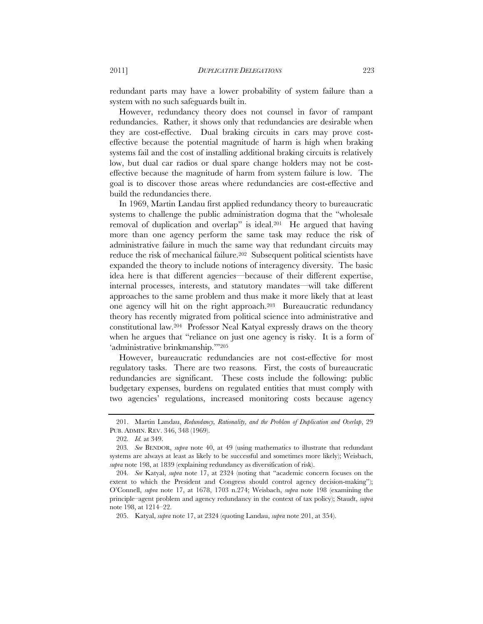redundant parts may have a lower probability of system failure than a system with no such safeguards built in.

However, redundancy theory does not counsel in favor of rampant redundancies. Rather, it shows only that redundancies are desirable when they are cost-effective. Dual braking circuits in cars may prove costeffective because the potential magnitude of harm is high when braking systems fail and the cost of installing additional braking circuits is relatively low, but dual car radios or dual spare change holders may not be costeffective because the magnitude of harm from system failure is low. The goal is to discover those areas where redundancies are cost-effective and build the redundancies there.

In 1969, Martin Landau first applied redundancy theory to bureaucratic systems to challenge the public administration dogma that the "wholesale removal of duplication and overlap" is ideal.201 He argued that having more than one agency perform the same task may reduce the risk of administrative failure in much the same way that redundant circuits may reduce the risk of mechanical failure.<sup>202</sup> Subsequent political scientists have expanded the theory to include notions of interagency diversity. The basic idea here is that different agencies—because of their different expertise, internal processes, interests, and statutory mandates—will take different approaches to the same problem and thus make it more likely that at least one agency will hit on the right approach.203 Bureaucratic redundancy theory has recently migrated from political science into administrative and constitutional law.204 Professor Neal Katyal expressly draws on the theory when he argues that "reliance on just one agency is risky. It is a form of 'administrative brinkmanship.'"205

However, bureaucratic redundancies are not cost-effective for most regulatory tasks. There are two reasons. First, the costs of bureaucratic redundancies are significant. These costs include the following: public budgetary expenses, burdens on regulated entities that must comply with two agencies' regulations, increased monitoring costs because agency

 <sup>201.</sup> Martin Landau, *Redundancy, Rationality, and the Problem of Duplication and Overlap*, 29 PUB. ADMIN. REV. 346, 348 (1969).

<sup>202</sup>*. Id.* at 349.

<sup>203</sup>*. See* BENDOR, *supra* note 40, at 49 (using mathematics to illustrate that redundant systems are always at least as likely to be successful and sometimes more likely); Weisbach, *supra* note 198, at 1839 (explaining redundancy as diversification of risk).

<sup>204</sup>*. See* Katyal, *supra* note 17, at 2324 (noting that "academic concern focuses on the extent to which the President and Congress should control agency decision-making"); O'Connell, *supra* note 17, at 1678, 1703 n.274; Weisbach, *supra* note 198 (examining the principle–agent problem and agency redundancy in the context of tax policy); Staudt, *supra*  note 198, at 1214–22.

 <sup>205.</sup> Katyal, *supra* note 17, at 2324 (quoting Landau, *supra* note 201, at 354).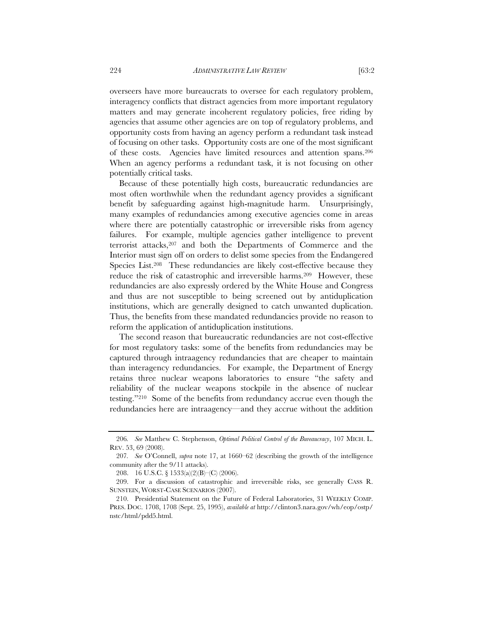overseers have more bureaucrats to oversee for each regulatory problem, interagency conflicts that distract agencies from more important regulatory matters and may generate incoherent regulatory policies, free riding by agencies that assume other agencies are on top of regulatory problems, and opportunity costs from having an agency perform a redundant task instead of focusing on other tasks. Opportunity costs are one of the most significant of these costs. Agencies have limited resources and attention spans.206 When an agency performs a redundant task, it is not focusing on other potentially critical tasks.

Because of these potentially high costs, bureaucratic redundancies are most often worthwhile when the redundant agency provides a significant benefit by safeguarding against high-magnitude harm. Unsurprisingly, many examples of redundancies among executive agencies come in areas where there are potentially catastrophic or irreversible risks from agency failures. For example, multiple agencies gather intelligence to prevent terrorist attacks,207 and both the Departments of Commerce and the Interior must sign off on orders to delist some species from the Endangered Species List.<sup>208</sup> These redundancies are likely cost-effective because they reduce the risk of catastrophic and irreversible harms.209 However, these redundancies are also expressly ordered by the White House and Congress and thus are not susceptible to being screened out by antiduplication institutions, which are generally designed to catch unwanted duplication. Thus, the benefits from these mandated redundancies provide no reason to reform the application of antiduplication institutions.

The second reason that bureaucratic redundancies are not cost-effective for most regulatory tasks: some of the benefits from redundancies may be captured through intraagency redundancies that are cheaper to maintain than interagency redundancies. For example, the Department of Energy retains three nuclear weapons laboratories to ensure "the safety and reliability of the nuclear weapons stockpile in the absence of nuclear testing."210 Some of the benefits from redundancy accrue even though the redundancies here are intraagency—and they accrue without the addition

<sup>206</sup>*. See* Matthew C. Stephenson, *Optimal Political Control of the Bureaucracy*, 107 MICH. L. REV. 53, 69 (2008).

<sup>207</sup>*. See* O'Connell, *supra* note 17, at 1660–62 (describing the growth of the intelligence community after the 9/11 attacks).

<sup>208. 16</sup> U.S.C. § 1533(a)(2)(B)–(C) (2006).

 <sup>209.</sup> For a discussion of catastrophic and irreversible risks, see generally CASS R. SUNSTEIN, WORST-CASE SCENARIOS (2007).

<sup>210.</sup> Presidential Statement on the Future of Federal Laboratories, 31 WEEKLY COMP. PRES. DOC. 1708, 1708 (Sept. 25, 1995), *available at* http://clinton3.nara.gov/wh/eop/ostp/ nstc/html/pdd5.html.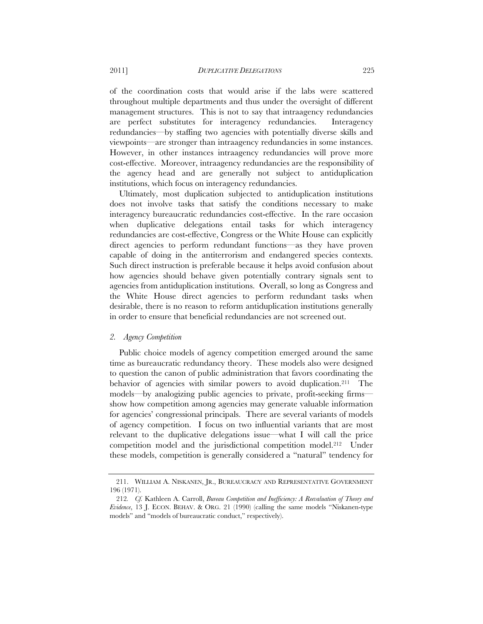of the coordination costs that would arise if the labs were scattered throughout multiple departments and thus under the oversight of different management structures. This is not to say that intraagency redundancies are perfect substitutes for interagency redundancies. Interagency redundancies—by staffing two agencies with potentially diverse skills and viewpoints—are stronger than intraagency redundancies in some instances. However, in other instances intraagency redundancies will prove more cost-effective. Moreover, intraagency redundancies are the responsibility of the agency head and are generally not subject to antiduplication institutions, which focus on interagency redundancies.

Ultimately, most duplication subjected to antiduplication institutions does not involve tasks that satisfy the conditions necessary to make interagency bureaucratic redundancies cost-effective. In the rare occasion when duplicative delegations entail tasks for which interagency redundancies are cost-effective, Congress or the White House can explicitly direct agencies to perform redundant functions—as they have proven capable of doing in the antiterrorism and endangered species contexts. Such direct instruction is preferable because it helps avoid confusion about how agencies should behave given potentially contrary signals sent to agencies from antiduplication institutions. Overall, so long as Congress and the White House direct agencies to perform redundant tasks when desirable, there is no reason to reform antiduplication institutions generally in order to ensure that beneficial redundancies are not screened out.

#### *2. Agency Competition*

Public choice models of agency competition emerged around the same time as bureaucratic redundancy theory. These models also were designed to question the canon of public administration that favors coordinating the behavior of agencies with similar powers to avoid duplication.<sup>211</sup> The models—by analogizing public agencies to private, profit-seeking firms show how competition among agencies may generate valuable information for agencies' congressional principals. There are several variants of models of agency competition. I focus on two influential variants that are most relevant to the duplicative delegations issue—what I will call the price competition model and the jurisdictional competition model.212 Under these models, competition is generally considered a "natural" tendency for

 <sup>211.</sup> WILLIAM A. NISKANEN, JR., BUREAUCRACY AND REPRESENTATIVE GOVERNMENT 196 (1971).

<sup>212</sup>*. Cf.* Kathleen A. Carroll, *Bureau Competition and Inefficiency: A Reevaluation of Theory and Evidence*, 13 J. ECON. BEHAV. & ORG. 21 (1990) (calling the same models "Niskanen-type models" and "models of bureaucratic conduct," respectively).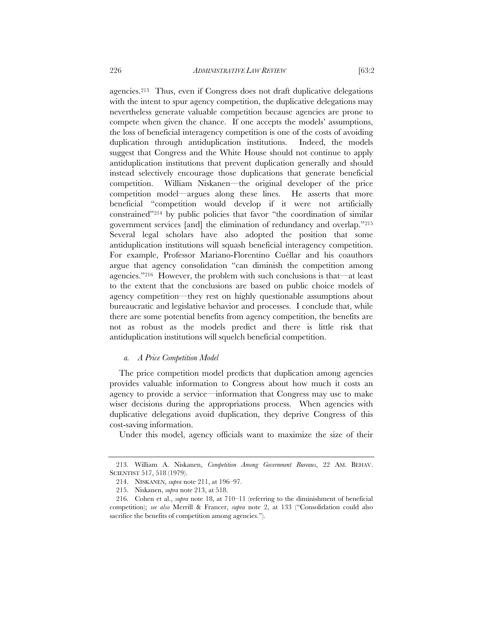agencies.213 Thus, even if Congress does not draft duplicative delegations with the intent to spur agency competition, the duplicative delegations may nevertheless generate valuable competition because agencies are prone to compete when given the chance. If one accepts the models' assumptions,

the loss of beneficial interagency competition is one of the costs of avoiding duplication through antiduplication institutions. Indeed, the models suggest that Congress and the White House should not continue to apply antiduplication institutions that prevent duplication generally and should instead selectively encourage those duplications that generate beneficial competition. William Niskanen—the original developer of the price competition model—argues along these lines. He asserts that more beneficial "competition would develop if it were not artificially constrained"214 by public policies that favor "the coordination of similar government services [and] the elimination of redundancy and overlap."215 Several legal scholars have also adopted the position that some antiduplication institutions will squash beneficial interagency competition. For example, Professor Mariano-Florentino Cuéllar and his coauthors argue that agency consolidation "can diminish the competition among agencies."216 However, the problem with such conclusions is that—at least to the extent that the conclusions are based on public choice models of agency competition—they rest on highly questionable assumptions about bureaucratic and legislative behavior and processes. I conclude that, while there are some potential benefits from agency competition, the benefits are not as robust as the models predict and there is little risk that antiduplication institutions will squelch beneficial competition.

#### *a. A Price Competition Model*

The price competition model predicts that duplication among agencies provides valuable information to Congress about how much it costs an agency to provide a service—information that Congress may use to make wiser decisions during the appropriations process. When agencies with duplicative delegations avoid duplication, they deprive Congress of this cost-saving information.

Under this model, agency officials want to maximize the size of their

 <sup>213.</sup> William A. Niskanen, *Competition Among Government Bureaus*, 22 AM. BEHAV. SCIENTIST 517, 518 (1979).

 <sup>214.</sup> NISKANEN, *supra* note 211, at 196–97.

 <sup>215.</sup> Niskanen, *supra* note 213, at 518.

 <sup>216.</sup> Cohen et al., *supra* note 18, at 710–11 (referring to the diminishment of beneficial competition); *see also* Merrill & Francer, *supra* note 2, at 133 ("Consolidation could also sacrifice the benefits of competition among agencies.").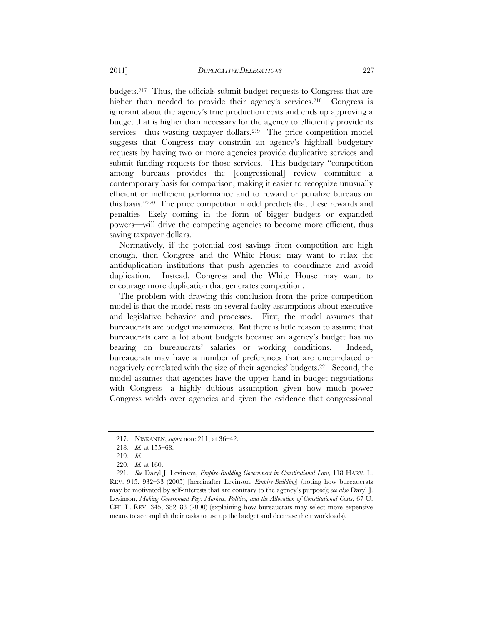budgets.217 Thus, the officials submit budget requests to Congress that are higher than needed to provide their agency's services.<sup>218</sup> Congress is ignorant about the agency's true production costs and ends up approving a budget that is higher than necessary for the agency to efficiently provide its services—thus wasting taxpayer dollars.<sup>219</sup> The price competition model suggests that Congress may constrain an agency's highball budgetary requests by having two or more agencies provide duplicative services and

submit funding requests for those services. This budgetary "competition among bureaus provides the [congressional] review committee a contemporary basis for comparison, making it easier to recognize unusually efficient or inefficient performance and to reward or penalize bureaus on this basis."220 The price competition model predicts that these rewards and penalties—likely coming in the form of bigger budgets or expanded powers—will drive the competing agencies to become more efficient, thus saving taxpayer dollars.

Normatively, if the potential cost savings from competition are high enough, then Congress and the White House may want to relax the antiduplication institutions that push agencies to coordinate and avoid duplication. Instead, Congress and the White House may want to encourage more duplication that generates competition.

The problem with drawing this conclusion from the price competition model is that the model rests on several faulty assumptions about executive and legislative behavior and processes. First, the model assumes that bureaucrats are budget maximizers. But there is little reason to assume that bureaucrats care a lot about budgets because an agency's budget has no bearing on bureaucrats' salaries or working conditions. Indeed, bureaucrats may have a number of preferences that are uncorrelated or negatively correlated with the size of their agencies' budgets.221 Second, the model assumes that agencies have the upper hand in budget negotiations with Congress—a highly dubious assumption given how much power Congress wields over agencies and given the evidence that congressional

 <sup>217.</sup> NISKANEN, *supra* note 211, at 36–42.

<sup>218</sup>*. Id.* at 155–68.

<sup>219</sup>*. Id.*

<sup>220</sup>*. Id.* at 160.

<sup>221</sup>*. See* Daryl J. Levinson, *Empire-Building Government in Constitutional Law*, 118 HARV. L. REV. 915, 932–33 (2005) [hereinafter Levinson, *Empire-Building*] (noting how bureaucrats may be motivated by self-interests that are contrary to the agency's purpose); *see also* Daryl J. Levinson, *Making Government Pay: Markets, Politics, and the Allocation of Constitutional Costs*, 67 U. CHI. L. REV. 345, 382–83 (2000) (explaining how bureaucrats may select more expensive means to accomplish their tasks to use up the budget and decrease their workloads).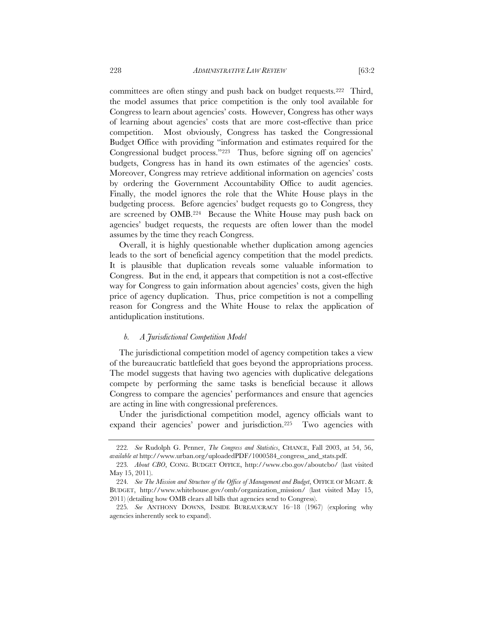committees are often stingy and push back on budget requests.222 Third, the model assumes that price competition is the only tool available for Congress to learn about agencies' costs. However, Congress has other ways of learning about agencies' costs that are more cost-effective than price competition. Most obviously, Congress has tasked the Congressional Budget Office with providing "information and estimates required for the Congressional budget process."223 Thus, before signing off on agencies' budgets, Congress has in hand its own estimates of the agencies' costs. Moreover, Congress may retrieve additional information on agencies' costs by ordering the Government Accountability Office to audit agencies. Finally, the model ignores the role that the White House plays in the budgeting process. Before agencies' budget requests go to Congress, they are screened by OMB.224 Because the White House may push back on agencies' budget requests, the requests are often lower than the model assumes by the time they reach Congress.

Overall, it is highly questionable whether duplication among agencies leads to the sort of beneficial agency competition that the model predicts. It is plausible that duplication reveals some valuable information to Congress. But in the end, it appears that competition is not a cost-effective way for Congress to gain information about agencies' costs, given the high price of agency duplication. Thus, price competition is not a compelling reason for Congress and the White House to relax the application of antiduplication institutions.

#### *b. A Jurisdictional Competition Model*

The jurisdictional competition model of agency competition takes a view of the bureaucratic battlefield that goes beyond the appropriations process. The model suggests that having two agencies with duplicative delegations compete by performing the same tasks is beneficial because it allows Congress to compare the agencies' performances and ensure that agencies are acting in line with congressional preferences.

Under the jurisdictional competition model, agency officials want to expand their agencies' power and jurisdiction.225 Two agencies with

<sup>222</sup>*. See* Rudolph G. Penner, *The Congress and Statistics*, CHANCE, Fall 2003, at 54, 56, *available at* http://www.urban.org/uploadedPDF/1000584\_congress\_and\_stats.pdf.

<sup>223</sup>*. About CBO*, CONG. BUDGET OFFICE, http://www.cbo.gov/aboutcbo/ (last visited May 15, 2011).

<sup>224</sup>*. See The Mission and Structure of the Office of Management and Budget*, OFFICE OF MGMT. & BUDGET, http://www.whitehouse.gov/omb/organization\_mission/ (last visited May 15, 2011) (detailing how OMB clears all bills that agencies send to Congress).

<sup>225</sup>*. See* ANTHONY DOWNS, INSIDE BUREAUCRACY 16–18 (1967) (exploring why agencies inherently seek to expand).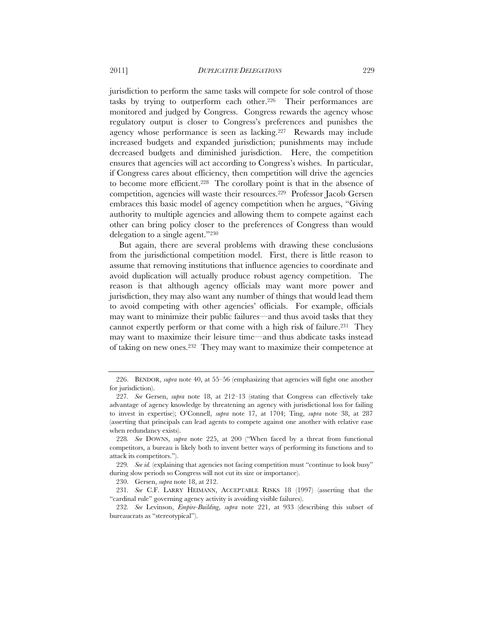jurisdiction to perform the same tasks will compete for sole control of those tasks by trying to outperform each other.226 Their performances are monitored and judged by Congress. Congress rewards the agency whose regulatory output is closer to Congress's preferences and punishes the agency whose performance is seen as lacking.227 Rewards may include increased budgets and expanded jurisdiction; punishments may include decreased budgets and diminished jurisdiction. Here, the competition ensures that agencies will act according to Congress's wishes. In particular, if Congress cares about efficiency, then competition will drive the agencies to become more efficient.228 The corollary point is that in the absence of competition, agencies will waste their resources.229 Professor Jacob Gersen embraces this basic model of agency competition when he argues, "Giving authority to multiple agencies and allowing them to compete against each other can bring policy closer to the preferences of Congress than would delegation to a single agent."230

But again, there are several problems with drawing these conclusions from the jurisdictional competition model. First, there is little reason to assume that removing institutions that influence agencies to coordinate and avoid duplication will actually produce robust agency competition. The reason is that although agency officials may want more power and jurisdiction, they may also want any number of things that would lead them to avoid competing with other agencies' officials. For example, officials may want to minimize their public failures—and thus avoid tasks that they cannot expertly perform or that come with a high risk of failure.231 They may want to maximize their leisure time—and thus abdicate tasks instead of taking on new ones.232 They may want to maximize their competence at

 <sup>226.</sup> BENDOR, *supra* note 40, at 55–56 (emphasizing that agencies will fight one another for jurisdiction).

<sup>227</sup>*. See* Gersen, *supra* note 18, at 212–13 (stating that Congress can effectively take advantage of agency knowledge by threatening an agency with jurisdictional loss for failing to invest in expertise); O'Connell, *supra* note 17, at 1704; Ting, *supra* note 38, at 287 (asserting that principals can lead agents to compete against one another with relative ease when redundancy exists).

<sup>228</sup>*. See* DOWNS, *supra* note 225, at 200 ("When faced by a threat from functional competitors, a bureau is likely both to invent better ways of performing its functions and to attack its competitors.").

<sup>229</sup>*. See id.* (explaining that agencies not facing competition must "continue to look busy" during slow periods so Congress will not cut its size or importance).

 <sup>230.</sup> Gersen, *supra* note 18, at 212.

<sup>231</sup>*. See* C.F. LARRY HEIMANN, ACCEPTABLE RISKS 18 (1997) (asserting that the "cardinal rule" governing agency activity is avoiding visible failures).

<sup>232</sup>*. See* Levinson, *Empire-Building*, *supra* note 221, at 933 (describing this subset of bureaucrats as "stereotypical").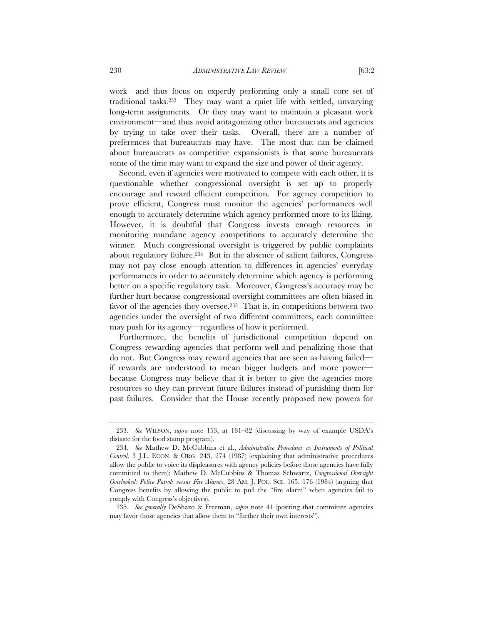work—and thus focus on expertly performing only a small core set of traditional tasks.233 They may want a quiet life with settled, unvarying long-term assignments. Or they may want to maintain a pleasant work environment—and thus avoid antagonizing other bureaucrats and agencies by trying to take over their tasks. Overall, there are a number of preferences that bureaucrats may have. The most that can be claimed about bureaucrats as competitive expansionists is that some bureaucrats some of the time may want to expand the size and power of their agency.

Second, even if agencies were motivated to compete with each other, it is questionable whether congressional oversight is set up to properly encourage and reward efficient competition. For agency competition to prove efficient, Congress must monitor the agencies' performances well enough to accurately determine which agency performed more to its liking. However, it is doubtful that Congress invests enough resources in monitoring mundane agency competitions to accurately determine the winner. Much congressional oversight is triggered by public complaints about regulatory failure.234 But in the absence of salient failures, Congress may not pay close enough attention to differences in agencies' everyday performances in order to accurately determine which agency is performing better on a specific regulatory task. Moreover, Congress's accuracy may be further hurt because congressional oversight committees are often biased in favor of the agencies they oversee.<sup>235</sup> That is, in competitions between two agencies under the oversight of two different committees, each committee may push for its agency—regardless of how it performed.

Furthermore, the benefits of jurisdictional competition depend on Congress rewarding agencies that perform well and penalizing those that do not. But Congress may reward agencies that are seen as having failed if rewards are understood to mean bigger budgets and more power because Congress may believe that it is better to give the agencies more resources so they can prevent future failures instead of punishing them for past failures. Consider that the House recently proposed new powers for

<sup>233</sup>*. See* WILSON, *supra* note 153, at 181–82 (discussing by way of example USDA's distaste for the food stamp program).

<sup>234</sup>*. See* Mathew D. McCubbins et al., *Administrative Procedures as Instruments of Political Control*, 3 J.L. ECON. & ORG. 243, 274 (1987) (explaining that administrative procedures allow the public to voice its displeasures with agency policies before those agencies have fully committed to them); Mathew D. McCubbins & Thomas Schwartz, *Congressional Oversight Overlooked: Police Patrols versus Fire Alarms*, 28 AM. J. POL. SCI. 165, 176 (1984) (arguing that Congress benefits by allowing the public to pull the "fire alarm" when agencies fail to comply with Congress's objectives).

<sup>235</sup>*. See generally* DeShazo & Freeman, *supra* note 41 (positing that committee agencies may favor those agencies that allow them to "further their own interests").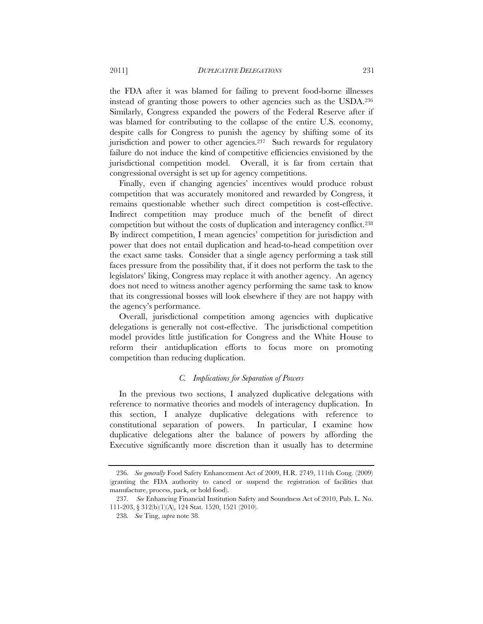the FDA after it was blamed for failing to prevent food-borne illnesses instead of granting those powers to other agencies such as the USDA.236 Similarly, Congress expanded the powers of the Federal Reserve after if was blamed for contributing to the collapse of the entire U.S. economy, despite calls for Congress to punish the agency by shifting some of its jurisdiction and power to other agencies.<sup>237</sup> Such rewards for regulatory failure do not induce the kind of competitive efficiencies envisioned by the jurisdictional competition model. Overall, it is far from certain that congressional oversight is set up for agency competitions.

Finally, even if changing agencies' incentives would produce robust competition that was accurately monitored and rewarded by Congress, it remains questionable whether such direct competition is cost-effective. Indirect competition may produce much of the benefit of direct competition but without the costs of duplication and interagency conflict.238 By indirect competition, I mean agencies' competition for jurisdiction and power that does not entail duplication and head-to-head competition over the exact same tasks. Consider that a single agency performing a task still faces pressure from the possibility that, if it does not perform the task to the legislators' liking, Congress may replace it with another agency. An agency does not need to witness another agency performing the same task to know that its congressional bosses will look elsewhere if they are not happy with the agency's performance.

Overall, jurisdictional competition among agencies with duplicative delegations is generally not cost-effective. The jurisdictional competition model provides little justification for Congress and the White House to reform their antiduplication efforts to focus more on promoting competition than reducing duplication.

#### *C. Implications for Separation of Powers*

In the previous two sections, I analyzed duplicative delegations with reference to normative theories and models of interagency duplication. In this section, I analyze duplicative delegations with reference to constitutional separation of powers. In particular, I examine how duplicative delegations alter the balance of powers by affording the Executive significantly more discretion than it usually has to determine

<sup>236</sup>*. See generally* Food Safety Enhancement Act of 2009, H.R. 2749, 111th Cong. (2009) (granting the FDA authority to cancel or suspend the registration of facilities that manufacture, process, pack, or hold food).

<sup>237</sup>*. See* Enhancing Financial Institution Safety and Soundness Act of 2010, Pub. L. No. 111-203, § 312(b)(1)(A), 124 Stat. 1520, 1521 (2010).

<sup>238</sup>*. See* Ting, *supra* note 38.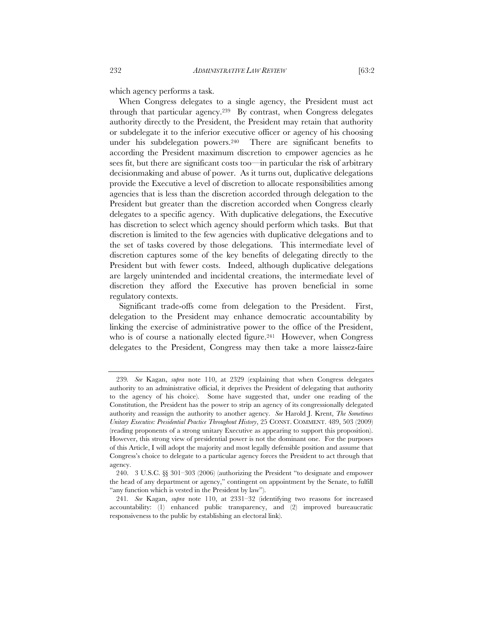which agency performs a task.

When Congress delegates to a single agency, the President must act through that particular agency.239 By contrast, when Congress delegates authority directly to the President, the President may retain that authority or subdelegate it to the inferior executive officer or agency of his choosing under his subdelegation powers.240 There are significant benefits to according the President maximum discretion to empower agencies as he sees fit, but there are significant costs too—in particular the risk of arbitrary decisionmaking and abuse of power. As it turns out, duplicative delegations provide the Executive a level of discretion to allocate responsibilities among agencies that is less than the discretion accorded through delegation to the President but greater than the discretion accorded when Congress clearly delegates to a specific agency. With duplicative delegations, the Executive has discretion to select which agency should perform which tasks. But that discretion is limited to the few agencies with duplicative delegations and to the set of tasks covered by those delegations. This intermediate level of discretion captures some of the key benefits of delegating directly to the President but with fewer costs. Indeed, although duplicative delegations are largely unintended and incidental creations, the intermediate level of discretion they afford the Executive has proven beneficial in some regulatory contexts.

Significant trade-offs come from delegation to the President. First, delegation to the President may enhance democratic accountability by linking the exercise of administrative power to the office of the President, who is of course a nationally elected figure.<sup>241</sup> However, when Congress delegates to the President, Congress may then take a more laissez-faire

<sup>239</sup>*. See* Kagan, *supra* note 110, at 2329 (explaining that when Congress delegates authority to an administrative official, it deprives the President of delegating that authority to the agency of his choice). Some have suggested that, under one reading of the Constitution, the President has the power to strip an agency of its congressionally delegated authority and reassign the authority to another agency. *See* Harold J. Krent, *The Sometimes Unitary Executive: Presidential Practice Throughout History*, 25 CONST. COMMENT. 489, 503 (2009) (reading proponents of a strong unitary Executive as appearing to support this proposition). However, this strong view of presidential power is not the dominant one. For the purposes of this Article, I will adopt the majority and most legally defensible position and assume that Congress's choice to delegate to a particular agency forces the President to act through that agency.

 <sup>240. 3</sup> U.S.C. §§ 301–303 (2006) (authorizing the President "to designate and empower the head of any department or agency," contingent on appointment by the Senate, to fulfill "any function which is vested in the President by law").

<sup>241</sup>*. See* Kagan, *supra* note 110, at 2331–32 (identifying two reasons for increased accountability: (1) enhanced public transparency, and (2) improved bureaucratic responsiveness to the public by establishing an electoral link).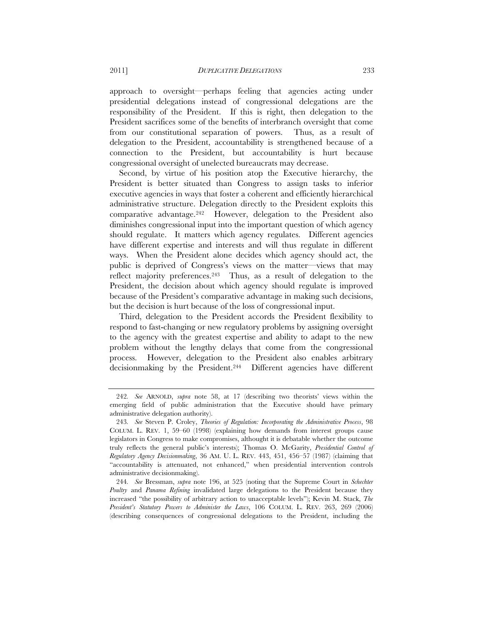approach to oversight—perhaps feeling that agencies acting under presidential delegations instead of congressional delegations are the responsibility of the President. If this is right, then delegation to the President sacrifices some of the benefits of interbranch oversight that come from our constitutional separation of powers. Thus, as a result of delegation to the President, accountability is strengthened because of a connection to the President, but accountability is hurt because congressional oversight of unelected bureaucrats may decrease.

Second, by virtue of his position atop the Executive hierarchy, the President is better situated than Congress to assign tasks to inferior executive agencies in ways that foster a coherent and efficiently hierarchical administrative structure. Delegation directly to the President exploits this comparative advantage.242 However, delegation to the President also diminishes congressional input into the important question of which agency should regulate. It matters which agency regulates. Different agencies have different expertise and interests and will thus regulate in different ways. When the President alone decides which agency should act, the public is deprived of Congress's views on the matter—views that may reflect majority preferences.243 Thus, as a result of delegation to the President, the decision about which agency should regulate is improved because of the President's comparative advantage in making such decisions, but the decision is hurt because of the loss of congressional input.

Third, delegation to the President accords the President flexibility to respond to fast-changing or new regulatory problems by assigning oversight to the agency with the greatest expertise and ability to adapt to the new problem without the lengthy delays that come from the congressional process. However, delegation to the President also enables arbitrary decisionmaking by the President.244 Different agencies have different

<sup>242</sup>*. See* ARNOLD, *supra* note 58, at 17 (describing two theorists' views within the emerging field of public administration that the Executive should have primary administrative delegation authority).

<sup>243</sup>*. See* Steven P. Croley, *Theories of Regulation: Incorporating the Administrative Process*, 98 COLUM. L. REV. 1, 59–60 (1998) (explaining how demands from interest groups cause legislators in Congress to make compromises, althought it is debatable whether the outcome truly reflects the general public's interests); Thomas O. McGarity, *Presidential Control of Regulatory Agency Decisionmaking*, 36 AM. U. L. REV. 443, 451, 456–57 (1987) (claiming that "accountability is attenuated, not enhanced," when presidential intervention controls administrative decisionmaking).

<sup>244</sup>*. See* Bressman, *supra* note 196, at 525 (noting that the Supreme Court in *Schechter Poultry* and *Panama Refining* invalidated large delegations to the President because they increased "the possibility of arbitrary action to unacceptable levels"); Kevin M. Stack, *The President's Statutory Powers to Administer the Laws*, 106 COLUM. L. REV. 263, 269 (2006) (describing consequences of congressional delegations to the President, including the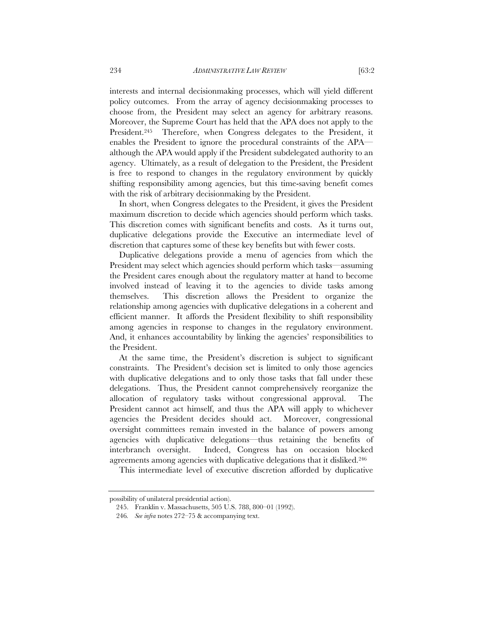interests and internal decisionmaking processes, which will yield different policy outcomes. From the array of agency decisionmaking processes to choose from, the President may select an agency for arbitrary reasons. Moreover, the Supreme Court has held that the APA does not apply to the President.<sup>245</sup> Therefore, when Congress delegates to the President, it enables the President to ignore the procedural constraints of the APA although the APA would apply if the President subdelegated authority to an agency. Ultimately, as a result of delegation to the President, the President is free to respond to changes in the regulatory environment by quickly shifting responsibility among agencies, but this time-saving benefit comes with the risk of arbitrary decisionmaking by the President.

In short, when Congress delegates to the President, it gives the President maximum discretion to decide which agencies should perform which tasks. This discretion comes with significant benefits and costs. As it turns out, duplicative delegations provide the Executive an intermediate level of discretion that captures some of these key benefits but with fewer costs.

Duplicative delegations provide a menu of agencies from which the President may select which agencies should perform which tasks—assuming the President cares enough about the regulatory matter at hand to become involved instead of leaving it to the agencies to divide tasks among themselves. This discretion allows the President to organize the relationship among agencies with duplicative delegations in a coherent and efficient manner. It affords the President flexibility to shift responsibility among agencies in response to changes in the regulatory environment. And, it enhances accountability by linking the agencies' responsibilities to the President.

At the same time, the President's discretion is subject to significant constraints. The President's decision set is limited to only those agencies with duplicative delegations and to only those tasks that fall under these delegations. Thus, the President cannot comprehensively reorganize the allocation of regulatory tasks without congressional approval. The President cannot act himself, and thus the APA will apply to whichever agencies the President decides should act. Moreover, congressional oversight committees remain invested in the balance of powers among agencies with duplicative delegations—thus retaining the benefits of interbranch oversight. Indeed, Congress has on occasion blocked agreements among agencies with duplicative delegations that it disliked.246

This intermediate level of executive discretion afforded by duplicative

possibility of unilateral presidential action).

<sup>245.</sup> Franklin v. Massachusetts, 505 U.S. 788, 800–01 (1992).

<sup>246</sup>*. See infra* notes 272–75 & accompanying text.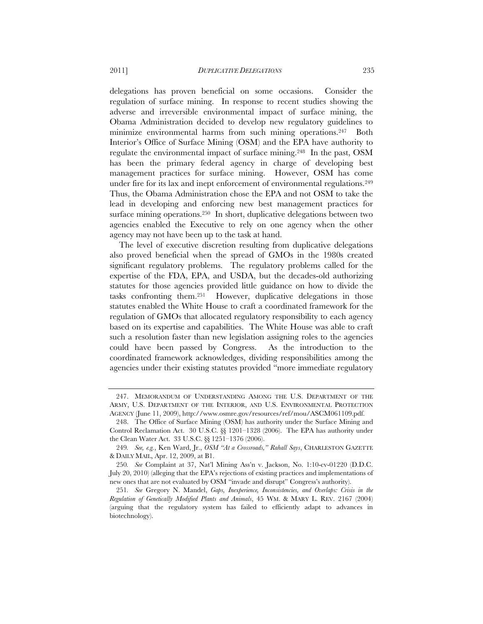delegations has proven beneficial on some occasions. Consider the regulation of surface mining. In response to recent studies showing the adverse and irreversible environmental impact of surface mining, the Obama Administration decided to develop new regulatory guidelines to minimize environmental harms from such mining operations.247 Both Interior's Office of Surface Mining (OSM) and the EPA have authority to regulate the environmental impact of surface mining.248 In the past, OSM has been the primary federal agency in charge of developing best management practices for surface mining. However, OSM has come under fire for its lax and inept enforcement of environmental regulations.<sup>249</sup> Thus, the Obama Administration chose the EPA and not OSM to take the lead in developing and enforcing new best management practices for surface mining operations.<sup>250</sup> In short, duplicative delegations between two agencies enabled the Executive to rely on one agency when the other agency may not have been up to the task at hand.

The level of executive discretion resulting from duplicative delegations also proved beneficial when the spread of GMOs in the 1980s created significant regulatory problems. The regulatory problems called for the expertise of the FDA, EPA, and USDA, but the decades-old authorizing statutes for those agencies provided little guidance on how to divide the tasks confronting them.251 However, duplicative delegations in those statutes enabled the White House to craft a coordinated framework for the regulation of GMOs that allocated regulatory responsibility to each agency based on its expertise and capabilities. The White House was able to craft such a resolution faster than new legislation assigning roles to the agencies could have been passed by Congress. As the introduction to the coordinated framework acknowledges, dividing responsibilities among the agencies under their existing statutes provided "more immediate regulatory

 <sup>247.</sup> MEMORANDUM OF UNDERSTANDING AMONG THE U.S. DEPARTMENT OF THE ARMY, U.S. DEPARTMENT OF THE INTERIOR, AND U.S. ENVIRONMENTAL PROTECTION AGENCY (June 11, 2009), http://www.osmre.gov/resources/ref/mou/ASCM061109.pdf.

 <sup>248.</sup> The Office of Surface Mining (OSM) has authority under the Surface Mining and Control Reclamation Act. 30 U.S.C. §§ 1201–1328 (2006). The EPA has authority under the Clean Water Act. 33 U.S.C. §§ 1251–1376 (2006).

<sup>249</sup>*. See, e.g.*, Ken Ward, Jr., *OSM "At a Crossroads," Rahall Says*, CHARLESTON GAZETTE & DAILY MAIL, Apr. 12, 2009, at B1.

<sup>250</sup>*. See* Complaint at 37, Nat'l Mining Ass'n v. Jackson, No. 1:10-cv-01220 (D.D.C. July 20, 2010) (alleging that the EPA's rejections of existing practices and implementations of new ones that are not evaluated by OSM "invade and disrupt" Congress's authority).

<sup>251</sup>*. See* Gregory N. Mandel, *Gaps, Inexperience, Inconsistencies, and Overlaps: Crisis in the Regulation of Genetically Modified Plants and Animals*, 45 WM. & MARY L. REV. 2167 (2004) (arguing that the regulatory system has failed to efficiently adapt to advances in biotechnology).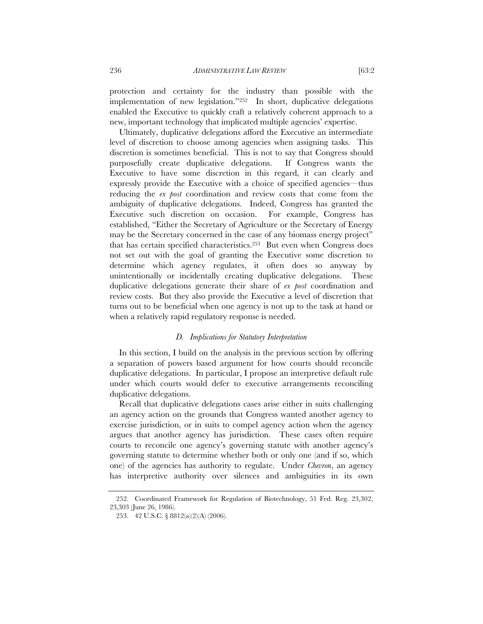protection and certainty for the industry than possible with the implementation of new legislation."252 In short, duplicative delegations enabled the Executive to quickly craft a relatively coherent approach to a new, important technology that implicated multiple agencies' expertise.

Ultimately, duplicative delegations afford the Executive an intermediate level of discretion to choose among agencies when assigning tasks. This discretion is sometimes beneficial. This is not to say that Congress should purposefully create duplicative delegations. If Congress wants the Executive to have some discretion in this regard, it can clearly and expressly provide the Executive with a choice of specified agencies—thus reducing the *ex post* coordination and review costs that come from the ambiguity of duplicative delegations. Indeed, Congress has granted the Executive such discretion on occasion. For example, Congress has established, "Either the Secretary of Agriculture or the Secretary of Energy may be the Secretary concerned in the case of any biomass energy project" that has certain specified characteristics.253 But even when Congress does not set out with the goal of granting the Executive some discretion to determine which agency regulates, it often does so anyway by unintentionally or incidentally creating duplicative delegations. These duplicative delegations generate their share of *ex post* coordination and review costs. But they also provide the Executive a level of discretion that turns out to be beneficial when one agency is not up to the task at hand or when a relatively rapid regulatory response is needed.

#### *D. Implications for Statutory Interpretation*

In this section, I build on the analysis in the previous section by offering a separation of powers based argument for how courts should reconcile duplicative delegations. In particular, I propose an interpretive default rule under which courts would defer to executive arrangements reconciling duplicative delegations.

Recall that duplicative delegations cases arise either in suits challenging an agency action on the grounds that Congress wanted another agency to exercise jurisdiction, or in suits to compel agency action when the agency argues that another agency has jurisdiction. These cases often require courts to reconcile one agency's governing statute with another agency's governing statute to determine whether both or only one (and if so, which one) of the agencies has authority to regulate. Under *Chevron*, an agency has interpretive authority over silences and ambiguities in its own

 <sup>252.</sup> Coordinated Framework for Regulation of Biotechnology, 51 Fed. Reg. 23,302, 23,303 (June 26, 1986).

<sup>253. 42</sup> U.S.C. § 8812(a)(2)(A) (2006).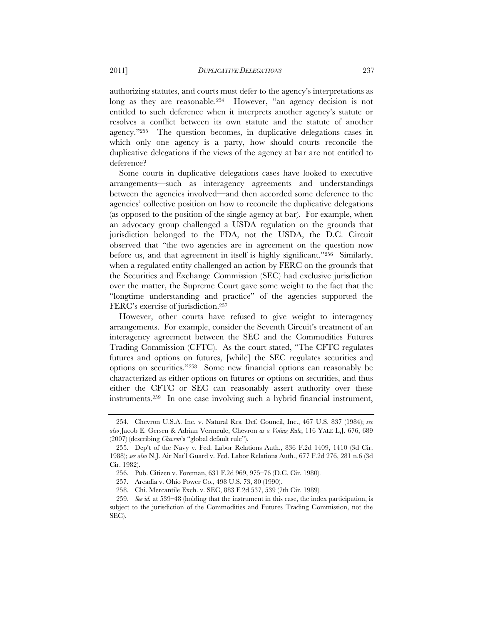authorizing statutes, and courts must defer to the agency's interpretations as long as they are reasonable.<sup>254</sup> However, "an agency decision is not entitled to such deference when it interprets another agency's statute or

resolves a conflict between its own statute and the statute of another agency."255 The question becomes, in duplicative delegations cases in which only one agency is a party, how should courts reconcile the duplicative delegations if the views of the agency at bar are not entitled to deference?

Some courts in duplicative delegations cases have looked to executive arrangements—such as interagency agreements and understandings between the agencies involved—and then accorded some deference to the agencies' collective position on how to reconcile the duplicative delegations (as opposed to the position of the single agency at bar). For example, when an advocacy group challenged a USDA regulation on the grounds that jurisdiction belonged to the FDA, not the USDA, the D.C. Circuit observed that "the two agencies are in agreement on the question now before us, and that agreement in itself is highly significant."256 Similarly, when a regulated entity challenged an action by FERC on the grounds that the Securities and Exchange Commission (SEC) had exclusive jurisdiction over the matter, the Supreme Court gave some weight to the fact that the "longtime understanding and practice" of the agencies supported the FERC's exercise of jurisdiction.257

However, other courts have refused to give weight to interagency arrangements. For example, consider the Seventh Circuit's treatment of an interagency agreement between the SEC and the Commodities Futures Trading Commission (CFTC). As the court stated, "The CFTC regulates futures and options on futures, [while] the SEC regulates securities and options on securities."258 Some new financial options can reasonably be characterized as either options on futures or options on securities, and thus either the CFTC or SEC can reasonably assert authority over these instruments.259 In one case involving such a hybrid financial instrument,

 <sup>254.</sup> Chevron U.S.A. Inc. v. Natural Res. Def. Council, Inc., 467 U.S. 837 (1984); *see also* Jacob E. Gersen & Adrian Vermeule, Chevron *as a Voting Rule*, 116 YALE L.J. 676, 689 (2007) (describing *Chevron*'s "global default rule").

 <sup>255.</sup> Dep't of the Navy v. Fed. Labor Relations Auth., 836 F.2d 1409, 1410 (3d Cir. 1988); *see also* N.J. Air Nat'l Guard v. Fed. Labor Relations Auth., 677 F.2d 276, 281 n.6 (3d Cir. 1982).

<sup>256.</sup> Pub. Citizen v. Foreman, 631 F.2d 969, 975–76 (D.C. Cir. 1980).

<sup>257.</sup> Arcadia v. Ohio Power Co., 498 U.S. 73, 80 (1990).

<sup>258.</sup> Chi. Mercantile Exch. v. SEC, 883 F.2d 537, 539 (7th Cir. 1989).

<sup>259</sup>*. See id.* at 539–48 (holding that the instrument in this case, the index participation, is subject to the jurisdiction of the Commodities and Futures Trading Commission, not the SEC).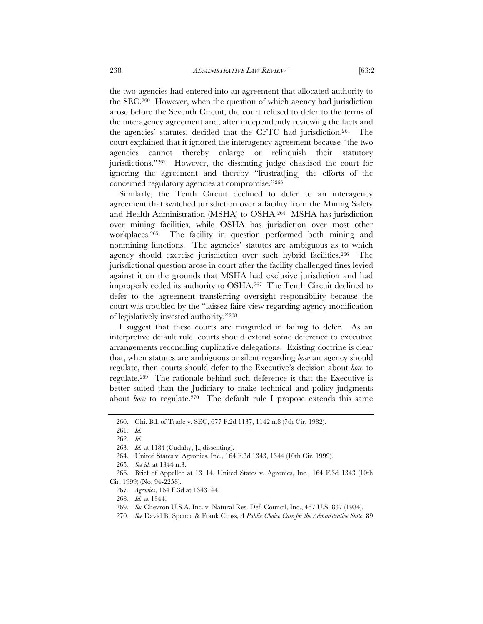the two agencies had entered into an agreement that allocated authority to the SEC.260 However, when the question of which agency had jurisdiction arose before the Seventh Circuit, the court refused to defer to the terms of the interagency agreement and, after independently reviewing the facts and the agencies' statutes, decided that the CFTC had jurisdiction.261 The court explained that it ignored the interagency agreement because "the two agencies cannot thereby enlarge or relinquish their statutory jurisdictions."262 However, the dissenting judge chastised the court for ignoring the agreement and thereby "frustrat[ing] the efforts of the concerned regulatory agencies at compromise."263

Similarly, the Tenth Circuit declined to defer to an interagency agreement that switched jurisdiction over a facility from the Mining Safety and Health Administration (MSHA) to OSHA.264 MSHA has jurisdiction over mining facilities, while OSHA has jurisdiction over most other workplaces.265 The facility in question performed both mining and nonmining functions. The agencies' statutes are ambiguous as to which agency should exercise jurisdiction over such hybrid facilities.266 The jurisdictional question arose in court after the facility challenged fines levied against it on the grounds that MSHA had exclusive jurisdiction and had improperly ceded its authority to OSHA.267 The Tenth Circuit declined to defer to the agreement transferring oversight responsibility because the court was troubled by the "laissez-faire view regarding agency modification of legislatively invested authority."268

I suggest that these courts are misguided in failing to defer. As an interpretive default rule, courts should extend some deference to executive arrangements reconciling duplicative delegations. Existing doctrine is clear that, when statutes are ambiguous or silent regarding *how* an agency should regulate, then courts should defer to the Executive's decision about *how* to regulate.269 The rationale behind such deference is that the Executive is better suited than the Judiciary to make technical and policy judgments about *how* to regulate.<sup>270</sup> The default rule I propose extends this same

<sup>260.</sup> Chi. Bd. of Trade v. SEC, 677 F.2d 1137, 1142 n.8 (7th Cir. 1982).

<sup>261</sup>*. Id.* 

<sup>262</sup>*. Id.*

<sup>263</sup>*. Id.* at 1184 (Cudahy, J., dissenting).

<sup>264.</sup> United States v. Agronics, Inc., 164 F.3d 1343, 1344 (10th Cir. 1999).

<sup>265</sup>*. See id.* at 1344 n.3.

<sup>266.</sup> Brief of Appellee at 13–14, United States v. Agronics, Inc., 164 F.3d 1343 (10th Cir. 1999) (No. 94-2258).

<sup>267</sup>*. Agronics*, 164 F.3d at 1343–44.

<sup>268</sup>*. Id.* at 1344.

 <sup>269.</sup> *See* Chevron U.S.A. Inc. v. Natural Res. Def. Council, Inc., 467 U.S. 837 (1984).

<sup>270</sup>*. See* David B. Spence & Frank Cross, *A Public Choice Case for the Administrative State*, 89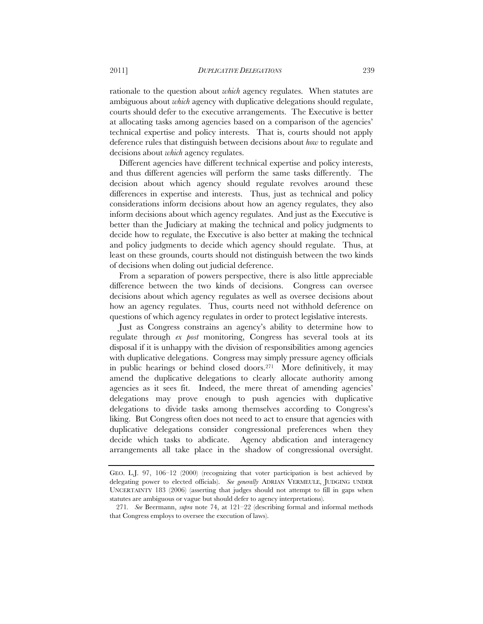rationale to the question about *which* agency regulates. When statutes are ambiguous about *which* agency with duplicative delegations should regulate, courts should defer to the executive arrangements. The Executive is better at allocating tasks among agencies based on a comparison of the agencies' technical expertise and policy interests. That is, courts should not apply deference rules that distinguish between decisions about *how* to regulate and decisions about *which* agency regulates.

Different agencies have different technical expertise and policy interests, and thus different agencies will perform the same tasks differently. The decision about which agency should regulate revolves around these differences in expertise and interests. Thus, just as technical and policy considerations inform decisions about how an agency regulates, they also inform decisions about which agency regulates. And just as the Executive is better than the Judiciary at making the technical and policy judgments to decide how to regulate, the Executive is also better at making the technical and policy judgments to decide which agency should regulate. Thus, at least on these grounds, courts should not distinguish between the two kinds of decisions when doling out judicial deference.

From a separation of powers perspective, there is also little appreciable difference between the two kinds of decisions. Congress can oversee decisions about which agency regulates as well as oversee decisions about how an agency regulates. Thus, courts need not withhold deference on questions of which agency regulates in order to protect legislative interests.

Just as Congress constrains an agency's ability to determine how to regulate through *ex post* monitoring, Congress has several tools at its disposal if it is unhappy with the division of responsibilities among agencies with duplicative delegations. Congress may simply pressure agency officials in public hearings or behind closed doors.271 More definitively, it may amend the duplicative delegations to clearly allocate authority among agencies as it sees fit. Indeed, the mere threat of amending agencies' delegations may prove enough to push agencies with duplicative delegations to divide tasks among themselves according to Congress's liking. But Congress often does not need to act to ensure that agencies with duplicative delegations consider congressional preferences when they decide which tasks to abdicate. Agency abdication and interagency arrangements all take place in the shadow of congressional oversight.

GEO. L.J. 97, 106–12 (2000) (recognizing that voter participation is best achieved by delegating power to elected officials). *See generally* ADRIAN VERMEULE, JUDGING UNDER UNCERTAINTY 183 (2006) (asserting that judges should not attempt to fill in gaps when statutes are ambiguous or vague but should defer to agency interpretations).

<sup>271</sup>*. See* Beermann, *supra* note 74, at 121–22 (describing formal and informal methods that Congress employs to oversee the execution of laws).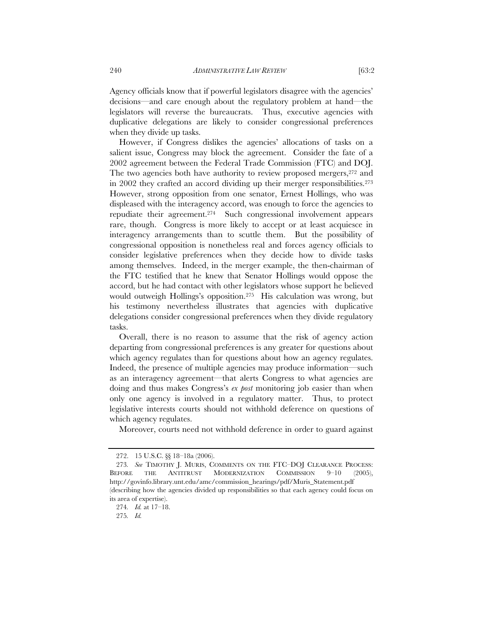Agency officials know that if powerful legislators disagree with the agencies' decisions—and care enough about the regulatory problem at hand—the legislators will reverse the bureaucrats. Thus, executive agencies with duplicative delegations are likely to consider congressional preferences when they divide up tasks.

However, if Congress dislikes the agencies' allocations of tasks on a salient issue, Congress may block the agreement. Consider the fate of a 2002 agreement between the Federal Trade Commission (FTC) and DOJ. The two agencies both have authority to review proposed mergers, <sup>272</sup> and in 2002 they crafted an accord dividing up their merger responsibilities.273 However, strong opposition from one senator, Ernest Hollings, who was displeased with the interagency accord, was enough to force the agencies to repudiate their agreement.274 Such congressional involvement appears rare, though. Congress is more likely to accept or at least acquiesce in interagency arrangements than to scuttle them. But the possibility of congressional opposition is nonetheless real and forces agency officials to consider legislative preferences when they decide how to divide tasks among themselves. Indeed, in the merger example, the then-chairman of the FTC testified that he knew that Senator Hollings would oppose the accord, but he had contact with other legislators whose support he believed would outweigh Hollings's opposition.275 His calculation was wrong, but his testimony nevertheless illustrates that agencies with duplicative delegations consider congressional preferences when they divide regulatory tasks.

Overall, there is no reason to assume that the risk of agency action departing from congressional preferences is any greater for questions about which agency regulates than for questions about how an agency regulates. Indeed, the presence of multiple agencies may produce information—such as an interagency agreement—that alerts Congress to what agencies are doing and thus makes Congress's *ex post* monitoring job easier than when only one agency is involved in a regulatory matter. Thus, to protect legislative interests courts should not withhold deference on questions of which agency regulates.

Moreover, courts need not withhold deference in order to guard against

<sup>272. 15</sup> U.S.C. §§ 18–18a (2006).

<sup>273</sup>*. See* TIMOTHY J. MURIS, COMMENTS ON THE FTC–DOJ CLEARANCE PROCESS: BEFORE THE ANTITRUST MODERNIZATION COMMISSION 9–10 (2005), http://govinfo.library.unt.edu/amc/commission\_hearings/pdf/Muris\_Statement.pdf (describing how the agencies divided up responsibilities so that each agency could focus on

its area of expertise). 274*. Id.* at 17–18.

<sup>275</sup>*. Id.*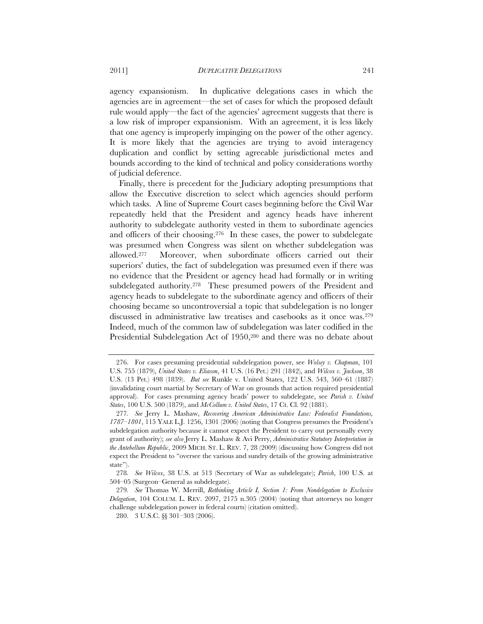agency expansionism. In duplicative delegations cases in which the agencies are in agreement—the set of cases for which the proposed default rule would apply—the fact of the agencies' agreement suggests that there is a low risk of improper expansionism. With an agreement, it is less likely that one agency is improperly impinging on the power of the other agency. It is more likely that the agencies are trying to avoid interagency duplication and conflict by setting agreeable jurisdictional metes and bounds according to the kind of technical and policy considerations worthy of judicial deference.

Finally, there is precedent for the Judiciary adopting presumptions that allow the Executive discretion to select which agencies should perform which tasks. A line of Supreme Court cases beginning before the Civil War repeatedly held that the President and agency heads have inherent authority to subdelegate authority vested in them to subordinate agencies and officers of their choosing.276 In these cases, the power to subdelegate was presumed when Congress was silent on whether subdelegation was allowed.277 Moreover, when subordinate officers carried out their superiors' duties, the fact of subdelegation was presumed even if there was no evidence that the President or agency head had formally or in writing subdelegated authority.<sup>278</sup> These presumed powers of the President and agency heads to subdelegate to the subordinate agency and officers of their choosing became so uncontroversial a topic that subdelegation is no longer discussed in administrative law treatises and casebooks as it once was.279 Indeed, much of the common law of subdelegation was later codified in the Presidential Subdelegation Act of 1950,<sup>280</sup> and there was no debate about

 <sup>276.</sup> For cases presuming presidential subdelegation power, see *Wolsey v. Chapman*, 101 U.S. 755 (1879), *United States v. Eliason*, 41 U.S. (16 Pet.) 291 (1842), and *Wilcox v. Jackson*, 38 U.S. (13 Pet.) 498 (1839). *But see* Runkle v. United States, 122 U.S. 543, 560–61 (1887) (invalidating court martial by Secretary of War on grounds that action required presidential approval). For cases presuming agency heads' power to subdelegate, see *Parish v. United States*, 100 U.S. 500 (1879), and *McCollum v. United States*, 17 Ct. Cl. 92 (1881).

<sup>277</sup>*. See* Jerry L. Mashaw, *Recovering American Administrative Law: Federalist Foundations, 1787–1801*, 115 YALE L.J. 1256, 1301 (2006) (noting that Congress presumes the President's subdelegation authority because it cannot expect the President to carry out personally every grant of authority); *see also* Jerry L. Mashaw & Avi Perry, *Administrative Statutory Interpretation in the Antebellum Republic*, 2009 MICH. ST. L. REV. 7, 28 (2009) (discussing how Congress did not expect the President to "oversee the various and sundry details of the growing administrative state").

<sup>278</sup>*. See Wilcox*, 38 U.S. at 513 (Secretary of War as subdelegate); *Parish*, 100 U.S. at 504–05 (Surgeon–General as subdelegate).

<sup>279</sup>*. See* Thomas W. Merrill, *Rethinking Article I, Section 1: From Nondelegation to Exclusive Delegation*, 104 COLUM. L. REV. 2097, 2175 n.305 (2004) (noting that attorneys no longer challenge subdelegation power in federal courts) (citation omitted).

<sup>280. 3</sup> U.S.C. §§ 301–303 (2006).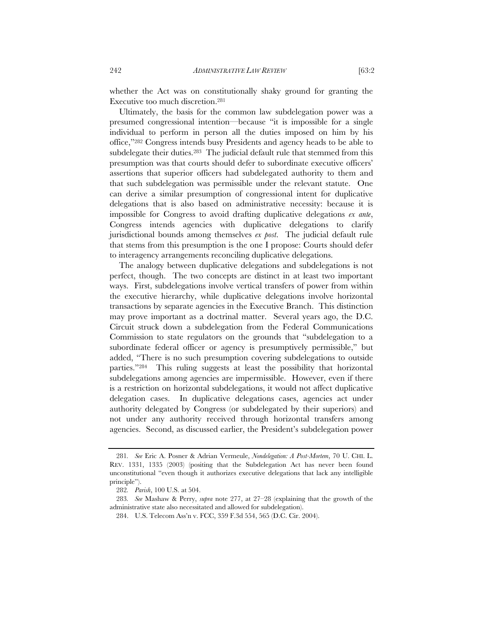whether the Act was on constitutionally shaky ground for granting the Executive too much discretion.281

Ultimately, the basis for the common law subdelegation power was a presumed congressional intention—because "it is impossible for a single individual to perform in person all the duties imposed on him by his office,"282 Congress intends busy Presidents and agency heads to be able to subdelegate their duties.<sup>283</sup> The judicial default rule that stemmed from this presumption was that courts should defer to subordinate executive officers' assertions that superior officers had subdelegated authority to them and that such subdelegation was permissible under the relevant statute. One can derive a similar presumption of congressional intent for duplicative delegations that is also based on administrative necessity: because it is impossible for Congress to avoid drafting duplicative delegations *ex ante*, Congress intends agencies with duplicative delegations to clarify jurisdictional bounds among themselves *ex post*. The judicial default rule that stems from this presumption is the one I propose: Courts should defer to interagency arrangements reconciling duplicative delegations.

The analogy between duplicative delegations and subdelegations is not perfect, though. The two concepts are distinct in at least two important ways. First, subdelegations involve vertical transfers of power from within the executive hierarchy, while duplicative delegations involve horizontal transactions by separate agencies in the Executive Branch. This distinction may prove important as a doctrinal matter. Several years ago, the D.C. Circuit struck down a subdelegation from the Federal Communications Commission to state regulators on the grounds that "subdelegation to a subordinate federal officer or agency is presumptively permissible," but added, "There is no such presumption covering subdelegations to outside parties."284 This ruling suggests at least the possibility that horizontal subdelegations among agencies are impermissible. However, even if there is a restriction on horizontal subdelegations, it would not affect duplicative delegation cases. In duplicative delegations cases, agencies act under authority delegated by Congress (or subdelegated by their superiors) and not under any authority received through horizontal transfers among agencies. Second, as discussed earlier, the President's subdelegation power

<sup>281</sup>*. See* Eric A. Posner & Adrian Vermeule, *Nondelegation: A Post-Mortem*, 70 U. CHI. L. REV. 1331, 1335 (2003) (positing that the Subdelegation Act has never been found unconstitutional "even though it authorizes executive delegations that lack any intelligible principle").

<sup>282</sup>*. Parish*, 100 U.S. at 504.

<sup>283</sup>*. See* Mashaw & Perry, *supra* note 277, at 27–28 (explaining that the growth of the administrative state also necessitated and allowed for subdelegation).

<sup>284.</sup> U.S. Telecom Ass'n v. FCC, 359 F.3d 554, 565 (D.C. Cir. 2004).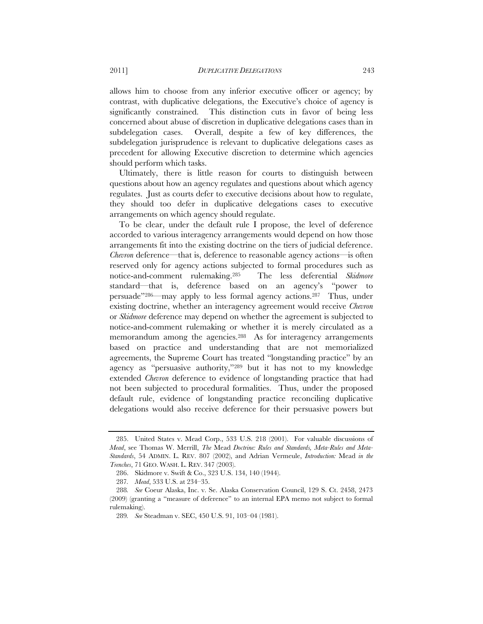allows him to choose from any inferior executive officer or agency; by contrast, with duplicative delegations, the Executive's choice of agency is significantly constrained. This distinction cuts in favor of being less concerned about abuse of discretion in duplicative delegations cases than in subdelegation cases. Overall, despite a few of key differences, the subdelegation jurisprudence is relevant to duplicative delegations cases as precedent for allowing Executive discretion to determine which agencies should perform which tasks.

Ultimately, there is little reason for courts to distinguish between questions about how an agency regulates and questions about which agency regulates. Just as courts defer to executive decisions about how to regulate, they should too defer in duplicative delegations cases to executive arrangements on which agency should regulate.

To be clear, under the default rule I propose, the level of deference accorded to various interagency arrangements would depend on how those arrangements fit into the existing doctrine on the tiers of judicial deference. *Chevron* deference—that is, deference to reasonable agency actions—is often reserved only for agency actions subjected to formal procedures such as notice-and-comment rulemaking.285 The less deferential *Skidmore*  standard—that is, deference based on an agency's "power to persuade"286—may apply to less formal agency actions.287 Thus, under existing doctrine, whether an interagency agreement would receive *Chevron*  or *Skidmore* deference may depend on whether the agreement is subjected to notice-and-comment rulemaking or whether it is merely circulated as a memorandum among the agencies.<sup>288</sup> As for interagency arrangements based on practice and understanding that are not memorialized agreements, the Supreme Court has treated "longstanding practice" by an agency as "persuasive authority,"289 but it has not to my knowledge extended *Chevron* deference to evidence of longstanding practice that had not been subjected to procedural formalities. Thus, under the proposed default rule, evidence of longstanding practice reconciling duplicative delegations would also receive deference for their persuasive powers but

 <sup>285.</sup> United States v. Mead Corp., 533 U.S. 218 (2001). For valuable discussions of *Mead*, see Thomas W. Merrill, *The* Mead *Doctrine: Rules and Standards, Meta-Rules and Meta-Standards*, 54 ADMIN. L. REV. 807 (2002), and Adrian Vermeule, *Introduction:* Mead *in the Trenches*, 71 GEO. WASH. L. REV. 347 (2003).

 <sup>286.</sup> Skidmore v. Swift & Co., 323 U.S. 134, 140 (1944).

<sup>287</sup>*. Mead*, 533 U.S. at 234–35.

<sup>288</sup>*. See* Coeur Alaska, Inc. v. Se. Alaska Conservation Council, 129 S. Ct. 2458, 2473 (2009) (granting a "measure of deference" to an internal EPA memo not subject to formal rulemaking).

<sup>289</sup>*. See* Steadman v. SEC, 450 U.S. 91, 103–04 (1981).